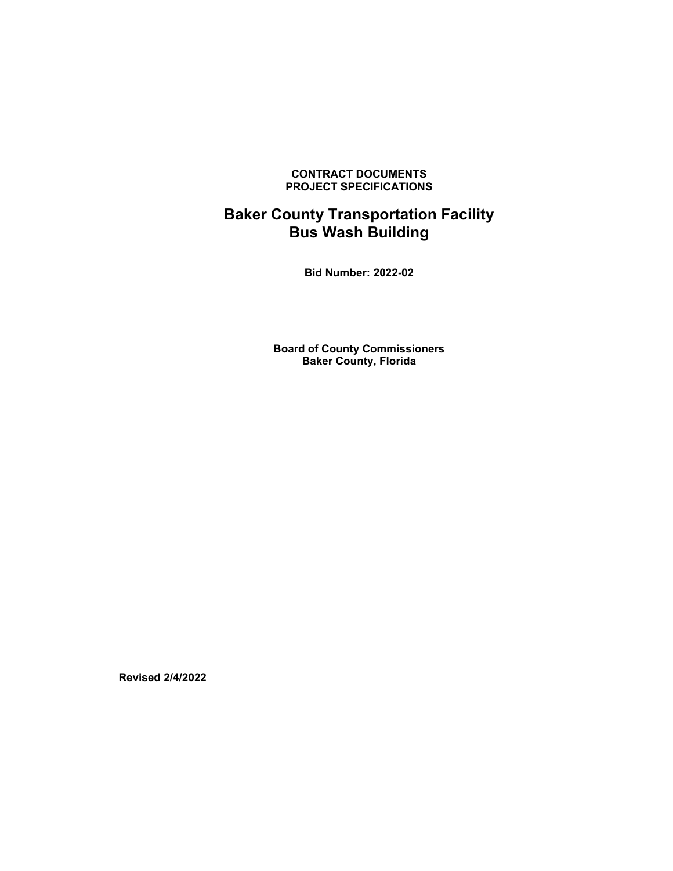**CONTRACT DOCUMENTS PROJECT SPECIFICATIONS**

# **Baker County Transportation Facility Bus Wash Building**

**Bid Number: 2022-02**

**Board of County Commissioners Baker County, Florida**

**Revised 2/4/2022**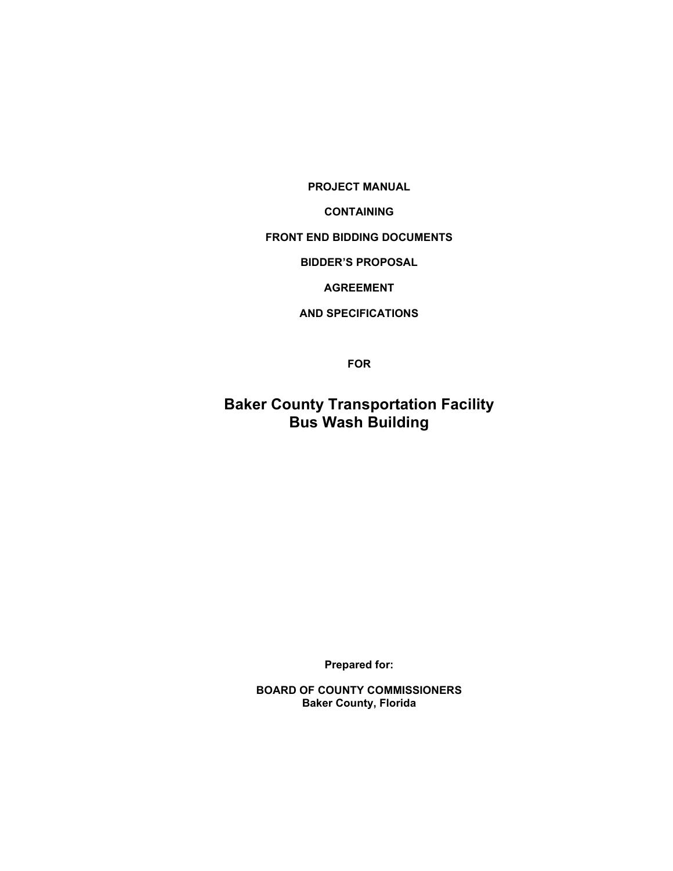**PROJECT MANUAL**

**CONTAINING**

# **FRONT END BIDDING DOCUMENTS**

**BIDDER'S PROPOSAL**

**AGREEMENT**

**AND SPECIFICATIONS**

**FOR**

**Baker County Transportation Facility Bus Wash Building**

**Prepared for:**

**BOARD OF COUNTY COMMISSIONERS Baker County, Florida**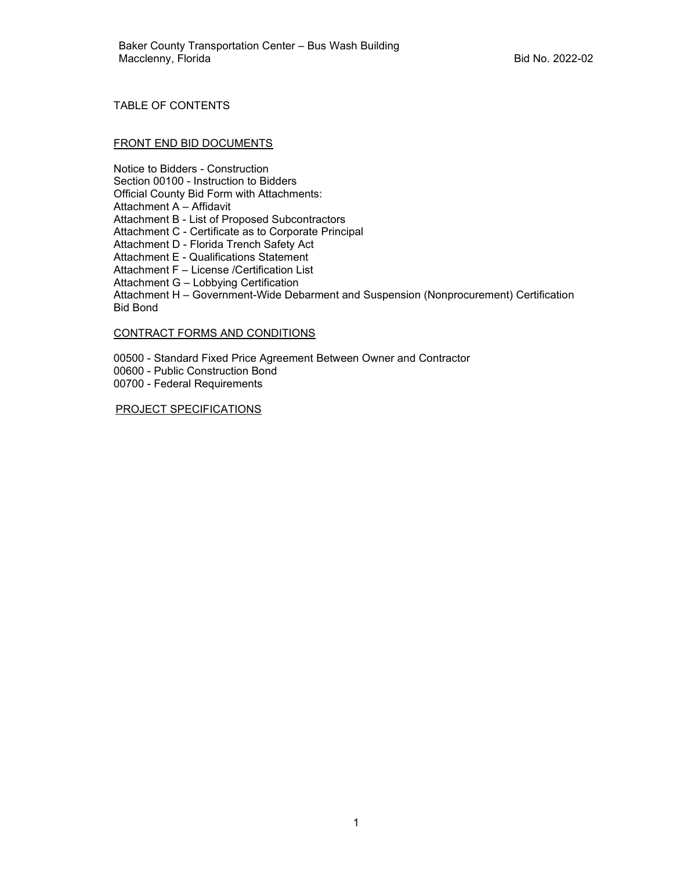# TABLE OF CONTENTS

# FRONT END BID DOCUMENTS

Notice to Bidders - Construction Section 00100 - Instruction to Bidders Official County Bid Form with Attachments: Attachment A – Affidavit Attachment B - List of Proposed Subcontractors Attachment C - Certificate as to Corporate Principal Attachment D - Florida Trench Safety Act Attachment E - Qualifications Statement Attachment F – License /Certification List Attachment G – Lobbying Certification Attachment H – Government-Wide Debarment and Suspension (Nonprocurement) Certification Bid Bond

# CONTRACT FORMS AND CONDITIONS

00500 - Standard Fixed Price Agreement Between Owner and Contractor 00600 - Public Construction Bond

00700 - Federal Requirements

#### PROJECT SPECIFICATIONS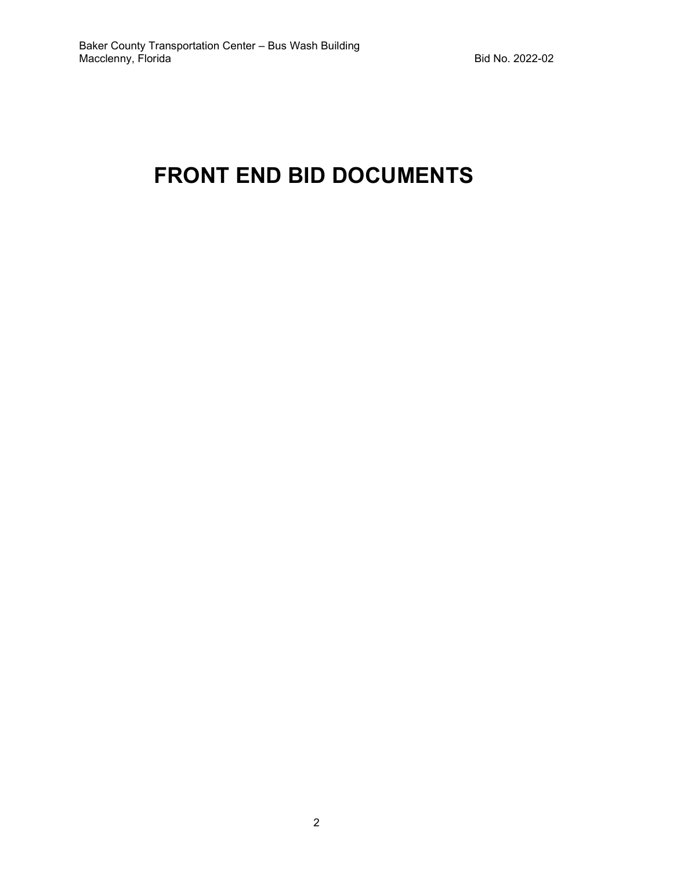# **FRONT END BID DOCUMENTS**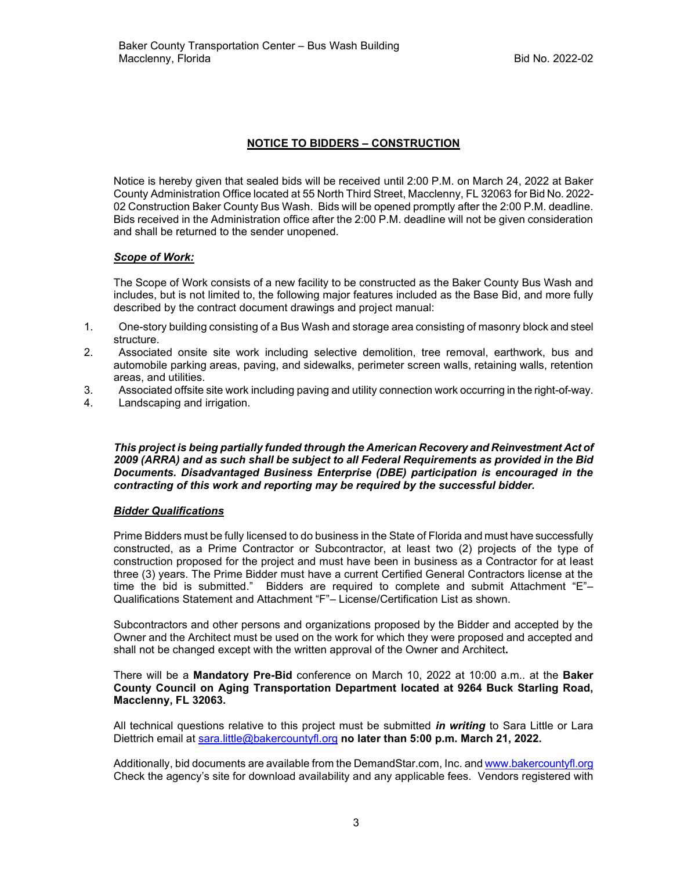# **NOTICE TO BIDDERS – CONSTRUCTION**

Notice is hereby given that sealed bids will be received until 2:00 P.M. on March 24, 2022 at Baker County Administration Office located at 55 North Third Street, Macclenny, FL 32063 for Bid No. 2022- 02 Construction Baker County Bus Wash. Bids will be opened promptly after the 2:00 P.M. deadline. Bids received in the Administration office after the 2:00 P.M. deadline will not be given consideration and shall be returned to the sender unopened.

### *Scope of Work:*

The Scope of Work consists of a new facility to be constructed as the Baker County Bus Wash and includes, but is not limited to, the following major features included as the Base Bid, and more fully described by the contract document drawings and project manual:

- 1. One-story building consisting of a Bus Wash and storage area consisting of masonry block and steel structure.
- 2. Associated onsite site work including selective demolition, tree removal, earthwork, bus and automobile parking areas, paving, and sidewalks, perimeter screen walls, retaining walls, retention areas, and utilities.
- 3. Associated offsite site work including paving and utility connection work occurring in the right-of-way.
- 4. Landscaping and irrigation.

*This project is being partially funded through the American Recovery and Reinvestment Act of 2009 (ARRA) and as such shall be subject to all Federal Requirements as provided in the Bid Documents. Disadvantaged Business Enterprise (DBE) participation is encouraged in the contracting of this work and reporting may be required by the successful bidder.* 

#### *Bidder Qualifications*

Prime Bidders must be fully licensed to do business in the State of Florida and must have successfully constructed, as a Prime Contractor or Subcontractor, at least two (2) projects of the type of construction proposed for the project and must have been in business as a Contractor for at least three (3) years. The Prime Bidder must have a current Certified General Contractors license at the time the bid is submitted." Bidders are required to complete and submit Attachment "E"– Qualifications Statement and Attachment "F"– License/Certification List as shown.

Subcontractors and other persons and organizations proposed by the Bidder and accepted by the Owner and the Architect must be used on the work for which they were proposed and accepted and shall not be changed except with the written approval of the Owner and Architect**.**

There will be a **Mandatory Pre-Bid** conference on March 10, 2022 at 10:00 a.m.. at the **Baker County Council on Aging Transportation Department located at 9264 Buck Starling Road, Macclenny, FL 32063.** 

All technical questions relative to this project must be submitted *in writing* to Sara Little or Lara Diettrich email at [sara.little@bakercountyfl.org](mailto:sara.little@bakercountyfl.org) **no later than 5:00 p.m. March 21, 2022.** 

Additionally, bid documents are available from the DemandStar.com, Inc. an[d www.bakercountyfl.org](http://www.bakercountyfl.org/) Check the agency's site for download availability and any applicable fees. Vendors registered with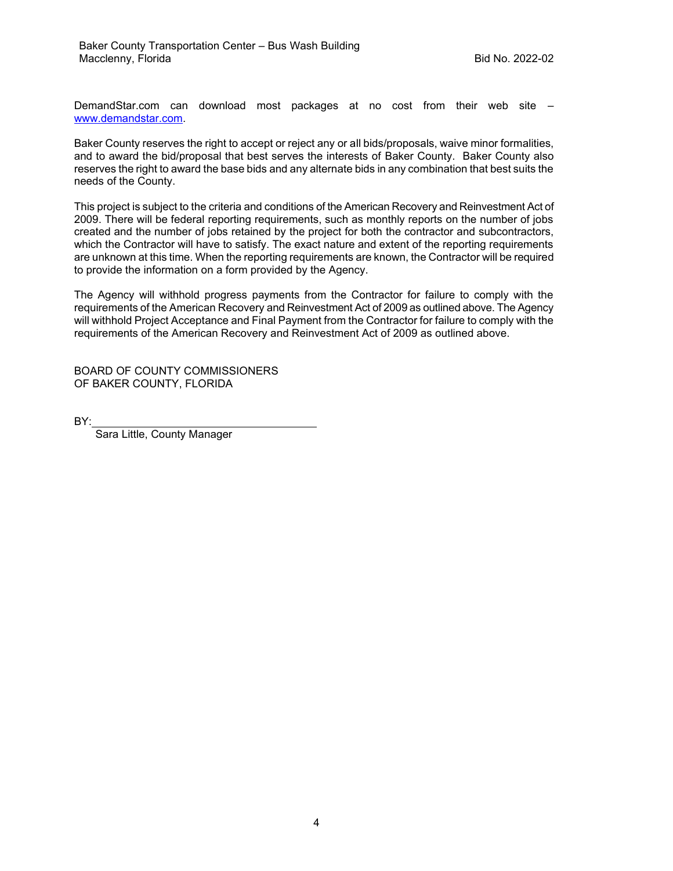DemandStar.com can download most packages at no cost from their web site – [www.demandstar.com.](http://www.demandstar.com/)

Baker County reserves the right to accept or reject any or all bids/proposals, waive minor formalities, and to award the bid/proposal that best serves the interests of Baker County. Baker County also reserves the right to award the base bids and any alternate bids in any combination that best suits the needs of the County.

This project is subject to the criteria and conditions of the American Recovery and Reinvestment Act of 2009. There will be federal reporting requirements, such as monthly reports on the number of jobs created and the number of jobs retained by the project for both the contractor and subcontractors, which the Contractor will have to satisfy. The exact nature and extent of the reporting requirements are unknown at this time. When the reporting requirements are known, the Contractor will be required to provide the information on a form provided by the Agency.

The Agency will withhold progress payments from the Contractor for failure to comply with the requirements of the American Recovery and Reinvestment Act of 2009 as outlined above. The Agency will withhold Project Acceptance and Final Payment from the Contractor for failure to comply with the requirements of the American Recovery and Reinvestment Act of 2009 as outlined above.

BOARD OF COUNTY COMMISSIONERS OF BAKER COUNTY, FLORIDA

BY:

Sara Little, County Manager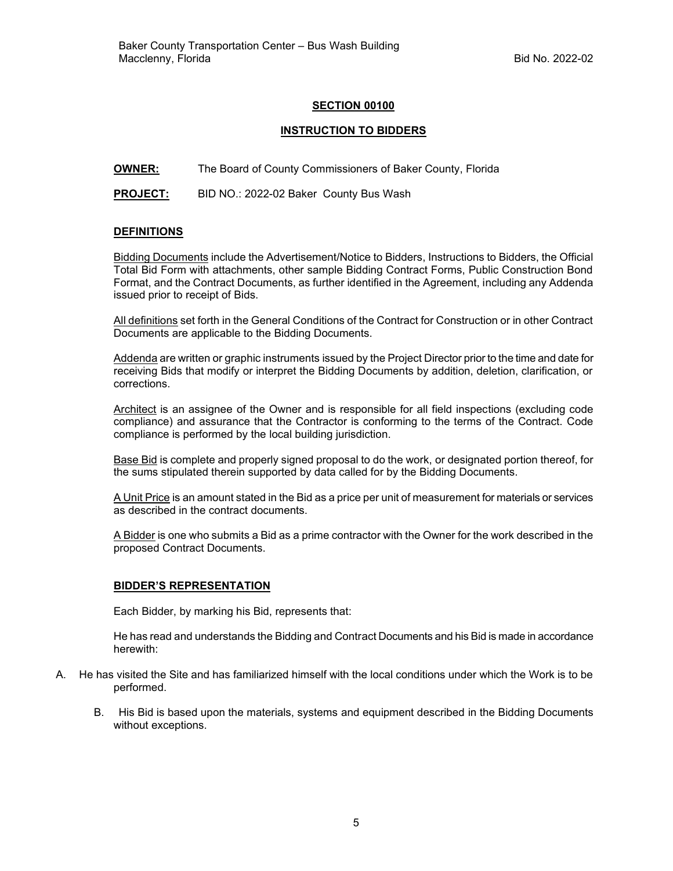# **SECTION 00100**

# **INSTRUCTION TO BIDDERS**

**OWNER:** The Board of County Commissioners of Baker County, Florida

**PROJECT:** BID NO.: 2022-02 Baker County Bus Wash

### **DEFINITIONS**

Bidding Documents include the Advertisement/Notice to Bidders, Instructions to Bidders, the Official Total Bid Form with attachments, other sample Bidding Contract Forms, Public Construction Bond Format, and the Contract Documents, as further identified in the Agreement, including any Addenda issued prior to receipt of Bids.

All definitions set forth in the General Conditions of the Contract for Construction or in other Contract Documents are applicable to the Bidding Documents.

Addenda are written or graphic instruments issued by the Project Director prior to the time and date for receiving Bids that modify or interpret the Bidding Documents by addition, deletion, clarification, or corrections.

Architect is an assignee of the Owner and is responsible for all field inspections (excluding code compliance) and assurance that the Contractor is conforming to the terms of the Contract. Code compliance is performed by the local building jurisdiction.

Base Bid is complete and properly signed proposal to do the work, or designated portion thereof, for the sums stipulated therein supported by data called for by the Bidding Documents.

A Unit Price is an amount stated in the Bid as a price per unit of measurement for materials or services as described in the contract documents.

A Bidder is one who submits a Bid as a prime contractor with the Owner for the work described in the proposed Contract Documents.

#### **BIDDER'S REPRESENTATION**

Each Bidder, by marking his Bid, represents that:

He has read and understands the Bidding and Contract Documents and his Bid is made in accordance herewith:

- A. He has visited the Site and has familiarized himself with the local conditions under which the Work is to be performed.
	- B. His Bid is based upon the materials, systems and equipment described in the Bidding Documents without exceptions.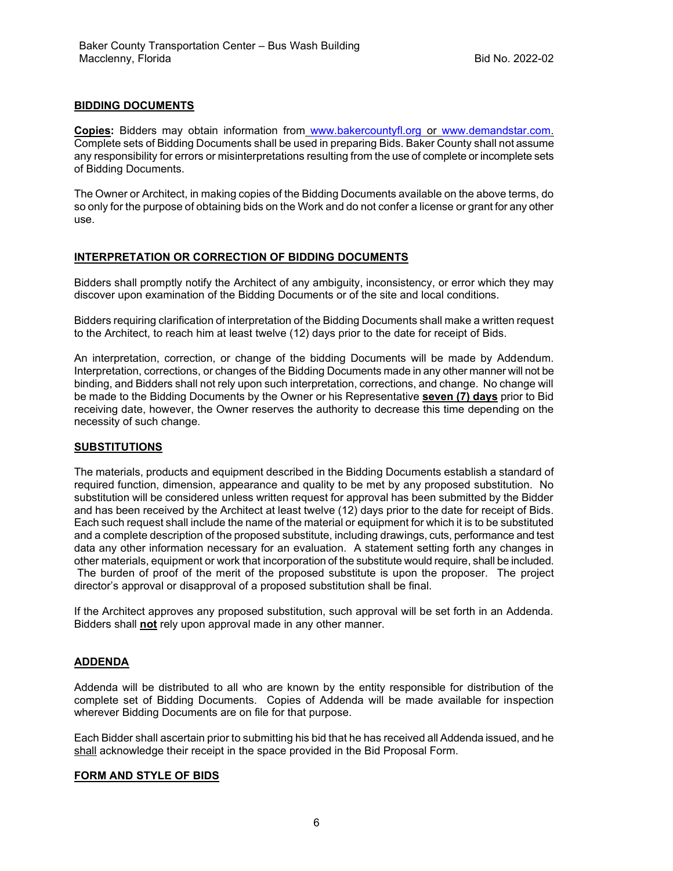# **BIDDING DOCUMENTS**

**Copies:** Bidders may obtain information from [www.bakercountyfl.org](http://www.bakercountyfl.org/) or [www.demandstar.com.](http://www.demandstar.com/) Complete sets of Bidding Documents shall be used in preparing Bids. Baker County shall not assume any responsibility for errors or misinterpretations resulting from the use of complete or incomplete sets of Bidding Documents.

The Owner or Architect, in making copies of the Bidding Documents available on the above terms, do so only for the purpose of obtaining bids on the Work and do not confer a license or grant for any other use.

### **INTERPRETATION OR CORRECTION OF BIDDING DOCUMENTS**

Bidders shall promptly notify the Architect of any ambiguity, inconsistency, or error which they may discover upon examination of the Bidding Documents or of the site and local conditions.

Bidders requiring clarification of interpretation of the Bidding Documents shall make a written request to the Architect, to reach him at least twelve (12) days prior to the date for receipt of Bids.

An interpretation, correction, or change of the bidding Documents will be made by Addendum. Interpretation, corrections, or changes of the Bidding Documents made in any other manner will not be binding, and Bidders shall not rely upon such interpretation, corrections, and change. No change will be made to the Bidding Documents by the Owner or his Representative **seven (7) days** prior to Bid receiving date, however, the Owner reserves the authority to decrease this time depending on the necessity of such change.

### **SUBSTITUTIONS**

The materials, products and equipment described in the Bidding Documents establish a standard of required function, dimension, appearance and quality to be met by any proposed substitution. No substitution will be considered unless written request for approval has been submitted by the Bidder and has been received by the Architect at least twelve (12) days prior to the date for receipt of Bids. Each such request shall include the name of the material or equipment for which it is to be substituted and a complete description of the proposed substitute, including drawings, cuts, performance and test data any other information necessary for an evaluation. A statement setting forth any changes in other materials, equipment or work that incorporation of the substitute would require, shall be included. The burden of proof of the merit of the proposed substitute is upon the proposer. The project director's approval or disapproval of a proposed substitution shall be final.

If the Architect approves any proposed substitution, such approval will be set forth in an Addenda. Bidders shall **not** rely upon approval made in any other manner.

#### **ADDENDA**

Addenda will be distributed to all who are known by the entity responsible for distribution of the complete set of Bidding Documents. Copies of Addenda will be made available for inspection wherever Bidding Documents are on file for that purpose.

Each Bidder shall ascertain prior to submitting his bid that he has received all Addenda issued, and he shall acknowledge their receipt in the space provided in the Bid Proposal Form.

#### **FORM AND STYLE OF BIDS**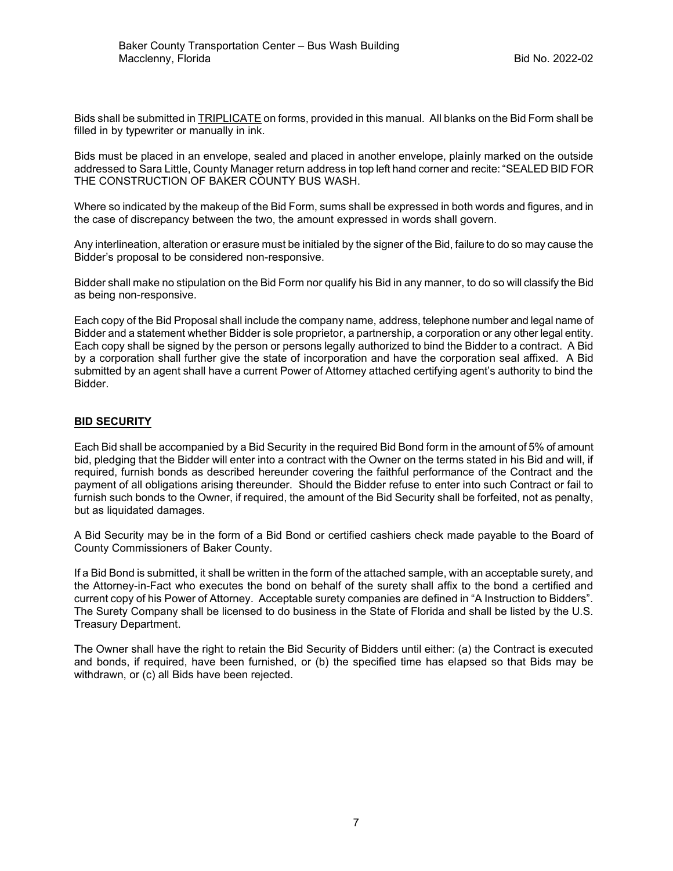Bids shall be submitted in TRIPLICATE on forms, provided in this manual. All blanks on the Bid Form shall be filled in by typewriter or manually in ink.

Bids must be placed in an envelope, sealed and placed in another envelope, plainly marked on the outside addressed to Sara Little, County Manager return address in top left hand corner and recite: "SEALED BID FOR THE CONSTRUCTION OF BAKER COUNTY BUS WASH.

Where so indicated by the makeup of the Bid Form, sums shall be expressed in both words and figures, and in the case of discrepancy between the two, the amount expressed in words shall govern.

Any interlineation, alteration or erasure must be initialed by the signer of the Bid, failure to do so may cause the Bidder's proposal to be considered non-responsive.

Bidder shall make no stipulation on the Bid Form nor qualify his Bid in any manner, to do so will classify the Bid as being non-responsive.

Each copy of the Bid Proposal shall include the company name, address, telephone number and legal name of Bidder and a statement whether Bidder is sole proprietor, a partnership, a corporation or any other legal entity. Each copy shall be signed by the person or persons legally authorized to bind the Bidder to a contract. A Bid by a corporation shall further give the state of incorporation and have the corporation seal affixed. A Bid submitted by an agent shall have a current Power of Attorney attached certifying agent's authority to bind the Bidder.

# **BID SECURITY**

Each Bid shall be accompanied by a Bid Security in the required Bid Bond form in the amount of 5% of amount bid, pledging that the Bidder will enter into a contract with the Owner on the terms stated in his Bid and will, if required, furnish bonds as described hereunder covering the faithful performance of the Contract and the payment of all obligations arising thereunder. Should the Bidder refuse to enter into such Contract or fail to furnish such bonds to the Owner, if required, the amount of the Bid Security shall be forfeited, not as penalty, but as liquidated damages.

A Bid Security may be in the form of a Bid Bond or certified cashiers check made payable to the Board of County Commissioners of Baker County.

If a Bid Bond is submitted, it shall be written in the form of the attached sample, with an acceptable surety, and the Attorney-in-Fact who executes the bond on behalf of the surety shall affix to the bond a certified and current copy of his Power of Attorney. Acceptable surety companies are defined in "A Instruction to Bidders". The Surety Company shall be licensed to do business in the State of Florida and shall be listed by the U.S. Treasury Department.

The Owner shall have the right to retain the Bid Security of Bidders until either: (a) the Contract is executed and bonds, if required, have been furnished, or (b) the specified time has elapsed so that Bids may be withdrawn, or (c) all Bids have been rejected.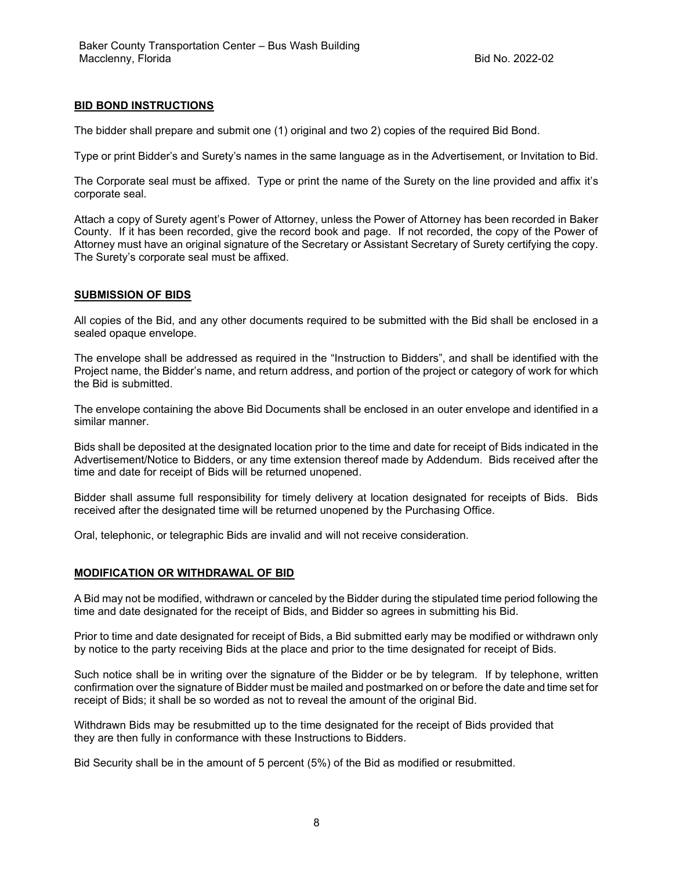# **BID BOND INSTRUCTIONS**

The bidder shall prepare and submit one (1) original and two 2) copies of the required Bid Bond.

Type or print Bidder's and Surety's names in the same language as in the Advertisement, or Invitation to Bid.

The Corporate seal must be affixed. Type or print the name of the Surety on the line provided and affix it's corporate seal.

Attach a copy of Surety agent's Power of Attorney, unless the Power of Attorney has been recorded in Baker County. If it has been recorded, give the record book and page. If not recorded, the copy of the Power of Attorney must have an original signature of the Secretary or Assistant Secretary of Surety certifying the copy. The Surety's corporate seal must be affixed.

# **SUBMISSION OF BIDS**

All copies of the Bid, and any other documents required to be submitted with the Bid shall be enclosed in a sealed opaque envelope.

The envelope shall be addressed as required in the "Instruction to Bidders", and shall be identified with the Project name, the Bidder's name, and return address, and portion of the project or category of work for which the Bid is submitted.

The envelope containing the above Bid Documents shall be enclosed in an outer envelope and identified in a similar manner.

Bids shall be deposited at the designated location prior to the time and date for receipt of Bids indicated in the Advertisement/Notice to Bidders, or any time extension thereof made by Addendum. Bids received after the time and date for receipt of Bids will be returned unopened.

Bidder shall assume full responsibility for timely delivery at location designated for receipts of Bids. Bids received after the designated time will be returned unopened by the Purchasing Office.

Oral, telephonic, or telegraphic Bids are invalid and will not receive consideration.

#### **MODIFICATION OR WITHDRAWAL OF BID**

A Bid may not be modified, withdrawn or canceled by the Bidder during the stipulated time period following the time and date designated for the receipt of Bids, and Bidder so agrees in submitting his Bid.

Prior to time and date designated for receipt of Bids, a Bid submitted early may be modified or withdrawn only by notice to the party receiving Bids at the place and prior to the time designated for receipt of Bids.

Such notice shall be in writing over the signature of the Bidder or be by telegram. If by telephone, written confirmation over the signature of Bidder must be mailed and postmarked on or before the date and time set for receipt of Bids; it shall be so worded as not to reveal the amount of the original Bid.

Withdrawn Bids may be resubmitted up to the time designated for the receipt of Bids provided that they are then fully in conformance with these Instructions to Bidders.

Bid Security shall be in the amount of 5 percent (5%) of the Bid as modified or resubmitted.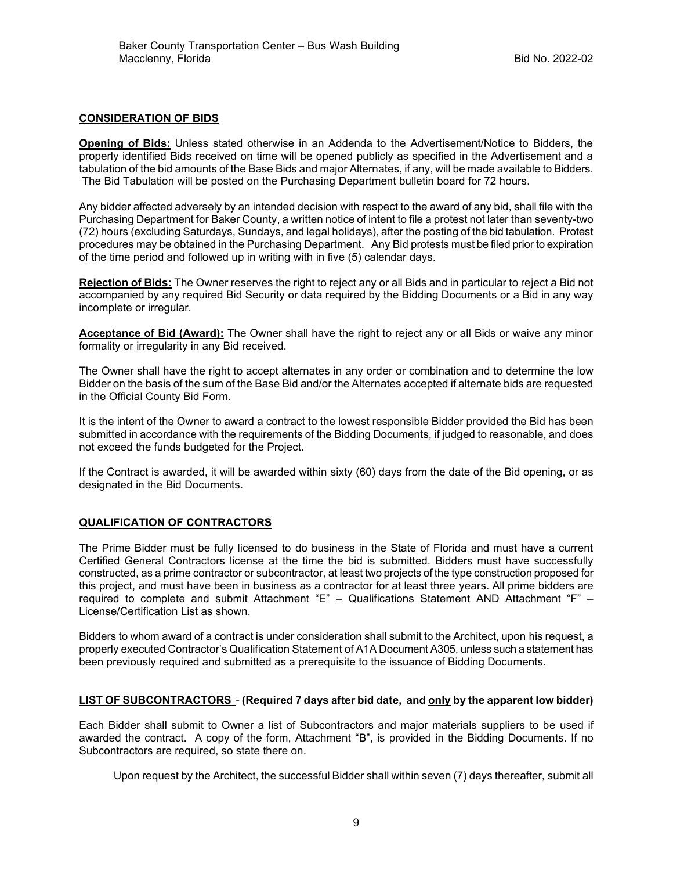# **CONSIDERATION OF BIDS**

**Opening of Bids:** Unless stated otherwise in an Addenda to the Advertisement/Notice to Bidders, the properly identified Bids received on time will be opened publicly as specified in the Advertisement and a tabulation of the bid amounts of the Base Bids and major Alternates, if any, will be made available to Bidders. The Bid Tabulation will be posted on the Purchasing Department bulletin board for 72 hours.

Any bidder affected adversely by an intended decision with respect to the award of any bid, shall file with the Purchasing Department for Baker County, a written notice of intent to file a protest not later than seventy-two (72) hours (excluding Saturdays, Sundays, and legal holidays), after the posting of the bid tabulation. Protest procedures may be obtained in the Purchasing Department. Any Bid protests must be filed prior to expiration of the time period and followed up in writing with in five (5) calendar days.

**Rejection of Bids:** The Owner reserves the right to reject any or all Bids and in particular to reject a Bid not accompanied by any required Bid Security or data required by the Bidding Documents or a Bid in any way incomplete or irregular.

**Acceptance of Bid (Award):** The Owner shall have the right to reject any or all Bids or waive any minor formality or irregularity in any Bid received.

The Owner shall have the right to accept alternates in any order or combination and to determine the low Bidder on the basis of the sum of the Base Bid and/or the Alternates accepted if alternate bids are requested in the Official County Bid Form.

It is the intent of the Owner to award a contract to the lowest responsible Bidder provided the Bid has been submitted in accordance with the requirements of the Bidding Documents, if judged to reasonable, and does not exceed the funds budgeted for the Project.

If the Contract is awarded, it will be awarded within sixty (60) days from the date of the Bid opening, or as designated in the Bid Documents.

#### **QUALIFICATION OF CONTRACTORS**

The Prime Bidder must be fully licensed to do business in the State of Florida and must have a current Certified General Contractors license at the time the bid is submitted. Bidders must have successfully constructed, as a prime contractor or subcontractor, at least two projects of the type construction proposed for this project, and must have been in business as a contractor for at least three years. All prime bidders are required to complete and submit Attachment "E" – Qualifications Statement AND Attachment "F" – License/Certification List as shown.

Bidders to whom award of a contract is under consideration shall submit to the Architect, upon his request, a properly executed Contractor's Qualification Statement of A1A Document A305, unless such a statement has been previously required and submitted as a prerequisite to the issuance of Bidding Documents.

#### **LIST OF SUBCONTRACTORS** - **(Required 7 days after bid date, and only by the apparent low bidder)**

Each Bidder shall submit to Owner a list of Subcontractors and major materials suppliers to be used if awarded the contract. A copy of the form, Attachment "B", is provided in the Bidding Documents. If no Subcontractors are required, so state there on.

Upon request by the Architect, the successful Bidder shall within seven (7) days thereafter, submit all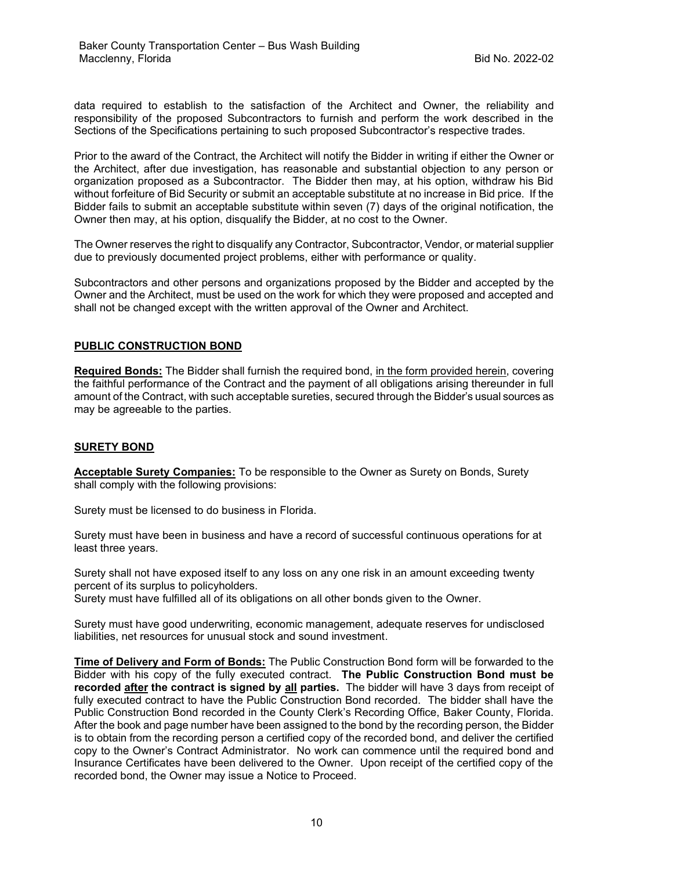data required to establish to the satisfaction of the Architect and Owner, the reliability and responsibility of the proposed Subcontractors to furnish and perform the work described in the Sections of the Specifications pertaining to such proposed Subcontractor's respective trades.

Prior to the award of the Contract, the Architect will notify the Bidder in writing if either the Owner or the Architect, after due investigation, has reasonable and substantial objection to any person or organization proposed as a Subcontractor. The Bidder then may, at his option, withdraw his Bid without forfeiture of Bid Security or submit an acceptable substitute at no increase in Bid price. If the Bidder fails to submit an acceptable substitute within seven (7) days of the original notification, the Owner then may, at his option, disqualify the Bidder, at no cost to the Owner.

The Owner reserves the right to disqualify any Contractor, Subcontractor, Vendor, or material supplier due to previously documented project problems, either with performance or quality.

Subcontractors and other persons and organizations proposed by the Bidder and accepted by the Owner and the Architect, must be used on the work for which they were proposed and accepted and shall not be changed except with the written approval of the Owner and Architect.

### **PUBLIC CONSTRUCTION BOND**

**Required Bonds:** The Bidder shall furnish the required bond, in the form provided herein, covering the faithful performance of the Contract and the payment of all obligations arising thereunder in full amount of the Contract, with such acceptable sureties, secured through the Bidder's usual sources as may be agreeable to the parties.

#### **SURETY BOND**

**Acceptable Surety Companies:** To be responsible to the Owner as Surety on Bonds, Surety shall comply with the following provisions:

Surety must be licensed to do business in Florida.

Surety must have been in business and have a record of successful continuous operations for at least three years.

Surety shall not have exposed itself to any loss on any one risk in an amount exceeding twenty percent of its surplus to policyholders.

Surety must have fulfilled all of its obligations on all other bonds given to the Owner.

Surety must have good underwriting, economic management, adequate reserves for undisclosed liabilities, net resources for unusual stock and sound investment.

**Time of Delivery and Form of Bonds:** The Public Construction Bond form will be forwarded to the Bidder with his copy of the fully executed contract. **The Public Construction Bond must be recorded after the contract is signed by all parties.** The bidder will have 3 days from receipt of fully executed contract to have the Public Construction Bond recorded. The bidder shall have the Public Construction Bond recorded in the County Clerk's Recording Office, Baker County, Florida. After the book and page number have been assigned to the bond by the recording person, the Bidder is to obtain from the recording person a certified copy of the recorded bond, and deliver the certified copy to the Owner's Contract Administrator. No work can commence until the required bond and Insurance Certificates have been delivered to the Owner. Upon receipt of the certified copy of the recorded bond, the Owner may issue a Notice to Proceed.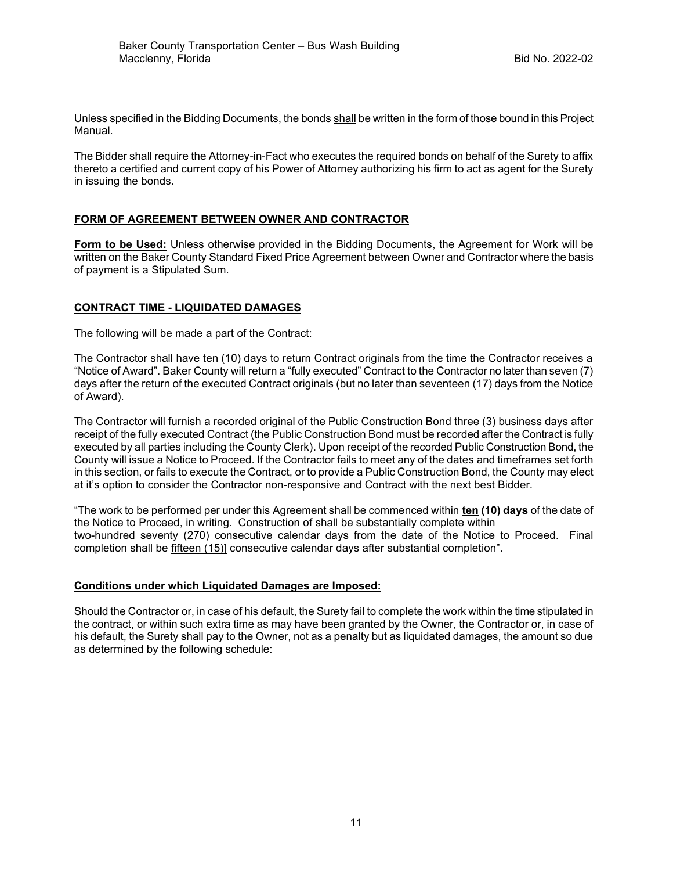Unless specified in the Bidding Documents, the bonds shall be written in the form of those bound in this Project Manual.

The Bidder shall require the Attorney-in-Fact who executes the required bonds on behalf of the Surety to affix thereto a certified and current copy of his Power of Attorney authorizing his firm to act as agent for the Surety in issuing the bonds.

# **FORM OF AGREEMENT BETWEEN OWNER AND CONTRACTOR**

**Form to be Used:** Unless otherwise provided in the Bidding Documents, the Agreement for Work will be written on the Baker County Standard Fixed Price Agreement between Owner and Contractor where the basis of payment is a Stipulated Sum.

### **CONTRACT TIME - LIQUIDATED DAMAGES**

The following will be made a part of the Contract:

The Contractor shall have ten (10) days to return Contract originals from the time the Contractor receives a "Notice of Award". Baker County will return a "fully executed" Contract to the Contractor no later than seven (7) days after the return of the executed Contract originals (but no later than seventeen (17) days from the Notice of Award).

The Contractor will furnish a recorded original of the Public Construction Bond three (3) business days after receipt of the fully executed Contract (the Public Construction Bond must be recorded after the Contract is fully executed by all parties including the County Clerk). Upon receipt of the recorded Public Construction Bond, the County will issue a Notice to Proceed. If the Contractor fails to meet any of the dates and timeframes set forth in this section, or fails to execute the Contract, or to provide a Public Construction Bond, the County may elect at it's option to consider the Contractor non-responsive and Contract with the next best Bidder.

"The work to be performed per under this Agreement shall be commenced within **ten (10) days** of the date of the Notice to Proceed, in writing. Construction of shall be substantially complete within two-hundred seventy (270) consecutive calendar days from the date of the Notice to Proceed. Final completion shall be fifteen (15)] consecutive calendar days after substantial completion".

#### **Conditions under which Liquidated Damages are Imposed:**

Should the Contractor or, in case of his default, the Surety fail to complete the work within the time stipulated in the contract, or within such extra time as may have been granted by the Owner, the Contractor or, in case of his default, the Surety shall pay to the Owner, not as a penalty but as liquidated damages, the amount so due as determined by the following schedule: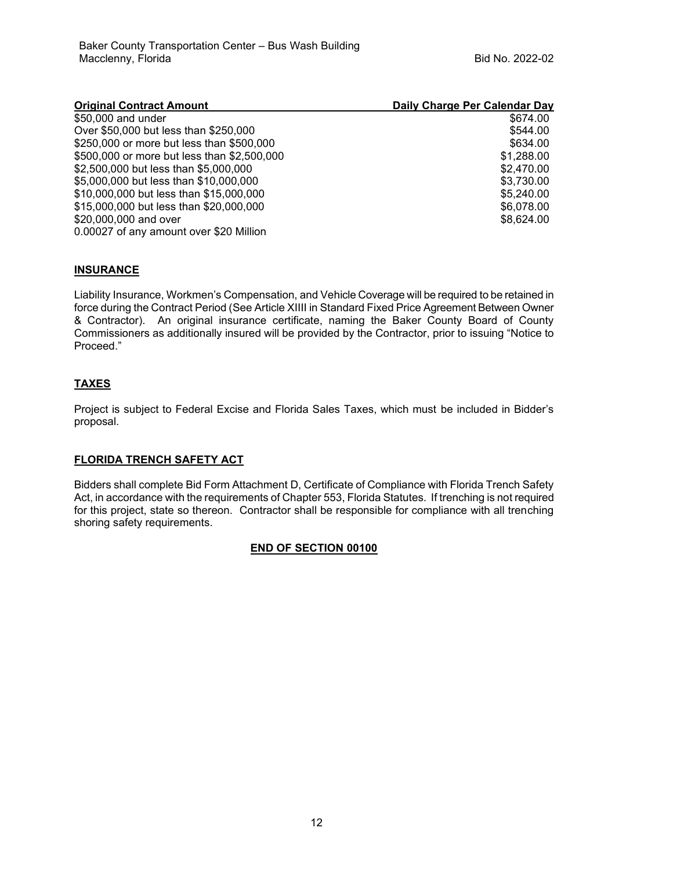| <b>Original Contract Amount</b>             | Daily Charge Per Calendar Day |
|---------------------------------------------|-------------------------------|
| \$50,000 and under                          | \$674.00                      |
| Over \$50,000 but less than \$250,000       | \$544.00                      |
| \$250,000 or more but less than \$500,000   | \$634.00                      |
| \$500,000 or more but less than \$2,500,000 | \$1,288.00                    |
| \$2,500,000 but less than \$5,000,000       | \$2,470.00                    |
| \$5,000,000 but less than \$10,000,000      | \$3,730.00                    |
| \$10,000,000 but less than \$15,000,000     | \$5,240.00                    |
| \$15,000,000 but less than \$20,000,000     | \$6,078.00                    |
| \$20,000,000 and over                       | \$8,624,00                    |
| 0.00027 of any amount over \$20 Million     |                               |

### **INSURANCE**

Liability Insurance, Workmen's Compensation, and Vehicle Coverage will be required to be retained in force during the Contract Period (See Article XIIII in Standard Fixed Price Agreement Between Owner & Contractor). An original insurance certificate, naming the Baker County Board of County Commissioners as additionally insured will be provided by the Contractor, prior to issuing "Notice to Proceed."

# **TAXES**

Project is subject to Federal Excise and Florida Sales Taxes, which must be included in Bidder's proposal.

# **FLORIDA TRENCH SAFETY ACT**

Bidders shall complete Bid Form Attachment D, Certificate of Compliance with Florida Trench Safety Act, in accordance with the requirements of Chapter 553, Florida Statutes. If trenching is not required for this project, state so thereon. Contractor shall be responsible for compliance with all trenching shoring safety requirements.

#### **END OF SECTION 00100**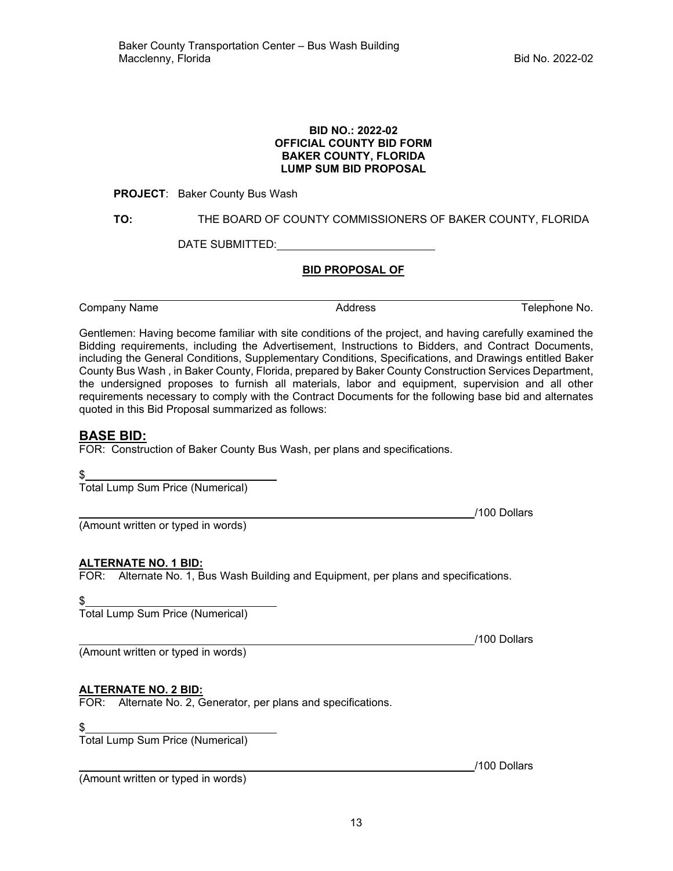#### **BID NO.: 2022-02 OFFICIAL COUNTY BID FORM BAKER COUNTY, FLORIDA LUMP SUM BID PROPOSAL**

# **PROJECT**: Baker County Bus Wash

**TO:** THE BOARD OF COUNTY COMMISSIONERS OF BAKER COUNTY, FLORIDA

DATE SUBMITTED:

# **BID PROPOSAL OF**

Company Name **Address** Address **Telephone No.** Address **Telephone No.** 2014

Gentlemen: Having become familiar with site conditions of the project, and having carefully examined the Bidding requirements, including the Advertisement, Instructions to Bidders, and Contract Documents, including the General Conditions, Supplementary Conditions, Specifications, and Drawings entitled Baker County Bus Wash , in Baker County, Florida, prepared by Baker County Construction Services Department, the undersigned proposes to furnish all materials, labor and equipment, supervision and all other requirements necessary to comply with the Contract Documents for the following base bid and alternates quoted in this Bid Proposal summarized as follows:

# **BASE BID:**

FOR: Construction of Baker County Bus Wash, per plans and specifications.

 $$^{\circ}$ 

Total Lump Sum Price (Numerical)

(Amount written or typed in words)

# **ALTERNATE NO. 1 BID:**

FOR: Alternate No. 1, Bus Wash Building and Equipment, per plans and specifications.

\$

Total Lump Sum Price (Numerical)

(Amount written or typed in words)

# **ALTERNATE NO. 2 BID:**

FOR: Alternate No. 2, Generator, per plans and specifications.

\$

Total Lump Sum Price (Numerical)

(Amount written or typed in words)

/100 Dollars

/100 Dollars

/100 Dollars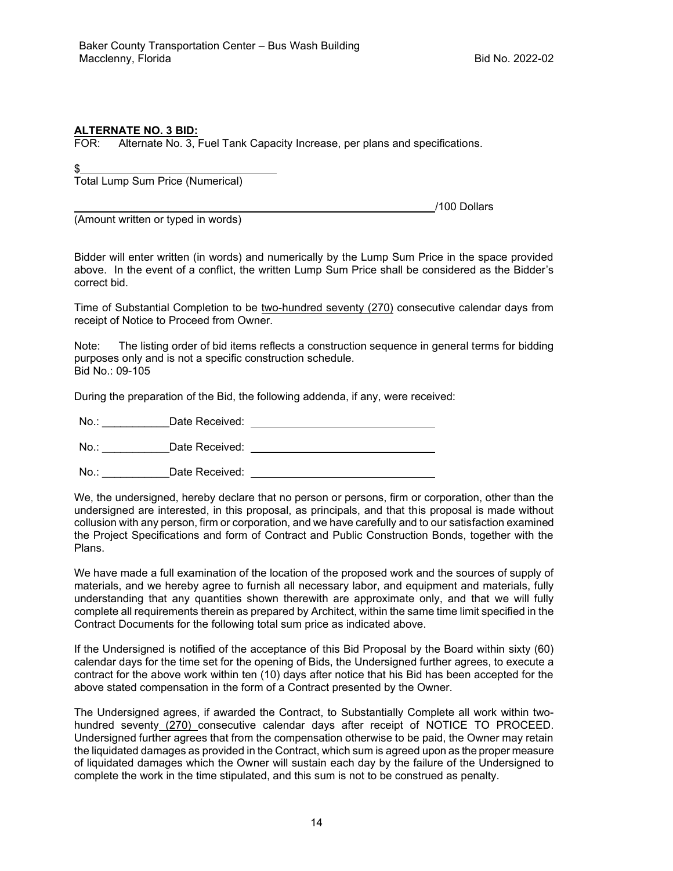#### **ALTERNATE NO. 3 BID:**

FOR: Alternate No. 3, Fuel Tank Capacity Increase, per plans and specifications.

\$

Total Lump Sum Price (Numerical)

(Amount written or typed in words)

Bidder will enter written (in words) and numerically by the Lump Sum Price in the space provided above. In the event of a conflict, the written Lump Sum Price shall be considered as the Bidder's correct bid.

/100 Dollars

Time of Substantial Completion to be two-hundred seventy (270) consecutive calendar days from receipt of Notice to Proceed from Owner.

Note: The listing order of bid items reflects a construction sequence in general terms for bidding purposes only and is not a specific construction schedule. Bid No.: 09-105

During the preparation of the Bid, the following addenda, if any, were received:

No.: \_\_\_\_\_\_\_\_\_\_\_Date Received:

No.: Cate Received:

No.: \_\_\_\_\_\_\_\_\_\_\_Date Received:

We, the undersigned, hereby declare that no person or persons, firm or corporation, other than the undersigned are interested, in this proposal, as principals, and that this proposal is made without collusion with any person, firm or corporation, and we have carefully and to our satisfaction examined the Project Specifications and form of Contract and Public Construction Bonds, together with the Plans.

We have made a full examination of the location of the proposed work and the sources of supply of materials, and we hereby agree to furnish all necessary labor, and equipment and materials, fully understanding that any quantities shown therewith are approximate only, and that we will fully complete all requirements therein as prepared by Architect, within the same time limit specified in the Contract Documents for the following total sum price as indicated above.

If the Undersigned is notified of the acceptance of this Bid Proposal by the Board within sixty (60) calendar days for the time set for the opening of Bids, the Undersigned further agrees, to execute a contract for the above work within ten (10) days after notice that his Bid has been accepted for the above stated compensation in the form of a Contract presented by the Owner.

The Undersigned agrees, if awarded the Contract, to Substantially Complete all work within twohundred seventy (270) consecutive calendar days after receipt of NOTICE TO PROCEED. Undersigned further agrees that from the compensation otherwise to be paid, the Owner may retain the liquidated damages as provided in the Contract, which sum is agreed upon as the proper measure of liquidated damages which the Owner will sustain each day by the failure of the Undersigned to complete the work in the time stipulated, and this sum is not to be construed as penalty.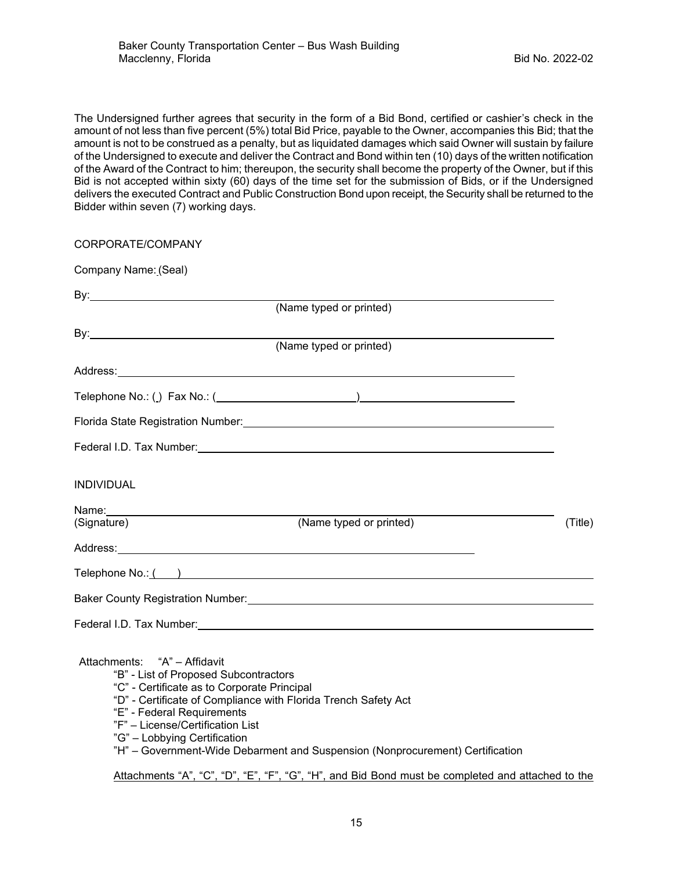The Undersigned further agrees that security in the form of a Bid Bond, certified or cashier's check in the amount of not less than five percent (5%) total Bid Price, payable to the Owner, accompanies this Bid; that the amount is not to be construed as a penalty, but as liquidated damages which said Owner will sustain by failure of the Undersigned to execute and deliver the Contract and Bond within ten (10) days of the written notification of the Award of the Contract to him; thereupon, the security shall become the property of the Owner, but if this Bid is not accepted within sixty (60) days of the time set for the submission of Bids, or if the Undersigned delivers the executed Contract and Public Construction Bond upon receipt, the Security shall be returned to the Bidder within seven (7) working days.

| CORPORATE/COMPANY                                                                                                                                                                                                                                                                                                                                                         |         |
|---------------------------------------------------------------------------------------------------------------------------------------------------------------------------------------------------------------------------------------------------------------------------------------------------------------------------------------------------------------------------|---------|
| Company Name: (Seal)                                                                                                                                                                                                                                                                                                                                                      |         |
| (Name typed or printed)                                                                                                                                                                                                                                                                                                                                                   |         |
|                                                                                                                                                                                                                                                                                                                                                                           |         |
| (Name typed or printed)                                                                                                                                                                                                                                                                                                                                                   |         |
|                                                                                                                                                                                                                                                                                                                                                                           |         |
| Telephone No.: () Fax No.: ( 2020)                                                                                                                                                                                                                                                                                                                                        |         |
|                                                                                                                                                                                                                                                                                                                                                                           |         |
|                                                                                                                                                                                                                                                                                                                                                                           |         |
| <b>INDIVIDUAL</b>                                                                                                                                                                                                                                                                                                                                                         |         |
| (Name typed or printed)<br>(Signature)                                                                                                                                                                                                                                                                                                                                    | (Title) |
| Address: Address: Address: Address: Address: Address: Address: Address: Address: Address: Address: A                                                                                                                                                                                                                                                                      |         |
| Telephone No.: ( ) and the set of the set of the set of the set of the set of the set of the set of the set of the set of the set of the set of the set of the set of the set of the set of the set of the set of the set of t                                                                                                                                            |         |
|                                                                                                                                                                                                                                                                                                                                                                           |         |
|                                                                                                                                                                                                                                                                                                                                                                           |         |
| Attachments: "A" - Affidavit<br>"B" - List of Proposed Subcontractors<br>"C" - Certificate as to Corporate Principal<br>"D" - Certificate of Compliance with Florida Trench Safety Act<br>"E" - Federal Requirements<br>"F" - License/Certification List<br>"G" - Lobbying Certification<br>"H" - Government-Wide Debarment and Suspension (Nonprocurement) Certification |         |

Attachments "A", "C", "D", "E", "F", "G", "H", and Bid Bond must be completed and attached to the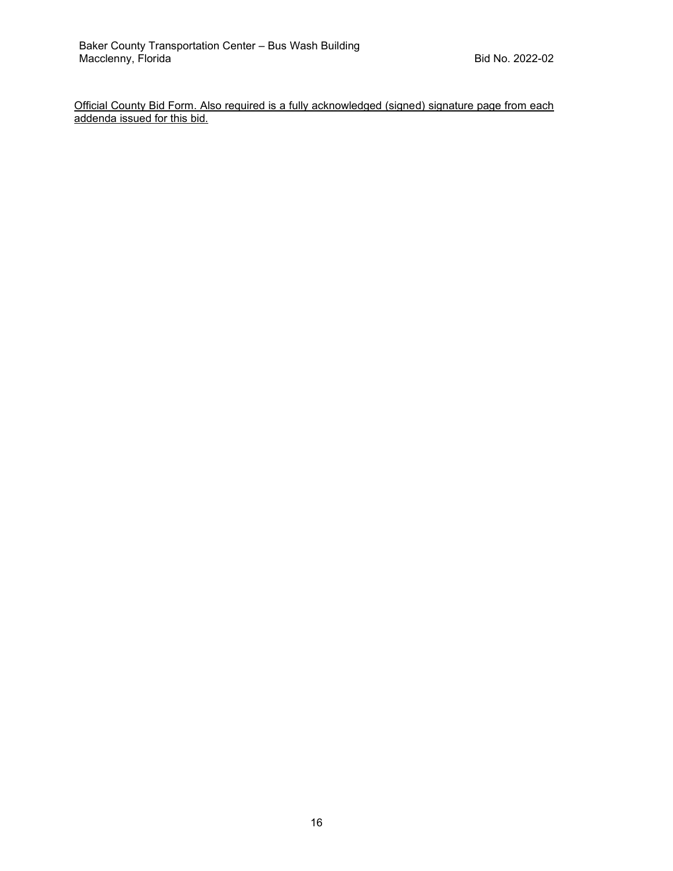Official County Bid Form. Also required is a fully acknowledged (signed) signature page from each addenda issued for this bid.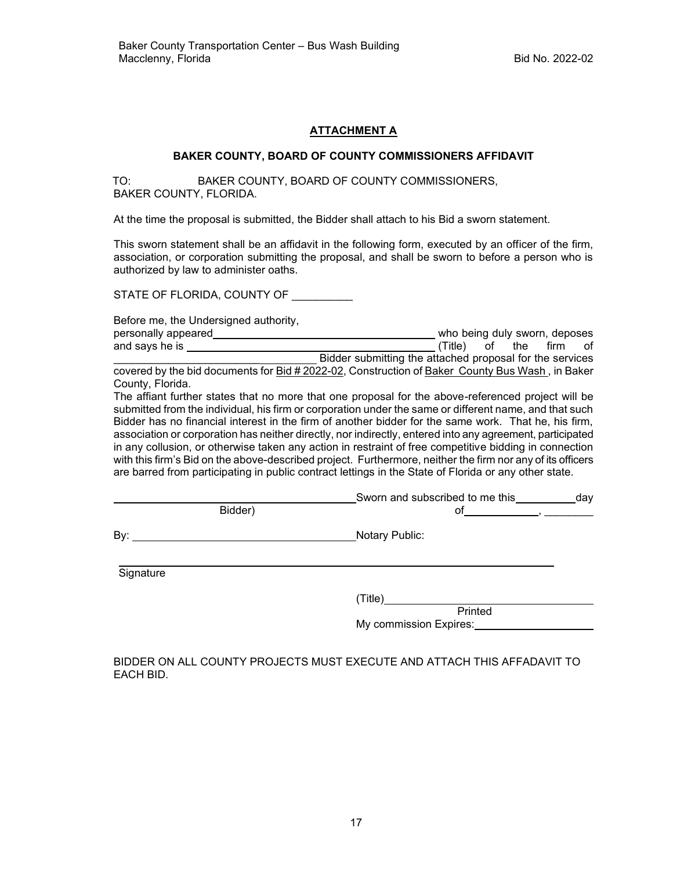# **ATTACHMENT A**

# **BAKER COUNTY, BOARD OF COUNTY COMMISSIONERS AFFIDAVIT**

 TO: BAKER COUNTY, BOARD OF COUNTY COMMISSIONERS, BAKER COUNTY, FLORIDA.

At the time the proposal is submitted, the Bidder shall attach to his Bid a sworn statement.

This sworn statement shall be an affidavit in the following form, executed by an officer of the firm, association, or corporation submitting the proposal, and shall be sworn to before a person who is authorized by law to administer oaths.

STATE OF FLORIDA, COUNTY OF

Before me, the Undersigned authority, personally appeared who being duly sworn, deposes and says he is (Title) of the firm of Bidder submitting the attached proposal for the services covered by the bid documents for Bid # 2022-02, Construction of Baker County Bus Wash , in Baker

County, Florida.

The affiant further states that no more that one proposal for the above-referenced project will be submitted from the individual, his firm or corporation under the same or different name, and that such Bidder has no financial interest in the firm of another bidder for the same work. That he, his firm, association or corporation has neither directly, nor indirectly, entered into any agreement, participated in any collusion, or otherwise taken any action in restraint of free competitive bidding in connection with this firm's Bid on the above-described project. Furthermore, neither the firm nor any of its officers are barred from participating in public contract lettings in the State of Florida or any other state.

|         | Sworn and subscribed to me this | dav |
|---------|---------------------------------|-----|
| Bidder) |                                 |     |
|         |                                 |     |

By: Notary Public:

Signature

(Title)

Printed My commission Expires:

BIDDER ON ALL COUNTY PROJECTS MUST EXECUTE AND ATTACH THIS AFFADAVIT TO EACH BID.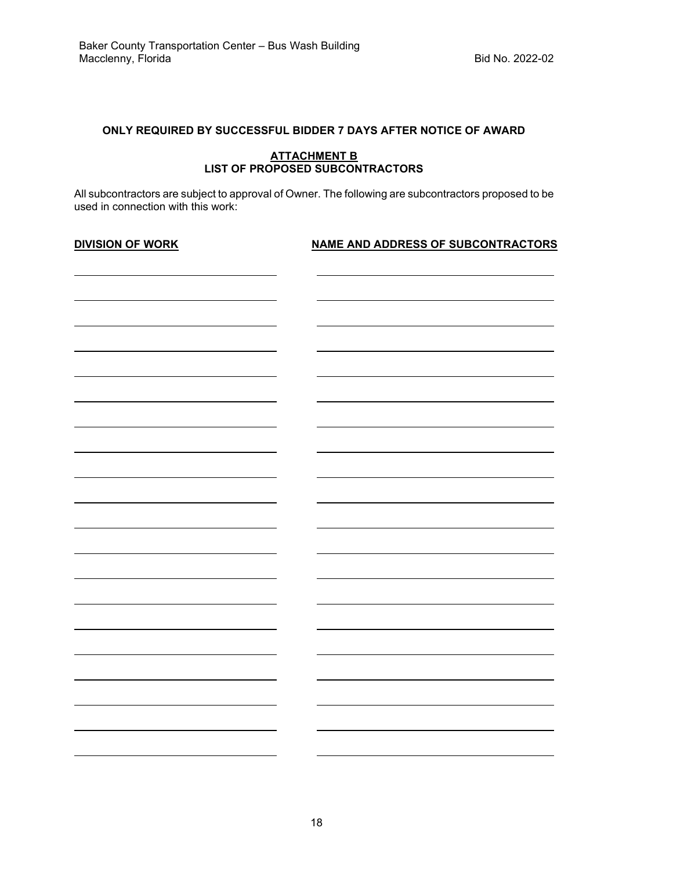# **ONLY REQUIRED BY SUCCESSFUL BIDDER 7 DAYS AFTER NOTICE OF AWARD**

#### **ATTACHMENT B LIST OF PROPOSED SUBCONTRACTORS**

All subcontractors are subject to approval of Owner. The following are subcontractors proposed to be used in connection with this work:

**DIVISION OF WORK NAME AND ADDRESS OF SUBCONTRACTORS**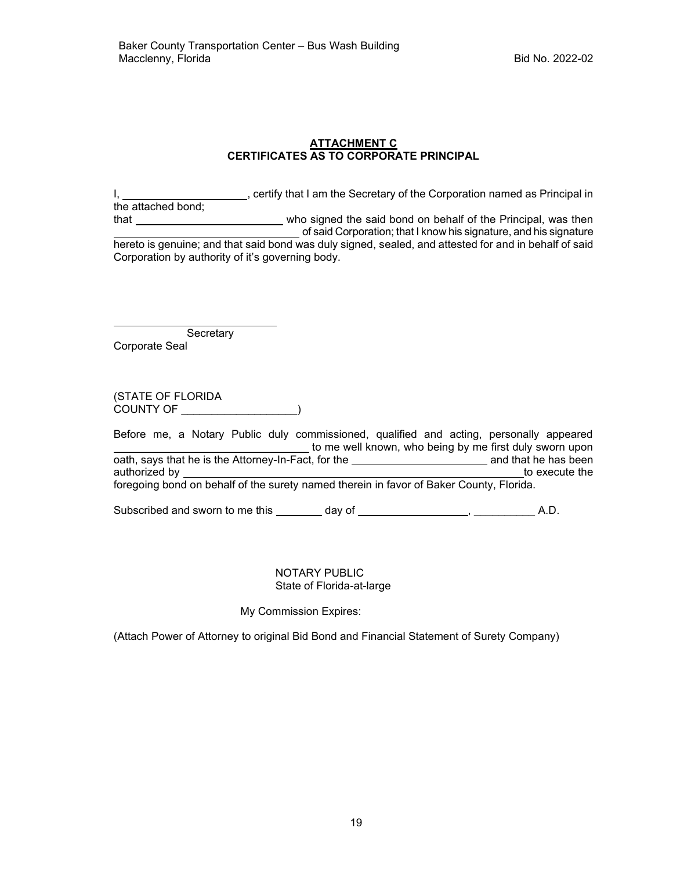# **ATTACHMENT C CERTIFICATES AS TO CORPORATE PRINCIPAL**

| the attached bond;                                                                                                     |                                                                                                                                                                            |
|------------------------------------------------------------------------------------------------------------------------|----------------------------------------------------------------------------------------------------------------------------------------------------------------------------|
|                                                                                                                        | of said Corporation; that I know his signature, and his signature<br>hereto is genuine; and that said bond was duly signed, sealed, and attested for and in behalf of said |
| Corporation by authority of it's governing body.                                                                       |                                                                                                                                                                            |
|                                                                                                                        |                                                                                                                                                                            |
| Secretary<br>Corporate Seal                                                                                            |                                                                                                                                                                            |
| (STATE OF FLORIDA<br>COUNTY OF <b>EXAMPLE STATE</b>                                                                    |                                                                                                                                                                            |
|                                                                                                                        | Before me, a Notary Public duly commissioned, qualified and acting, personally appeared<br>to me well known, who being by me first duly sworn upon                         |
| authorized by ______________to (oregoing bond on behalf of the surety named therein in favor of Baker County, Florida. | to execute the                                                                                                                                                             |
|                                                                                                                        |                                                                                                                                                                            |
| Subscribed and sworn to me this ________ day of _________________________________                                      | A.D.                                                                                                                                                                       |

#### NOTARY PUBLIC State of Florida-at-large

My Commission Expires:

(Attach Power of Attorney to original Bid Bond and Financial Statement of Surety Company)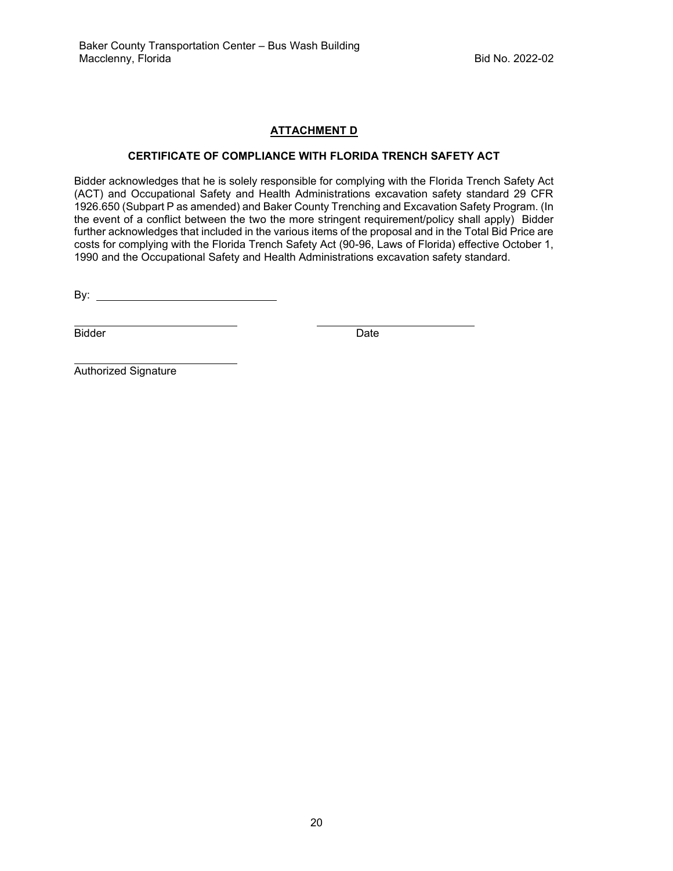# **ATTACHMENT D**

# **CERTIFICATE OF COMPLIANCE WITH FLORIDA TRENCH SAFETY ACT**

Bidder acknowledges that he is solely responsible for complying with the Florida Trench Safety Act (ACT) and Occupational Safety and Health Administrations excavation safety standard 29 CFR 1926.650 (Subpart P as amended) and Baker County Trenching and Excavation Safety Program. (In the event of a conflict between the two the more stringent requirement/policy shall apply) Bidder further acknowledges that included in the various items of the proposal and in the Total Bid Price are costs for complying with the Florida Trench Safety Act (90-96, Laws of Florida) effective October 1, 1990 and the Occupational Safety and Health Administrations excavation safety standard.

By:

i<br>L

 $\mathcal{L}$ 

Bidder Date

Authorized Signature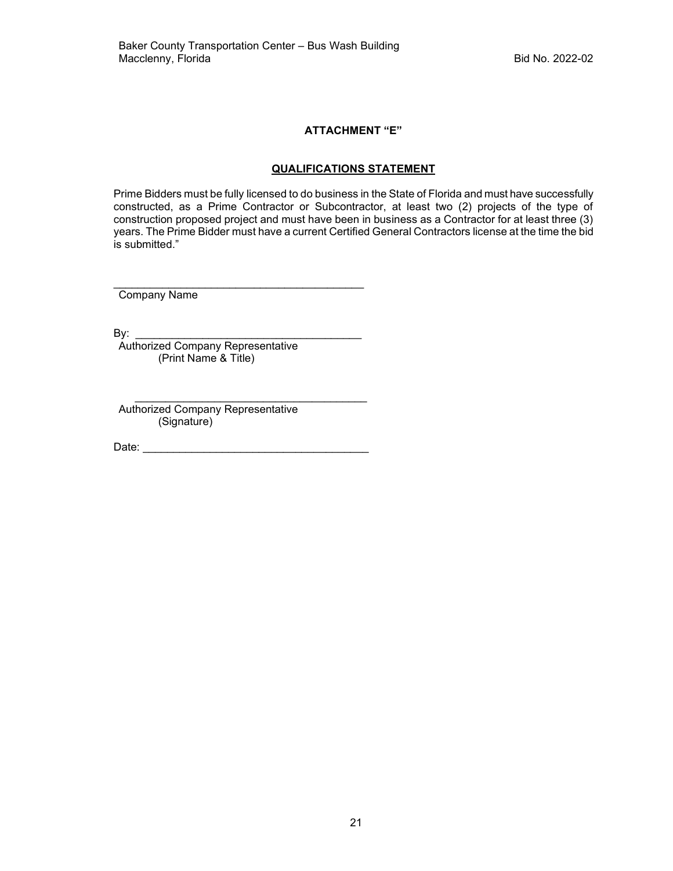# **ATTACHMENT "E"**

# **QUALIFICATIONS STATEMENT**

Prime Bidders must be fully licensed to do business in the State of Florida and must have successfully constructed, as a Prime Contractor or Subcontractor, at least two (2) projects of the type of construction proposed project and must have been in business as a Contractor for at least three (3) years. The Prime Bidder must have a current Certified General Contractors license at the time the bid is submitted."

\_\_\_\_\_\_\_\_\_\_\_\_\_\_\_\_\_\_\_\_\_\_\_\_\_\_\_\_\_\_\_\_\_\_\_\_\_\_\_\_\_ Company Name

By: \_\_\_\_\_\_\_\_\_\_\_\_\_\_\_\_\_\_\_\_\_\_\_\_\_\_\_\_\_\_\_\_\_\_\_\_\_ Authorized Company Representative (Print Name & Title)

Authorized Company Representative (Signature)

\_\_\_\_\_\_\_\_\_\_\_\_\_\_\_\_\_\_\_\_\_\_\_\_\_\_\_\_\_\_\_\_\_\_\_\_\_\_

Date: \_\_\_\_\_\_\_\_\_\_\_\_\_\_\_\_\_\_\_\_\_\_\_\_\_\_\_\_\_\_\_\_\_\_\_\_\_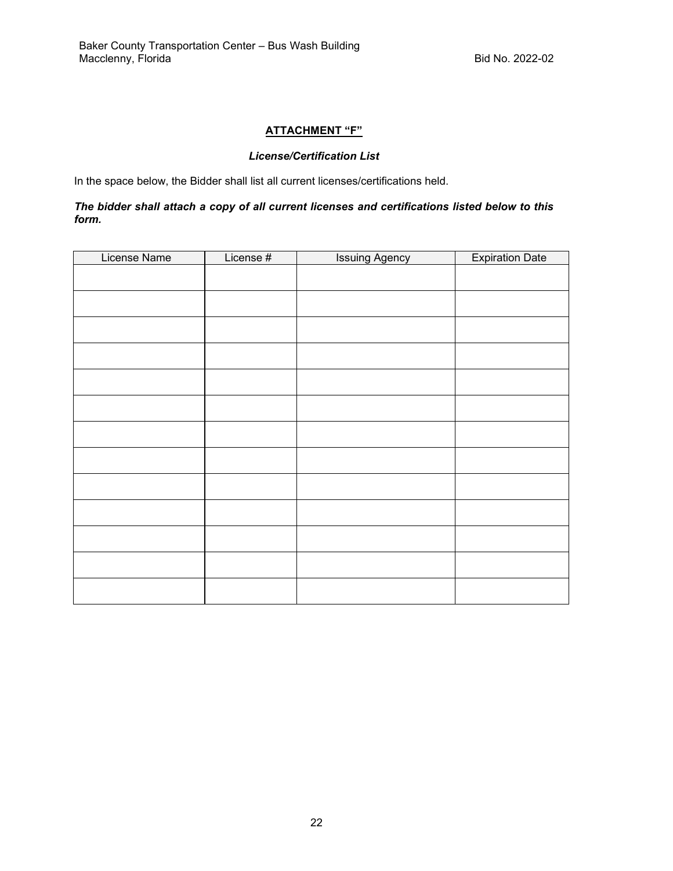# **ATTACHMENT "F"**

### *License/Certification List*

In the space below, the Bidder shall list all current licenses/certifications held.

# *The bidder shall attach a copy of all current licenses and certifications listed below to this form.*

| License Name | License # | <b>Issuing Agency</b> | <b>Expiration Date</b> |
|--------------|-----------|-----------------------|------------------------|
|              |           |                       |                        |
|              |           |                       |                        |
|              |           |                       |                        |
|              |           |                       |                        |
|              |           |                       |                        |
|              |           |                       |                        |
|              |           |                       |                        |
|              |           |                       |                        |
|              |           |                       |                        |
|              |           |                       |                        |
|              |           |                       |                        |
|              |           |                       |                        |
|              |           |                       |                        |
|              |           |                       |                        |
|              |           |                       |                        |
|              |           |                       |                        |
|              |           |                       |                        |
|              |           |                       |                        |
|              |           |                       |                        |
|              |           |                       |                        |
|              |           |                       |                        |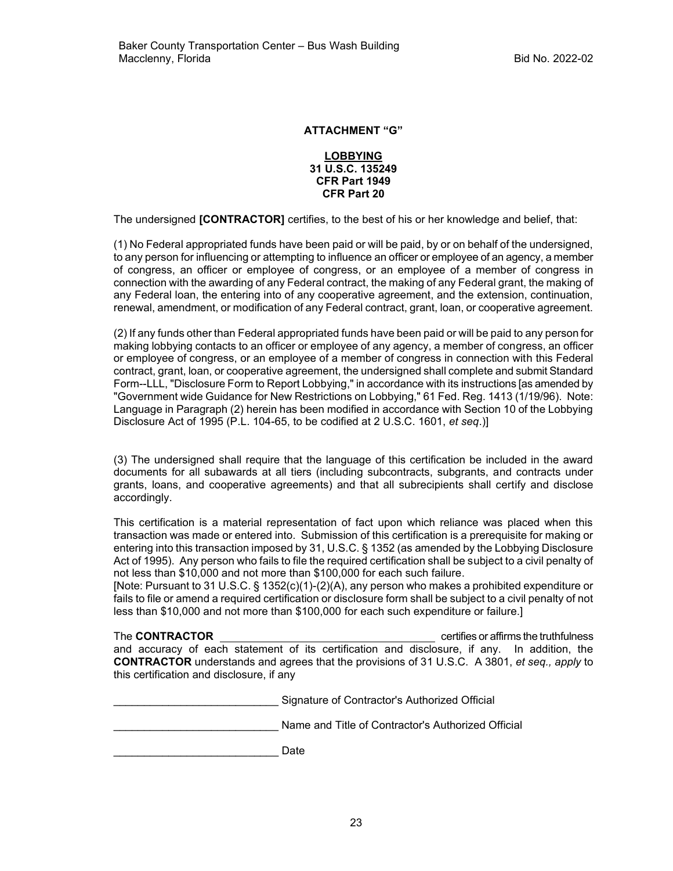# **ATTACHMENT "G"**

**LOBBYING 31 U.S.C. 135249 CFR Part 1949 CFR Part 20**

The undersigned **[CONTRACTOR]** certifies, to the best of his or her knowledge and belief, that:

(1) No Federal appropriated funds have been paid or will be paid, by or on behalf of the undersigned, to any person for influencing or attempting to influence an officer or employee of an agency, a member of congress, an officer or employee of congress, or an employee of a member of congress in connection with the awarding of any Federal contract, the making of any Federal grant, the making of any Federal loan, the entering into of any cooperative agreement, and the extension, continuation, renewal, amendment, or modification of any Federal contract, grant, loan, or cooperative agreement.

(2) If any funds other than Federal appropriated funds have been paid or will be paid to any person for making lobbying contacts to an officer or employee of any agency, a member of congress, an officer or employee of congress, or an employee of a member of congress in connection with this Federal contract, grant, loan, or cooperative agreement, the undersigned shall complete and submit Standard Form--LLL, "Disclosure Form to Report Lobbying," in accordance with its instructions [as amended by "Government wide Guidance for New Restrictions on Lobbying," 61 Fed. Reg. 1413 (1/19/96). Note: Language in Paragraph (2) herein has been modified in accordance with Section 10 of the Lobbying Disclosure Act of 1995 (P.L. 104-65, to be codified at 2 U.S.C. 1601, *et seq*.)]

(3) The undersigned shall require that the language of this certification be included in the award documents for all subawards at all tiers (including subcontracts, subgrants, and contracts under grants, loans, and cooperative agreements) and that all subrecipients shall certify and disclose accordingly.

This certification is a material representation of fact upon which reliance was placed when this transaction was made or entered into. Submission of this certification is a prerequisite for making or entering into this transaction imposed by 31, U.S.C. § 1352 (as amended by the Lobbying Disclosure Act of 1995). Any person who fails to file the required certification shall be subject to a civil penalty of not less than \$10,000 and not more than \$100,000 for each such failure.

[Note: Pursuant to 31 U.S.C. § 1352(c)(1)-(2)(A), any person who makes a prohibited expenditure or fails to file or amend a required certification or disclosure form shall be subject to a civil penalty of not less than \$10,000 and not more than \$100,000 for each such expenditure or failure.]

The **CONTRACTOR** certifies or affirms the truthfulness and accuracy of each statement of its certification and disclosure, if any. In addition, the **CONTRACTOR** understands and agrees that the provisions of 31 U.S.C. A 3801, *et seq., apply* to this certification and disclosure, if any

Signature of Contractor's Authorized Official Name and Title of Contractor's Authorized Official Date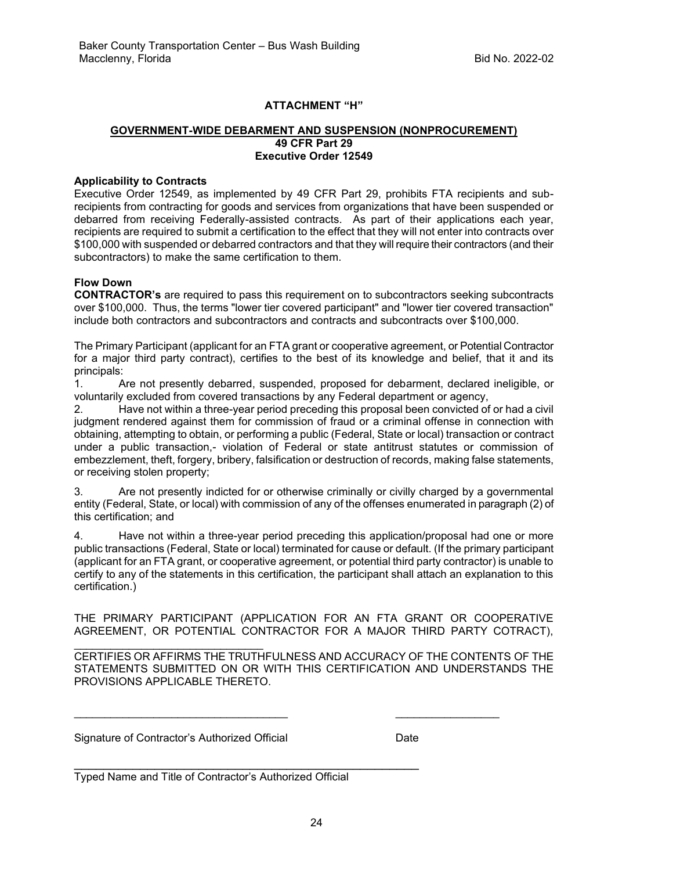# **ATTACHMENT "H"**

#### **GOVERNMENT-WIDE DEBARMENT AND SUSPENSION (NONPROCUREMENT) 49 CFR Part 29 Executive Order 12549**

#### **Applicability to Contracts**

Executive Order 12549, as implemented by 49 CFR Part 29, prohibits FTA recipients and subrecipients from contracting for goods and services from organizations that have been suspended or debarred from receiving Federally-assisted contracts. As part of their applications each year, recipients are required to submit a certification to the effect that they will not enter into contracts over \$100,000 with suspended or debarred contractors and that they will require their contractors (and their subcontractors) to make the same certification to them.

#### **Flow Down**

**CONTRACTOR's** are required to pass this requirement on to subcontractors seeking subcontracts over \$100,000. Thus, the terms "lower tier covered participant" and "lower tier covered transaction" include both contractors and subcontractors and contracts and subcontracts over \$100,000.

The Primary Participant (applicant for an FTA grant or cooperative agreement, or Potential Contractor for a major third party contract), certifies to the best of its knowledge and belief, that it and its principals:

1. Are not presently debarred, suspended, proposed for debarment, declared ineligible, or voluntarily excluded from covered transactions by any Federal department or agency,

2. Have not within a three-year period preceding this proposal been convicted of or had a civil judgment rendered against them for commission of fraud or a criminal offense in connection with obtaining, attempting to obtain, or performing a public (Federal, State or local) transaction or contract under a public transaction,- violation of Federal or state antitrust statutes or commission of embezzlement, theft, forgery, bribery, falsification or destruction of records, making false statements, or receiving stolen property;

3. Are not presently indicted for or otherwise criminally or civilly charged by a governmental entity (Federal, State, or local) with commission of any of the offenses enumerated in paragraph (2) of this certification; and

4. Have not within a three-year period preceding this application/proposal had one or more public transactions (Federal, State or local) terminated for cause or default. (If the primary participant (applicant for an FTA grant, or cooperative agreement, or potential third party contractor) is unable to certify to any of the statements in this certification, the participant shall attach an explanation to this certification.)

THE PRIMARY PARTICIPANT (APPLICATION FOR AN FTA GRANT OR COOPERATIVE AGREEMENT, OR POTENTIAL CONTRACTOR FOR A MAJOR THIRD PARTY COTRACT),

CERTIFIES OR AFFIRMS THE TRUTHFULNESS AND ACCURACY OF THE CONTENTS OF THE STATEMENTS SUBMITTED ON OR WITH THIS CERTIFICATION AND UNDERSTANDS THE PROVISIONS APPLICABLE THERETO.

 $\mathcal{L}_\text{max}$  , and the set of the set of the set of the set of the set of the set of the set of the set of the set of the set of the set of the set of the set of the set of the set of the set of the set of the set of the

Signature of Contractor's Authorized Official Date

 $\mathcal{L}_\text{max}$  , and the set of the set of the set of the set of the set of the set of the set of the set of the set of the set of the set of the set of the set of the set of the set of the set of the set of the set of the

 $\mathcal{L}_\text{max}$  , and the set of the set of the set of the set of the set of the set of the set of the set of the set of the set of the set of the set of the set of the set of the set of the set of the set of the set of the Typed Name and Title of Contractor's Authorized Official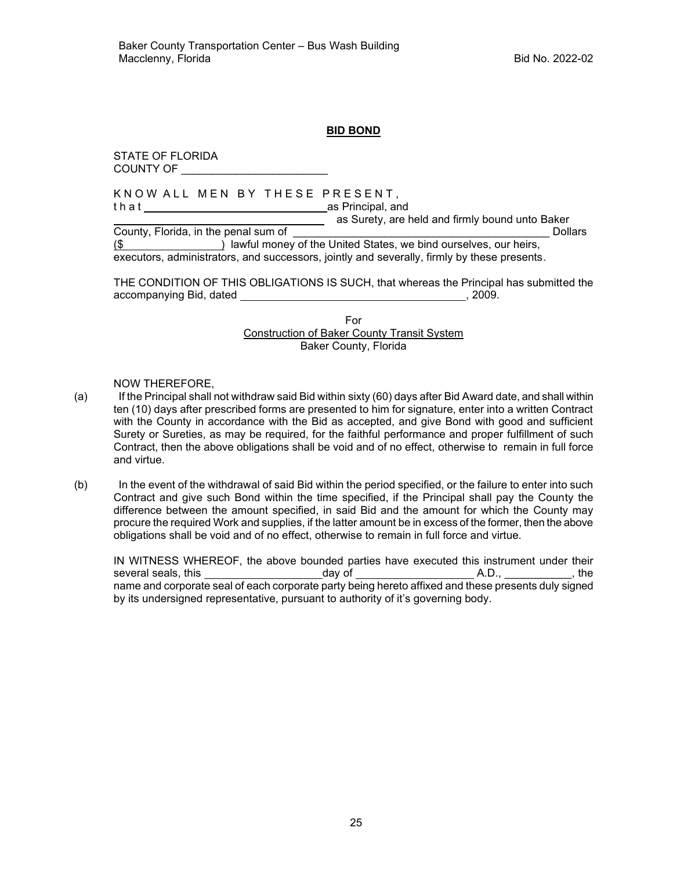# **BID BOND**

STATE OF FLORIDA COUNTY OF

KNOW ALL MEN BY THESE PRESENT,

that **contract to the set of the set of the set of the set of the set of the set of the set of the set of the s** 

as Surety, are held and firmly bound unto Baker

County, Florida, in the penal sum of **Example 2018** 2019 12:00 Nollars Dollars  $(\$$   $\qquad$  ) lawful money of the United States, we bind ourselves, our heirs, executors, administrators, and successors, jointly and severally, firmly by these presents.

THE CONDITION OF THIS OBLIGATIONS IS SUCH, that whereas the Principal has submitted the accompanying Bid, dated , 2009.

> For Construction of Baker County Transit System Baker County, Florida

NOW THEREFORE,

- (a) If the Principal shall not withdraw said Bid within sixty (60) days after Bid Award date, and shall within ten (10) days after prescribed forms are presented to him for signature, enter into a written Contract with the County in accordance with the Bid as accepted, and give Bond with good and sufficient Surety or Sureties, as may be required, for the faithful performance and proper fulfillment of such Contract, then the above obligations shall be void and of no effect, otherwise to remain in full force and virtue.
- (b) In the event of the withdrawal of said Bid within the period specified, or the failure to enter into such Contract and give such Bond within the time specified, if the Principal shall pay the County the difference between the amount specified, in said Bid and the amount for which the County may procure the required Work and supplies, if the latter amount be in excess of the former, then the above obligations shall be void and of no effect, otherwise to remain in full force and virtue.

IN WITNESS WHEREOF, the above bounded parties have executed this instrument under their several seals, this the control of the day of the A.D., the several seals, the several seals, the several seals name and corporate seal of each corporate party being hereto affixed and these presents duly signed by its undersigned representative, pursuant to authority of it's governing body.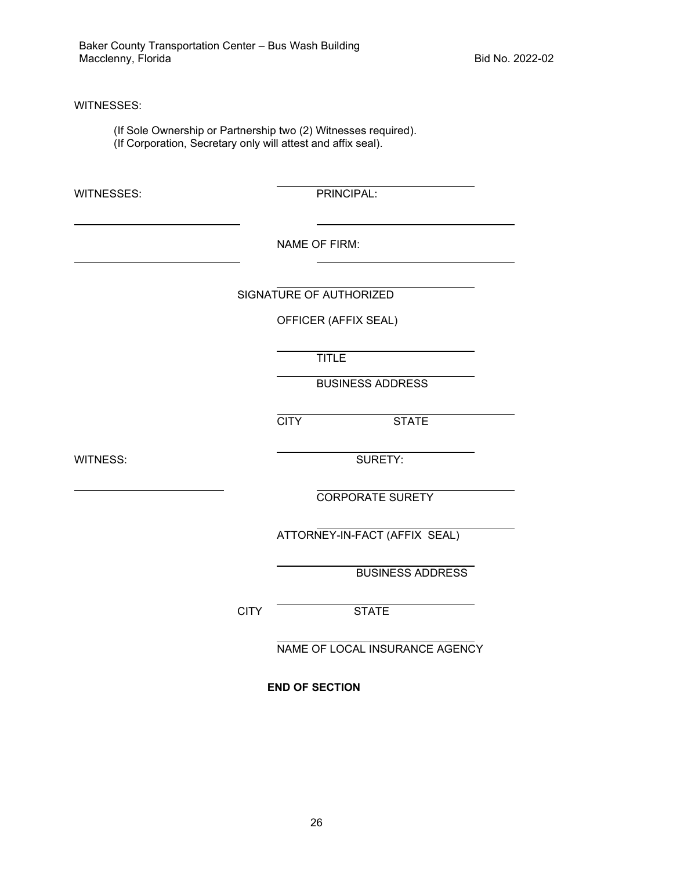#### WITNESSES:

(If Sole Ownership or Partnership two (2) Witnesses required). (If Corporation, Secretary only will attest and affix seal).

WITNESSES: PRINCIPAL:

 $\overline{a}$ 

 $\overline{a}$ 

NAME OF FIRM:

SIGNATURE OF AUTHORIZED

OFFICER (AFFIX SEAL)

**TITLE** 

BUSINESS ADDRESS

CITY STATE

 $\overline{a}$ 

WITNESS: SURETY:

CORPORATE SURETY

ATTORNEY-IN-FACT (AFFIX SEAL)

BUSINESS ADDRESS

CITY STATE

NAME OF LOCAL INSURANCE AGENCY

**END OF SECTION**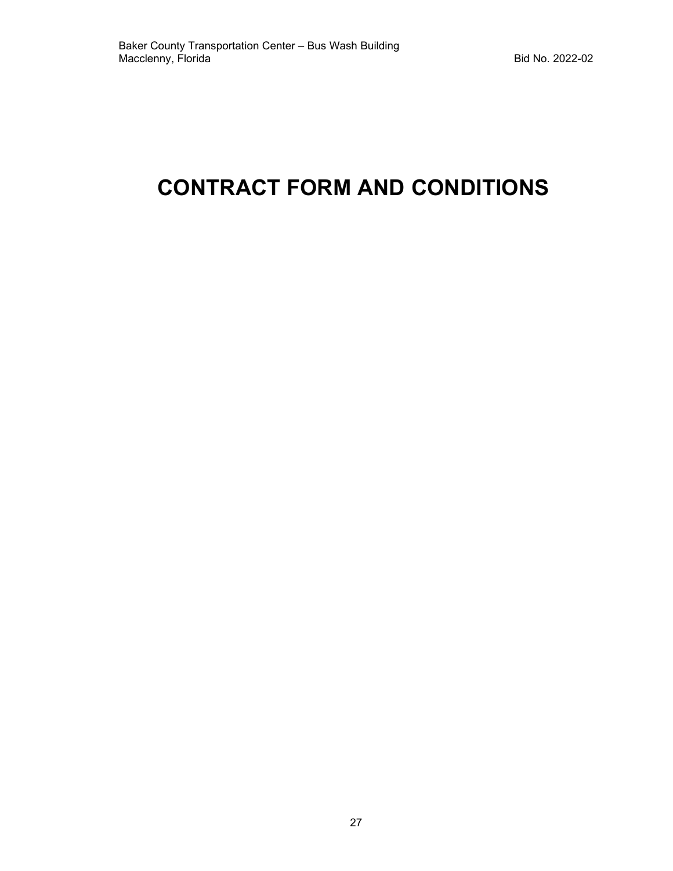# **CONTRACT FORM AND CONDITIONS**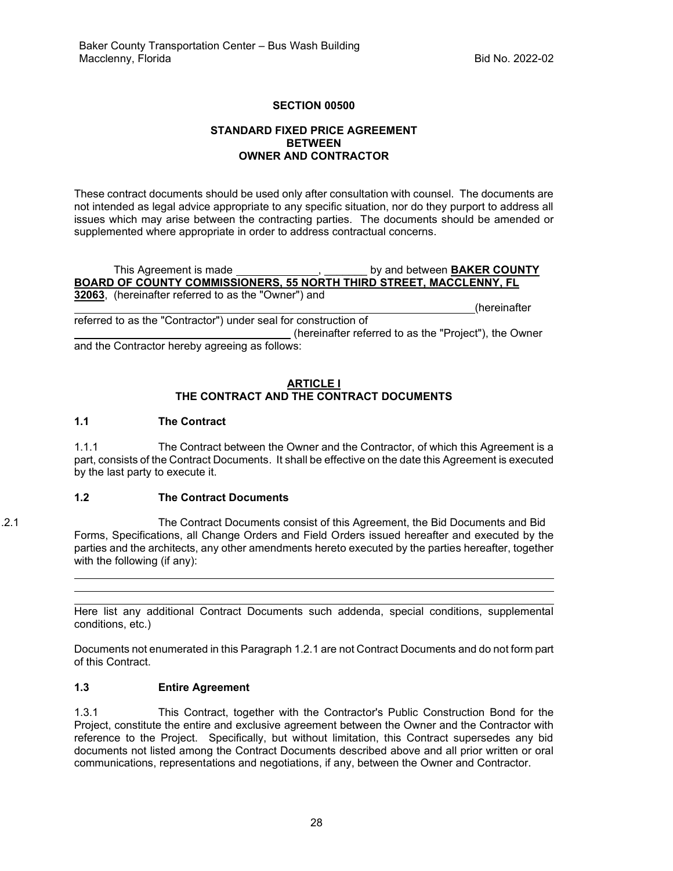# **SECTION 00500**

# **STANDARD FIXED PRICE AGREEMENT BETWEEN OWNER AND CONTRACTOR**

These contract documents should be used only after consultation with counsel. The documents are not intended as legal advice appropriate to any specific situation, nor do they purport to address all issues which may arise between the contracting parties. The documents should be amended or supplemented where appropriate in order to address contractual concerns.

This Agreement is made  $\qquad \qquad$  by and between **BAKER COUNTY BOARD OF COUNTY COMMISSIONERS, 55 NORTH THIRD STREET, MACCLENNY, FL 32063**, (hereinafter referred to as the "Owner") and

 (hereinafter referred to as the "Contractor") under seal for construction of (hereinafter referred to as the "Project"), the Owner and the Contractor hereby agreeing as follows:

#### **ARTICLE I THE CONTRACT AND THE CONTRACT DOCUMENTS**

### **1.1 The Contract**

1.1.1 The Contract between the Owner and the Contractor, of which this Agreement is a part, consists of the Contract Documents. It shall be effective on the date this Agreement is executed by the last party to execute it.

# **1.2 The Contract Documents**

1.2.1 The Contract Documents consist of this Agreement, the Bid Documents and Bid Forms, Specifications, all Change Orders and Field Orders issued hereafter and executed by the parties and the architects, any other amendments hereto executed by the parties hereafter, together with the following (if any):

> Here list any additional Contract Documents such addenda, special conditions, supplemental conditions, etc.)

> Documents not enumerated in this Paragraph 1.2.1 are not Contract Documents and do not form part of this Contract.

# **1.3 Entire Agreement**

1.3.1 This Contract, together with the Contractor's Public Construction Bond for the Project, constitute the entire and exclusive agreement between the Owner and the Contractor with reference to the Project. Specifically, but without limitation, this Contract supersedes any bid documents not listed among the Contract Documents described above and all prior written or oral communications, representations and negotiations, if any, between the Owner and Contractor.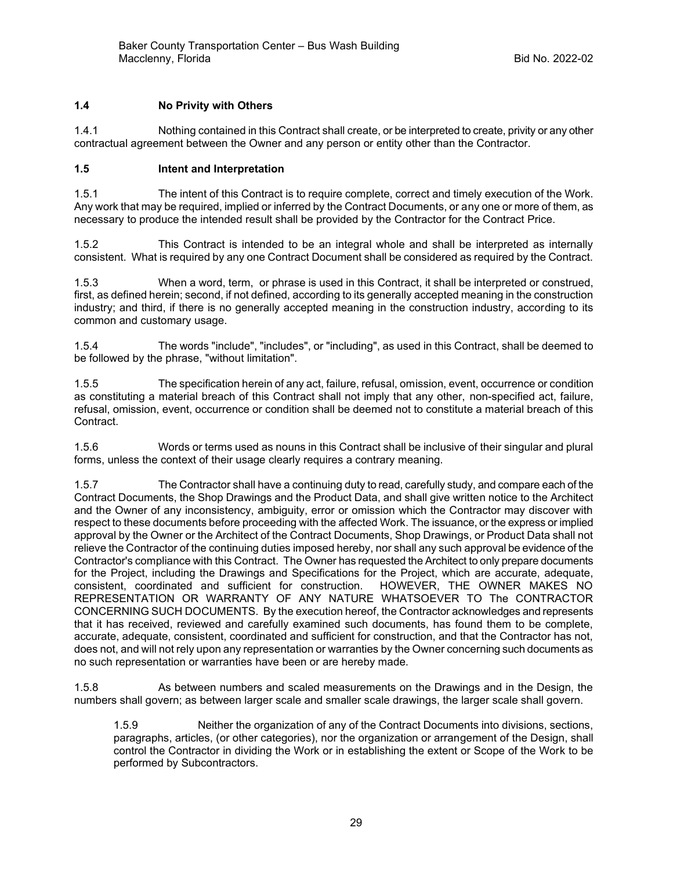# **1.4 No Privity with Others**

1.4.1 Nothing contained in this Contract shall create, or be interpreted to create, privity or any other contractual agreement between the Owner and any person or entity other than the Contractor.

# **1.5 Intent and Interpretation**

1.5.1 The intent of this Contract is to require complete, correct and timely execution of the Work. Any work that may be required, implied or inferred by the Contract Documents, or any one or more of them, as necessary to produce the intended result shall be provided by the Contractor for the Contract Price.

1.5.2 This Contract is intended to be an integral whole and shall be interpreted as internally consistent. What is required by any one Contract Document shall be considered as required by the Contract.

1.5.3 When a word, term, or phrase is used in this Contract, it shall be interpreted or construed, first, as defined herein; second, if not defined, according to its generally accepted meaning in the construction industry; and third, if there is no generally accepted meaning in the construction industry, according to its common and customary usage.

1.5.4 The words "include", "includes", or "including", as used in this Contract, shall be deemed to be followed by the phrase, "without limitation".

1.5.5 The specification herein of any act, failure, refusal, omission, event, occurrence or condition as constituting a material breach of this Contract shall not imply that any other, non-specified act, failure, refusal, omission, event, occurrence or condition shall be deemed not to constitute a material breach of this Contract.

1.5.6 Words or terms used as nouns in this Contract shall be inclusive of their singular and plural forms, unless the context of their usage clearly requires a contrary meaning.

1.5.7 The Contractor shall have a continuing duty to read, carefully study, and compare each of the Contract Documents, the Shop Drawings and the Product Data, and shall give written notice to the Architect and the Owner of any inconsistency, ambiguity, error or omission which the Contractor may discover with respect to these documents before proceeding with the affected Work. The issuance, or the express or implied approval by the Owner or the Architect of the Contract Documents, Shop Drawings, or Product Data shall not relieve the Contractor of the continuing duties imposed hereby, nor shall any such approval be evidence of the Contractor's compliance with this Contract. The Owner has requested the Architect to only prepare documents for the Project, including the Drawings and Specifications for the Project, which are accurate, adequate, consistent, coordinated and sufficient for construction. HOWEVER, THE OWNER MAKES NO REPRESENTATION OR WARRANTY OF ANY NATURE WHATSOEVER TO The CONTRACTOR CONCERNING SUCH DOCUMENTS. By the execution hereof, the Contractor acknowledges and represents that it has received, reviewed and carefully examined such documents, has found them to be complete, accurate, adequate, consistent, coordinated and sufficient for construction, and that the Contractor has not, does not, and will not rely upon any representation or warranties by the Owner concerning such documents as no such representation or warranties have been or are hereby made.

1.5.8 As between numbers and scaled measurements on the Drawings and in the Design, the numbers shall govern; as between larger scale and smaller scale drawings, the larger scale shall govern.

1.5.9 Neither the organization of any of the Contract Documents into divisions, sections, paragraphs, articles, (or other categories), nor the organization or arrangement of the Design, shall control the Contractor in dividing the Work or in establishing the extent or Scope of the Work to be performed by Subcontractors.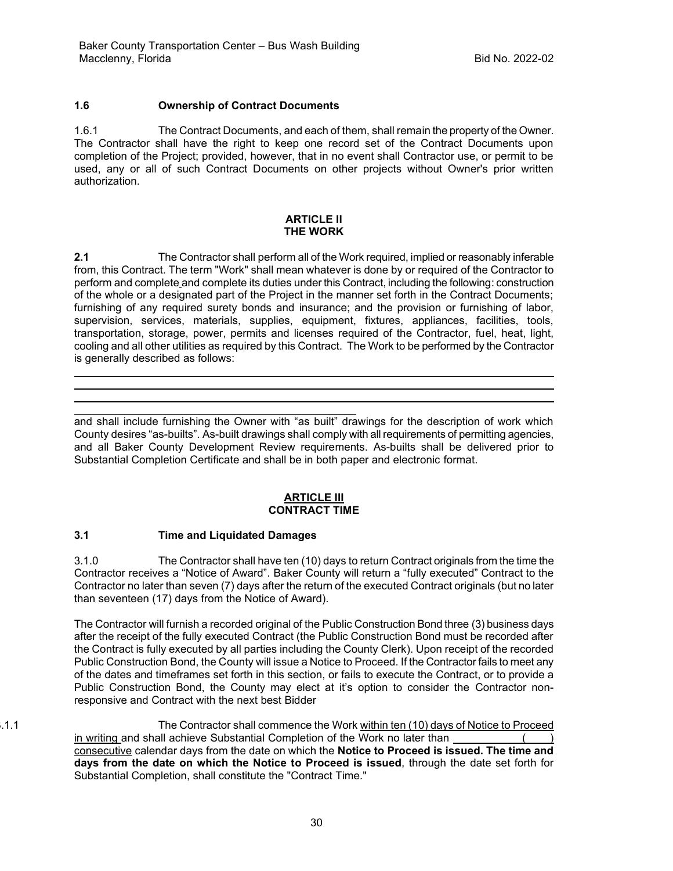# **1.6 Ownership of Contract Documents**

1.6.1 The Contract Documents, and each of them, shall remain the property of the Owner. The Contractor shall have the right to keep one record set of the Contract Documents upon completion of the Project; provided, however, that in no event shall Contractor use, or permit to be used, any or all of such Contract Documents on other projects without Owner's prior written authorization.

# **ARTICLE II THE WORK**

**2.1** The Contractor shall perform all of the Work required, implied or reasonably inferable from, this Contract. The term "Work" shall mean whatever is done by or required of the Contractor to perform and complete and complete its duties under this Contract, including the following: construction of the whole or a designated part of the Project in the manner set forth in the Contract Documents; furnishing of any required surety bonds and insurance; and the provision or furnishing of labor, supervision, services, materials, supplies, equipment, fixtures, appliances, facilities, tools, transportation, storage, power, permits and licenses required of the Contractor, fuel, heat, light, cooling and all other utilities as required by this Contract. The Work to be performed by the Contractor is generally described as follows:

and shall include furnishing the Owner with "as built" drawings for the description of work which County desires "as-builts". As-built drawings shall comply with all requirements of permitting agencies, and all Baker County Development Review requirements. As-builts shall be delivered prior to Substantial Completion Certificate and shall be in both paper and electronic format.

#### **ARTICLE III CONTRACT TIME**

# **3.1 Time and Liquidated Damages**

3.1.0 The Contractor shall have ten (10) days to return Contract originals from the time the Contractor receives a "Notice of Award". Baker County will return a "fully executed" Contract to the Contractor no later than seven (7) days after the return of the executed Contract originals (but no later than seventeen (17) days from the Notice of Award).

The Contractor will furnish a recorded original of the Public Construction Bond three (3) business days after the receipt of the fully executed Contract (the Public Construction Bond must be recorded after the Contract is fully executed by all parties including the County Clerk). Upon receipt of the recorded Public Construction Bond, the County will issue a Notice to Proceed. If the Contractor fails to meet any of the dates and timeframes set forth in this section, or fails to execute the Contract, or to provide a Public Construction Bond, the County may elect at it's option to consider the Contractor nonresponsive and Contract with the next best Bidder

3.1.1 The Contractor shall commence the Work within ten (10) days of Notice to Proceed in writing and shall achieve Substantial Completion of the Work no later than ( ) consecutive calendar days from the date on which the **Notice to Proceed is issued. The time and days from the date on which the Notice to Proceed is issued**, through the date set forth for Substantial Completion, shall constitute the "Contract Time."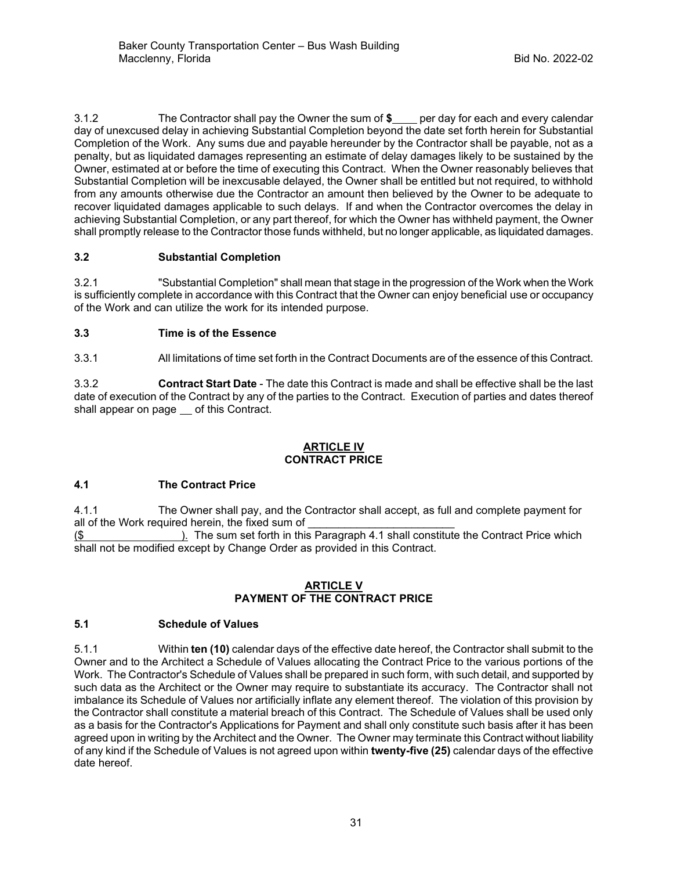3.1.2 The Contractor shall pay the Owner the sum of  $\frac{1}{2}$  per day for each and every calendar day of unexcused delay in achieving Substantial Completion beyond the date set forth herein for Substantial Completion of the Work. Any sums due and payable hereunder by the Contractor shall be payable, not as a penalty, but as liquidated damages representing an estimate of delay damages likely to be sustained by the Owner, estimated at or before the time of executing this Contract. When the Owner reasonably believes that Substantial Completion will be inexcusable delayed, the Owner shall be entitled but not required, to withhold from any amounts otherwise due the Contractor an amount then believed by the Owner to be adequate to recover liquidated damages applicable to such delays. If and when the Contractor overcomes the delay in achieving Substantial Completion, or any part thereof, for which the Owner has withheld payment, the Owner shall promptly release to the Contractor those funds withheld, but no longer applicable, as liquidated damages.

# **3.2 Substantial Completion**

3.2.1 "Substantial Completion" shall mean that stage in the progression of the Work when the Work is sufficiently complete in accordance with this Contract that the Owner can enjoy beneficial use or occupancy of the Work and can utilize the work for its intended purpose.

### **3.3 Time is of the Essence**

3.3.1 All limitations of time set forth in the Contract Documents are of the essence of this Contract.

3.3.2 **Contract Start Date** - The date this Contract is made and shall be effective shall be the last date of execution of the Contract by any of the parties to the Contract. Execution of parties and dates thereof shall appear on page of this Contract.

# **ARTICLE IV CONTRACT PRICE**

#### **4.1 The Contract Price**

4.1.1 The Owner shall pay, and the Contractor shall accept, as full and complete payment for all of the Work required herein, the fixed sum of

(\$ ). The sum set forth in this Paragraph 4.1 shall constitute the Contract Price which shall not be modified except by Change Order as provided in this Contract.

### **ARTICLE V PAYMENT OF THE CONTRACT PRICE**

#### **5.1 Schedule of Values**

5.1.1 Within **ten (10)** calendar days of the effective date hereof, the Contractor shall submit to the Owner and to the Architect a Schedule of Values allocating the Contract Price to the various portions of the Work. The Contractor's Schedule of Values shall be prepared in such form, with such detail, and supported by such data as the Architect or the Owner may require to substantiate its accuracy. The Contractor shall not imbalance its Schedule of Values nor artificially inflate any element thereof. The violation of this provision by the Contractor shall constitute a material breach of this Contract. The Schedule of Values shall be used only as a basis for the Contractor's Applications for Payment and shall only constitute such basis after it has been agreed upon in writing by the Architect and the Owner. The Owner may terminate this Contract without liability of any kind if the Schedule of Values is not agreed upon within **twenty-five (25)** calendar days of the effective date hereof.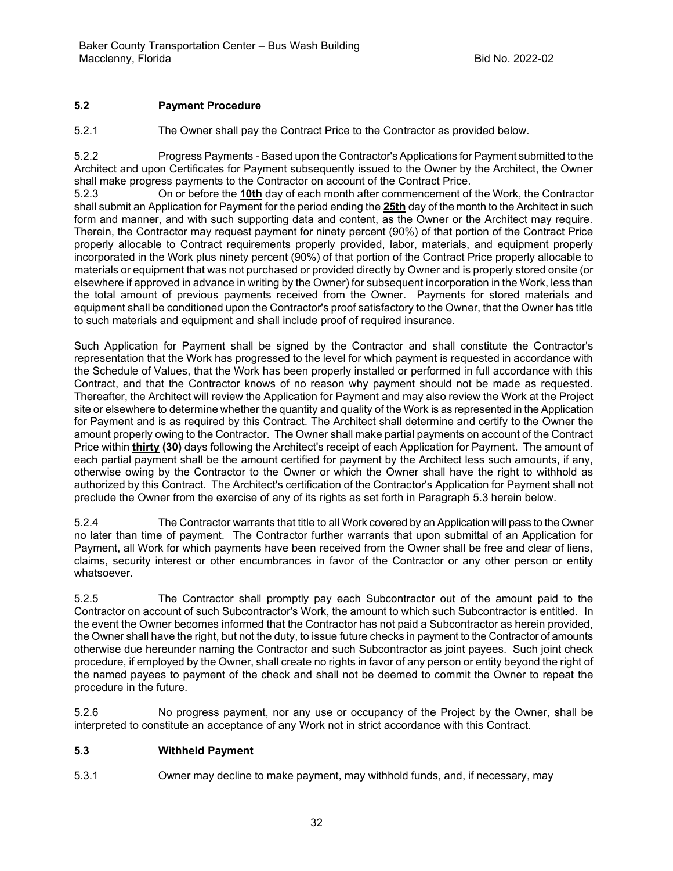# **5.2 Payment Procedure**

5.2.1 The Owner shall pay the Contract Price to the Contractor as provided below.

5.2.2 Progress Payments - Based upon the Contractor's Applications for Payment submitted to the Architect and upon Certificates for Payment subsequently issued to the Owner by the Architect, the Owner shall make progress payments to the Contractor on account of the Contract Price.

5.2.3 On or before the **10th** day of each month after commencement of the Work, the Contractor shall submit an Application for Payment for the period ending the **25th** day of the month to the Architect in such form and manner, and with such supporting data and content, as the Owner or the Architect may require. Therein, the Contractor may request payment for ninety percent (90%) of that portion of the Contract Price properly allocable to Contract requirements properly provided, labor, materials, and equipment properly incorporated in the Work plus ninety percent (90%) of that portion of the Contract Price properly allocable to materials or equipment that was not purchased or provided directly by Owner and is properly stored onsite (or elsewhere if approved in advance in writing by the Owner) for subsequent incorporation in the Work, less than the total amount of previous payments received from the Owner. Payments for stored materials and equipment shall be conditioned upon the Contractor's proof satisfactory to the Owner, that the Owner has title to such materials and equipment and shall include proof of required insurance.

Such Application for Payment shall be signed by the Contractor and shall constitute the Contractor's representation that the Work has progressed to the level for which payment is requested in accordance with the Schedule of Values, that the Work has been properly installed or performed in full accordance with this Contract, and that the Contractor knows of no reason why payment should not be made as requested. Thereafter, the Architect will review the Application for Payment and may also review the Work at the Project site or elsewhere to determine whether the quantity and quality of the Work is as represented in the Application for Payment and is as required by this Contract. The Architect shall determine and certify to the Owner the amount properly owing to the Contractor. The Owner shall make partial payments on account of the Contract Price within **thirty (30)** days following the Architect's receipt of each Application for Payment. The amount of each partial payment shall be the amount certified for payment by the Architect less such amounts, if any, otherwise owing by the Contractor to the Owner or which the Owner shall have the right to withhold as authorized by this Contract. The Architect's certification of the Contractor's Application for Payment shall not preclude the Owner from the exercise of any of its rights as set forth in Paragraph 5.3 herein below.

5.2.4 The Contractor warrants that title to all Work covered by an Application will pass to the Owner no later than time of payment. The Contractor further warrants that upon submittal of an Application for Payment, all Work for which payments have been received from the Owner shall be free and clear of liens, claims, security interest or other encumbrances in favor of the Contractor or any other person or entity whatsoever.

5.2.5 The Contractor shall promptly pay each Subcontractor out of the amount paid to the Contractor on account of such Subcontractor's Work, the amount to which such Subcontractor is entitled. In the event the Owner becomes informed that the Contractor has not paid a Subcontractor as herein provided, the Owner shall have the right, but not the duty, to issue future checks in payment to the Contractor of amounts otherwise due hereunder naming the Contractor and such Subcontractor as joint payees. Such joint check procedure, if employed by the Owner, shall create no rights in favor of any person or entity beyond the right of the named payees to payment of the check and shall not be deemed to commit the Owner to repeat the procedure in the future.

5.2.6 No progress payment, nor any use or occupancy of the Project by the Owner, shall be interpreted to constitute an acceptance of any Work not in strict accordance with this Contract.

# **5.3 Withheld Payment**

5.3.1 Owner may decline to make payment, may withhold funds, and, if necessary, may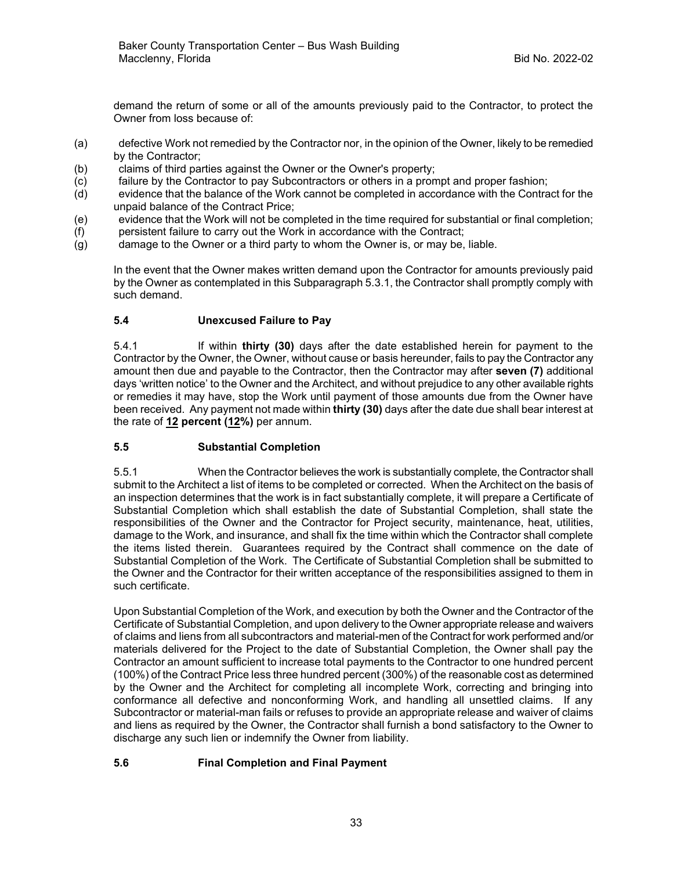demand the return of some or all of the amounts previously paid to the Contractor, to protect the Owner from loss because of:

- (a) defective Work not remedied by the Contractor nor, in the opinion of the Owner, likely to be remedied by the Contractor;
- (b) claims of third parties against the Owner or the Owner's property;
- (c) failure by the Contractor to pay Subcontractors or others in a prompt and proper fashion;
- (d) evidence that the balance of the Work cannot be completed in accordance with the Contract for the unpaid balance of the Contract Price;
- (e) evidence that the Work will not be completed in the time required for substantial or final completion; (f) persistent failure to carry out the Work in accordance with the Contract;
- (g) damage to the Owner or a third party to whom the Owner is, or may be, liable.

In the event that the Owner makes written demand upon the Contractor for amounts previously paid by the Owner as contemplated in this Subparagraph 5.3.1, the Contractor shall promptly comply with such demand.

# **5.4 Unexcused Failure to Pay**

5.4.1 If within **thirty (30)** days after the date established herein for payment to the Contractor by the Owner, the Owner, without cause or basis hereunder, fails to pay the Contractor any amount then due and payable to the Contractor, then the Contractor may after **seven (7)** additional days 'written notice' to the Owner and the Architect, and without prejudice to any other available rights or remedies it may have, stop the Work until payment of those amounts due from the Owner have been received. Any payment not made within **thirty (30)** days after the date due shall bear interest at the rate of **12 percent (12%)** per annum.

# **5.5 Substantial Completion**

5.5.1 When the Contractor believes the work is substantially complete, the Contractor shall submit to the Architect a list of items to be completed or corrected. When the Architect on the basis of an inspection determines that the work is in fact substantially complete, it will prepare a Certificate of Substantial Completion which shall establish the date of Substantial Completion, shall state the responsibilities of the Owner and the Contractor for Project security, maintenance, heat, utilities, damage to the Work, and insurance, and shall fix the time within which the Contractor shall complete the items listed therein. Guarantees required by the Contract shall commence on the date of Substantial Completion of the Work. The Certificate of Substantial Completion shall be submitted to the Owner and the Contractor for their written acceptance of the responsibilities assigned to them in such certificate.

Upon Substantial Completion of the Work, and execution by both the Owner and the Contractor of the Certificate of Substantial Completion, and upon delivery to the Owner appropriate release and waivers of claims and liens from all subcontractors and material-men of the Contract for work performed and/or materials delivered for the Project to the date of Substantial Completion, the Owner shall pay the Contractor an amount sufficient to increase total payments to the Contractor to one hundred percent (100%) of the Contract Price less three hundred percent (300%) of the reasonable cost as determined by the Owner and the Architect for completing all incomplete Work, correcting and bringing into conformance all defective and nonconforming Work, and handling all unsettled claims. If any Subcontractor or material-man fails or refuses to provide an appropriate release and waiver of claims and liens as required by the Owner, the Contractor shall furnish a bond satisfactory to the Owner to discharge any such lien or indemnify the Owner from liability.

# **5.6 Final Completion and Final Payment**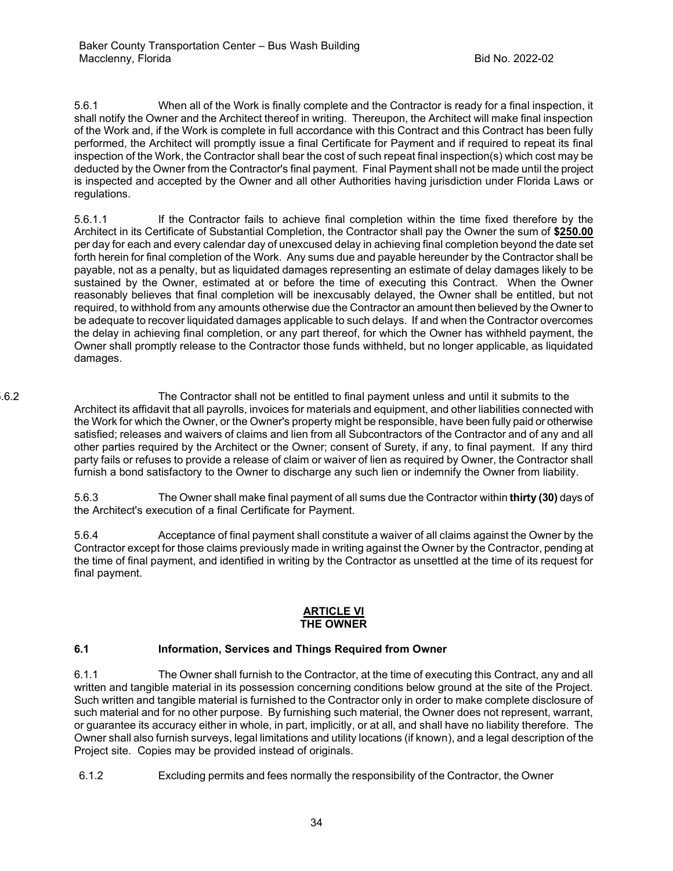5.6.1 When all of the Work is finally complete and the Contractor is ready for a final inspection, it shall notify the Owner and the Architect thereof in writing. Thereupon, the Architect will make final inspection of the Work and, if the Work is complete in full accordance with this Contract and this Contract has been fully performed, the Architect will promptly issue a final Certificate for Payment and if required to repeat its final inspection of the Work, the Contractor shall bear the cost of such repeat final inspection(s) which cost may be deducted by the Owner from the Contractor's final payment. Final Payment shall not be made until the project is inspected and accepted by the Owner and all other Authorities having jurisdiction under Florida Laws or regulations.

5.6.1.1 If the Contractor fails to achieve final completion within the time fixed therefore by the Architect in its Certificate of Substantial Completion, the Contractor shall pay the Owner the sum of **\$250.00** per day for each and every calendar day of unexcused delay in achieving final completion beyond the date set forth herein for final completion of the Work. Any sums due and payable hereunder by the Contractor shall be payable, not as a penalty, but as liquidated damages representing an estimate of delay damages likely to be sustained by the Owner, estimated at or before the time of executing this Contract. When the Owner reasonably believes that final completion will be inexcusably delayed, the Owner shall be entitled, but not required, to withhold from any amounts otherwise due the Contractor an amount then believed by the Owner to be adequate to recover liquidated damages applicable to such delays. If and when the Contractor overcomes the delay in achieving final completion, or any part thereof, for which the Owner has withheld payment, the Owner shall promptly release to the Contractor those funds withheld, but no longer applicable, as liquidated damages.

5.6.2 The Contractor shall not be entitled to final payment unless and until it submits to the Architect its affidavit that all payrolls, invoices for materials and equipment, and other liabilities connected with the Work for which the Owner, or the Owner's property might be responsible, have been fully paid or otherwise satisfied; releases and waivers of claims and lien from all Subcontractors of the Contractor and of any and all other parties required by the Architect or the Owner; consent of Surety, if any, to final payment. If any third party fails or refuses to provide a release of claim or waiver of lien as required by Owner, the Contractor shall furnish a bond satisfactory to the Owner to discharge any such lien or indemnify the Owner from liability.

> 5.6.3 The Owner shall make final payment of all sums due the Contractor within **thirty (30)** days of the Architect's execution of a final Certificate for Payment.

> 5.6.4 Acceptance of final payment shall constitute a waiver of all claims against the Owner by the Contractor except for those claims previously made in writing against the Owner by the Contractor, pending at the time of final payment, and identified in writing by the Contractor as unsettled at the time of its request for final payment.

#### **ARTICLE VI THE OWNER**

# **6.1 Information, Services and Things Required from Owner**

6.1.1 The Owner shall furnish to the Contractor, at the time of executing this Contract, any and all written and tangible material in its possession concerning conditions below ground at the site of the Project. Such written and tangible material is furnished to the Contractor only in order to make complete disclosure of such material and for no other purpose. By furnishing such material, the Owner does not represent, warrant, or guarantee its accuracy either in whole, in part, implicitly, or at all, and shall have no liability therefore. The Owner shall also furnish surveys, legal limitations and utility locations (if known), and a legal description of the Project site. Copies may be provided instead of originals.

6.1.2 Excluding permits and fees normally the responsibility of the Contractor, the Owner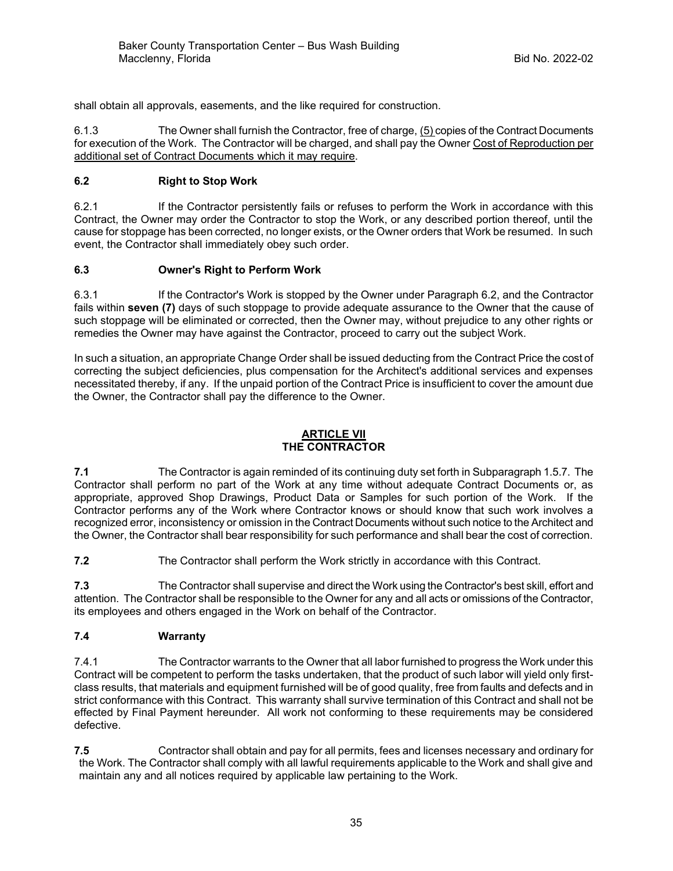shall obtain all approvals, easements, and the like required for construction.

6.1.3 The Owner shall furnish the Contractor, free of charge, (5) copies of the Contract Documents for execution of the Work. The Contractor will be charged, and shall pay the Owner Cost of Reproduction per additional set of Contract Documents which it may require.

# **6.2 Right to Stop Work**

6.2.1 If the Contractor persistently fails or refuses to perform the Work in accordance with this Contract, the Owner may order the Contractor to stop the Work, or any described portion thereof, until the cause for stoppage has been corrected, no longer exists, or the Owner orders that Work be resumed. In such event, the Contractor shall immediately obey such order.

# **6.3 Owner's Right to Perform Work**

6.3.1 If the Contractor's Work is stopped by the Owner under Paragraph 6.2, and the Contractor fails within **seven (7)** days of such stoppage to provide adequate assurance to the Owner that the cause of such stoppage will be eliminated or corrected, then the Owner may, without prejudice to any other rights or remedies the Owner may have against the Contractor, proceed to carry out the subject Work.

In such a situation, an appropriate Change Order shall be issued deducting from the Contract Price the cost of correcting the subject deficiencies, plus compensation for the Architect's additional services and expenses necessitated thereby, if any. If the unpaid portion of the Contract Price is insufficient to cover the amount due the Owner, the Contractor shall pay the difference to the Owner.

# **ARTICLE VII THE CONTRACTOR**

**7.1** The Contractor is again reminded of its continuing duty set forth in Subparagraph 1.5.7. The Contractor shall perform no part of the Work at any time without adequate Contract Documents or, as appropriate, approved Shop Drawings, Product Data or Samples for such portion of the Work. If the Contractor performs any of the Work where Contractor knows or should know that such work involves a recognized error, inconsistency or omission in the Contract Documents without such notice to the Architect and the Owner, the Contractor shall bear responsibility for such performance and shall bear the cost of correction.

**7.2** The Contractor shall perform the Work strictly in accordance with this Contract.

**7.3** The Contractor shall supervise and direct the Work using the Contractor's best skill, effort and attention. The Contractor shall be responsible to the Owner for any and all acts or omissions of the Contractor, its employees and others engaged in the Work on behalf of the Contractor.

# **7.4 Warranty**

7.4.1 The Contractor warrants to the Owner that all labor furnished to progress the Work under this Contract will be competent to perform the tasks undertaken, that the product of such labor will yield only firstclass results, that materials and equipment furnished will be of good quality, free from faults and defects and in strict conformance with this Contract. This warranty shall survive termination of this Contract and shall not be effected by Final Payment hereunder. All work not conforming to these requirements may be considered defective.

**7.5** Contractor shall obtain and pay for all permits, fees and licenses necessary and ordinary for the Work. The Contractor shall comply with all lawful requirements applicable to the Work and shall give and maintain any and all notices required by applicable law pertaining to the Work.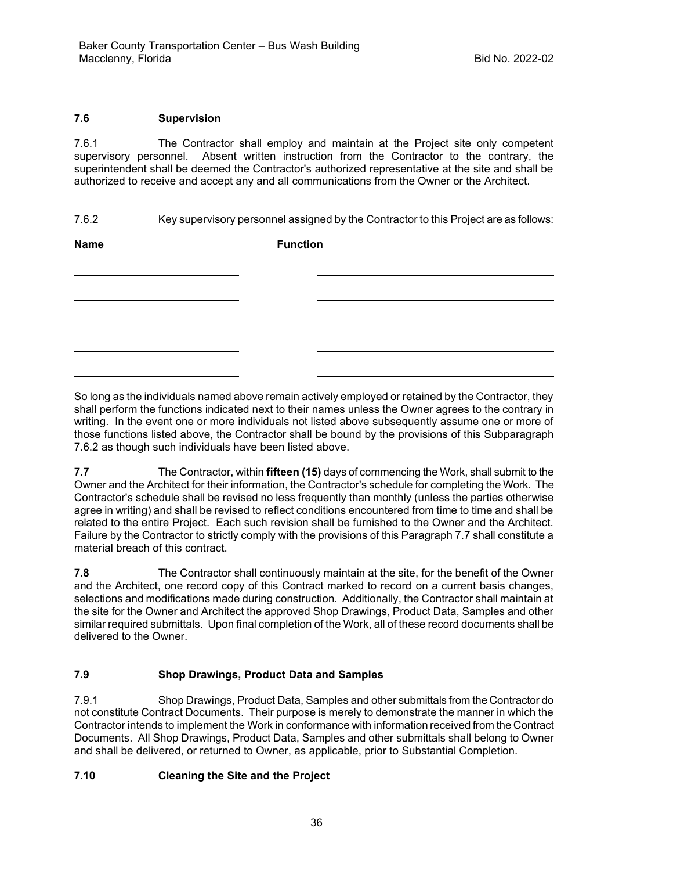# **7.6 Supervision**

7.6.1 The Contractor shall employ and maintain at the Project site only competent supervisory personnel. Absent written instruction from the Contractor to the contrary, the superintendent shall be deemed the Contractor's authorized representative at the site and shall be authorized to receive and accept any and all communications from the Owner or the Architect.

# 7.6.2 Key supervisory personnel assigned by the Contractor to this Project are as follows:

| <b>Name</b> | <b>Function</b> |  |  |  |
|-------------|-----------------|--|--|--|
|             |                 |  |  |  |
|             |                 |  |  |  |
|             |                 |  |  |  |
|             |                 |  |  |  |
|             |                 |  |  |  |
|             |                 |  |  |  |

So long as the individuals named above remain actively employed or retained by the Contractor, they shall perform the functions indicated next to their names unless the Owner agrees to the contrary in writing. In the event one or more individuals not listed above subsequently assume one or more of those functions listed above, the Contractor shall be bound by the provisions of this Subparagraph 7.6.2 as though such individuals have been listed above.

**7.7** The Contractor, within **fifteen (15)** days of commencing the Work, shall submit to the Owner and the Architect for their information, the Contractor's schedule for completing the Work. The Contractor's schedule shall be revised no less frequently than monthly (unless the parties otherwise agree in writing) and shall be revised to reflect conditions encountered from time to time and shall be related to the entire Project. Each such revision shall be furnished to the Owner and the Architect. Failure by the Contractor to strictly comply with the provisions of this Paragraph 7.7 shall constitute a material breach of this contract.

**7.8** The Contractor shall continuously maintain at the site, for the benefit of the Owner and the Architect, one record copy of this Contract marked to record on a current basis changes, selections and modifications made during construction. Additionally, the Contractor shall maintain at the site for the Owner and Architect the approved Shop Drawings, Product Data, Samples and other similar required submittals. Upon final completion of the Work, all of these record documents shall be delivered to the Owner.

# **7.9 Shop Drawings, Product Data and Samples**

7.9.1 Shop Drawings, Product Data, Samples and other submittals from the Contractor do not constitute Contract Documents. Their purpose is merely to demonstrate the manner in which the Contractor intends to implement the Work in conformance with information received from the Contract Documents. All Shop Drawings, Product Data, Samples and other submittals shall belong to Owner and shall be delivered, or returned to Owner, as applicable, prior to Substantial Completion.

# **7.10 Cleaning the Site and the Project**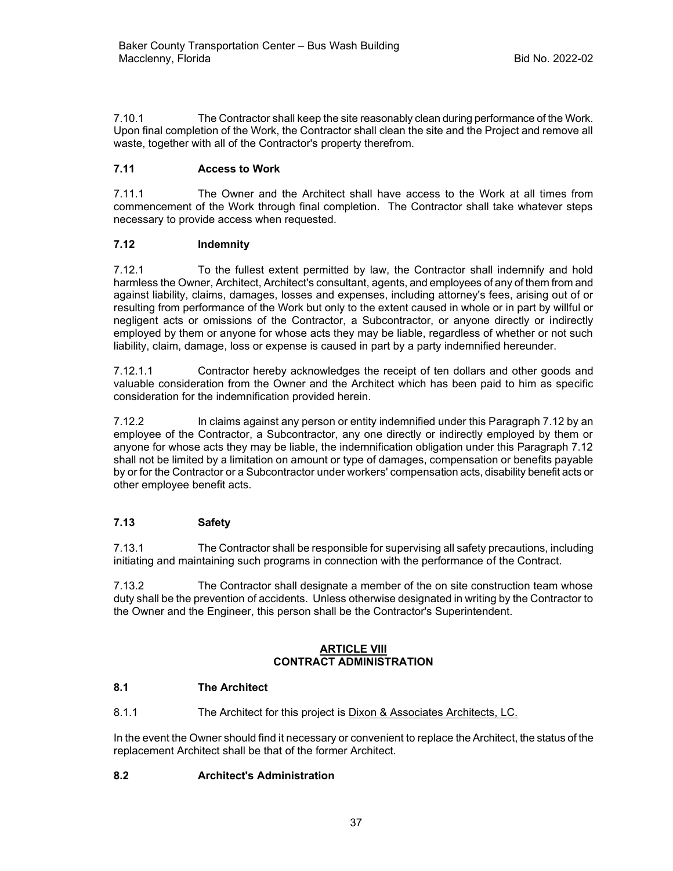7.10.1 The Contractor shall keep the site reasonably clean during performance of the Work. Upon final completion of the Work, the Contractor shall clean the site and the Project and remove all waste, together with all of the Contractor's property therefrom.

# **7.11 Access to Work**

7.11.1 The Owner and the Architect shall have access to the Work at all times from commencement of the Work through final completion. The Contractor shall take whatever steps necessary to provide access when requested.

# **7.12 Indemnity**

7.12.1 To the fullest extent permitted by law, the Contractor shall indemnify and hold harmless the Owner, Architect, Architect's consultant, agents, and employees of any of them from and against liability, claims, damages, losses and expenses, including attorney's fees, arising out of or resulting from performance of the Work but only to the extent caused in whole or in part by willful or negligent acts or omissions of the Contractor, a Subcontractor, or anyone directly or indirectly employed by them or anyone for whose acts they may be liable, regardless of whether or not such liability, claim, damage, loss or expense is caused in part by a party indemnified hereunder.

7.12.1.1 Contractor hereby acknowledges the receipt of ten dollars and other goods and valuable consideration from the Owner and the Architect which has been paid to him as specific consideration for the indemnification provided herein.

7.12.2 In claims against any person or entity indemnified under this Paragraph 7.12 by an employee of the Contractor, a Subcontractor, any one directly or indirectly employed by them or anyone for whose acts they may be liable, the indemnification obligation under this Paragraph 7.12 shall not be limited by a limitation on amount or type of damages, compensation or benefits payable by or for the Contractor or a Subcontractor under workers' compensation acts, disability benefit acts or other employee benefit acts.

# **7.13 Safety**

7.13.1 The Contractor shall be responsible for supervising all safety precautions, including initiating and maintaining such programs in connection with the performance of the Contract.

7.13.2 The Contractor shall designate a member of the on site construction team whose duty shall be the prevention of accidents. Unless otherwise designated in writing by the Contractor to the Owner and the Engineer, this person shall be the Contractor's Superintendent.

#### **ARTICLE VIII CONTRACT ADMINISTRATION**

# **8.1 The Architect**

8.1.1 The Architect for this project is Dixon & Associates Architects, LC.

In the event the Owner should find it necessary or convenient to replace the Architect, the status of the replacement Architect shall be that of the former Architect.

#### **8.2 Architect's Administration**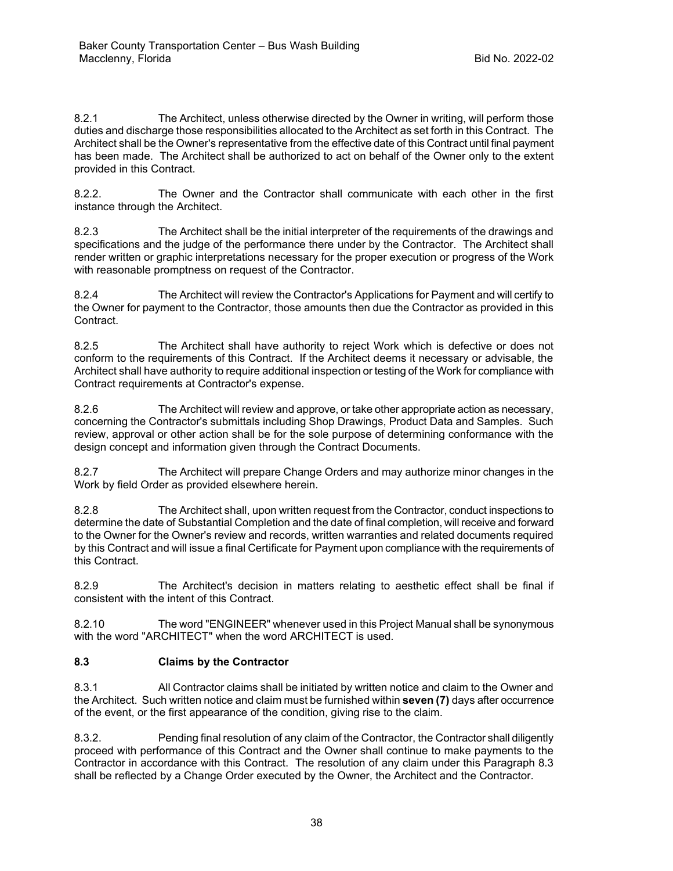8.2.1 The Architect, unless otherwise directed by the Owner in writing, will perform those duties and discharge those responsibilities allocated to the Architect as set forth in this Contract. The Architect shall be the Owner's representative from the effective date of this Contract until final payment has been made. The Architect shall be authorized to act on behalf of the Owner only to the extent provided in this Contract.

8.2.2. The Owner and the Contractor shall communicate with each other in the first instance through the Architect.

8.2.3 The Architect shall be the initial interpreter of the requirements of the drawings and specifications and the judge of the performance there under by the Contractor. The Architect shall render written or graphic interpretations necessary for the proper execution or progress of the Work with reasonable promptness on request of the Contractor.

8.2.4 The Architect will review the Contractor's Applications for Payment and will certify to the Owner for payment to the Contractor, those amounts then due the Contractor as provided in this Contract.

8.2.5 The Architect shall have authority to reject Work which is defective or does not conform to the requirements of this Contract. If the Architect deems it necessary or advisable, the Architect shall have authority to require additional inspection or testing of the Work for compliance with Contract requirements at Contractor's expense.

8.2.6 The Architect will review and approve, or take other appropriate action as necessary, concerning the Contractor's submittals including Shop Drawings, Product Data and Samples. Such review, approval or other action shall be for the sole purpose of determining conformance with the design concept and information given through the Contract Documents.

8.2.7 The Architect will prepare Change Orders and may authorize minor changes in the Work by field Order as provided elsewhere herein.

8.2.8 The Architect shall, upon written request from the Contractor, conduct inspections to determine the date of Substantial Completion and the date of final completion, will receive and forward to the Owner for the Owner's review and records, written warranties and related documents required by this Contract and will issue a final Certificate for Payment upon compliance with the requirements of this Contract.

8.2.9 The Architect's decision in matters relating to aesthetic effect shall be final if consistent with the intent of this Contract.

8.2.10 The word "ENGINEER" whenever used in this Project Manual shall be synonymous with the word "ARCHITECT" when the word ARCHITECT is used.

# **8.3 Claims by the Contractor**

8.3.1 All Contractor claims shall be initiated by written notice and claim to the Owner and the Architect. Such written notice and claim must be furnished within **seven (7)** days after occurrence of the event, or the first appearance of the condition, giving rise to the claim.

8.3.2. Pending final resolution of any claim of the Contractor, the Contractor shall diligently proceed with performance of this Contract and the Owner shall continue to make payments to the Contractor in accordance with this Contract. The resolution of any claim under this Paragraph 8.3 shall be reflected by a Change Order executed by the Owner, the Architect and the Contractor.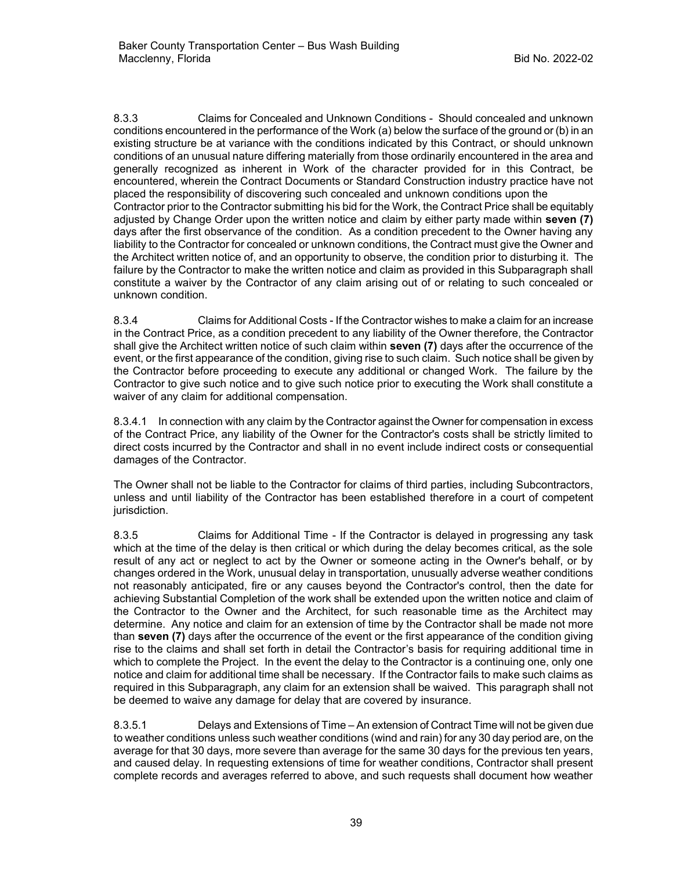8.3.3 Claims for Concealed and Unknown Conditions - Should concealed and unknown conditions encountered in the performance of the Work (a) below the surface of the ground or (b) in an existing structure be at variance with the conditions indicated by this Contract, or should unknown conditions of an unusual nature differing materially from those ordinarily encountered in the area and generally recognized as inherent in Work of the character provided for in this Contract, be encountered, wherein the Contract Documents or Standard Construction industry practice have not placed the responsibility of discovering such concealed and unknown conditions upon the Contractor prior to the Contractor submitting his bid for the Work, the Contract Price shall be equitably adjusted by Change Order upon the written notice and claim by either party made within **seven (7)**  days after the first observance of the condition. As a condition precedent to the Owner having any liability to the Contractor for concealed or unknown conditions, the Contract must give the Owner and the Architect written notice of, and an opportunity to observe, the condition prior to disturbing it. The failure by the Contractor to make the written notice and claim as provided in this Subparagraph shall constitute a waiver by the Contractor of any claim arising out of or relating to such concealed or unknown condition.

8.3.4 Claims for Additional Costs - If the Contractor wishes to make a claim for an increase in the Contract Price, as a condition precedent to any liability of the Owner therefore, the Contractor shall give the Architect written notice of such claim within **seven (7)** days after the occurrence of the event, or the first appearance of the condition, giving rise to such claim. Such notice shall be given by the Contractor before proceeding to execute any additional or changed Work. The failure by the Contractor to give such notice and to give such notice prior to executing the Work shall constitute a waiver of any claim for additional compensation.

8.3.4.1 In connection with any claim by the Contractor against the Owner for compensation in excess of the Contract Price, any liability of the Owner for the Contractor's costs shall be strictly limited to direct costs incurred by the Contractor and shall in no event include indirect costs or consequential damages of the Contractor.

The Owner shall not be liable to the Contractor for claims of third parties, including Subcontractors, unless and until liability of the Contractor has been established therefore in a court of competent jurisdiction.

8.3.5 Claims for Additional Time - If the Contractor is delayed in progressing any task which at the time of the delay is then critical or which during the delay becomes critical, as the sole result of any act or neglect to act by the Owner or someone acting in the Owner's behalf, or by changes ordered in the Work, unusual delay in transportation, unusually adverse weather conditions not reasonably anticipated, fire or any causes beyond the Contractor's control, then the date for achieving Substantial Completion of the work shall be extended upon the written notice and claim of the Contractor to the Owner and the Architect, for such reasonable time as the Architect may determine. Any notice and claim for an extension of time by the Contractor shall be made not more than **seven (7)** days after the occurrence of the event or the first appearance of the condition giving rise to the claims and shall set forth in detail the Contractor's basis for requiring additional time in which to complete the Project. In the event the delay to the Contractor is a continuing one, only one notice and claim for additional time shall be necessary. If the Contractor fails to make such claims as required in this Subparagraph, any claim for an extension shall be waived. This paragraph shall not be deemed to waive any damage for delay that are covered by insurance.

8.3.5.1 Delays and Extensions of Time – An extension of Contract Time will not be given due to weather conditions unless such weather conditions (wind and rain) for any 30 day period are, on the average for that 30 days, more severe than average for the same 30 days for the previous ten years, and caused delay. In requesting extensions of time for weather conditions, Contractor shall present complete records and averages referred to above, and such requests shall document how weather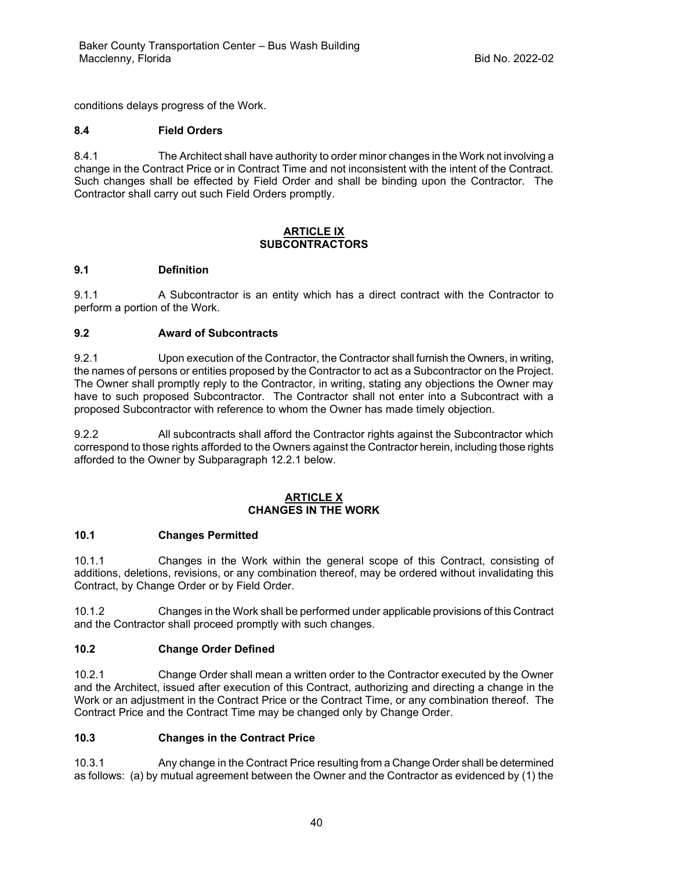conditions delays progress of the Work.

# **8.4 Field Orders**

8.4.1 The Architect shall have authority to order minor changes in the Work not involving a change in the Contract Price or in Contract Time and not inconsistent with the intent of the Contract. Such changes shall be effected by Field Order and shall be binding upon the Contractor. The Contractor shall carry out such Field Orders promptly.

### **ARTICLE IX SUBCONTRACTORS**

# **9.1 Definition**

9.1.1 A Subcontractor is an entity which has a direct contract with the Contractor to perform a portion of the Work.

# **9.2 Award of Subcontracts**

9.2.1 Upon execution of the Contractor, the Contractor shall furnish the Owners, in writing, the names of persons or entities proposed by the Contractor to act as a Subcontractor on the Project. The Owner shall promptly reply to the Contractor, in writing, stating any objections the Owner may have to such proposed Subcontractor. The Contractor shall not enter into a Subcontract with a proposed Subcontractor with reference to whom the Owner has made timely objection.

9.2.2 All subcontracts shall afford the Contractor rights against the Subcontractor which correspond to those rights afforded to the Owners against the Contractor herein, including those rights afforded to the Owner by Subparagraph 12.2.1 below.

#### **ARTICLE X CHANGES IN THE WORK**

# **10.1 Changes Permitted**

10.1.1 Changes in the Work within the general scope of this Contract, consisting of additions, deletions, revisions, or any combination thereof, may be ordered without invalidating this Contract, by Change Order or by Field Order.

10.1.2 Changes in the Work shall be performed under applicable provisions of this Contract and the Contractor shall proceed promptly with such changes.

# **10.2 Change Order Defined**

10.2.1 Change Order shall mean a written order to the Contractor executed by the Owner and the Architect, issued after execution of this Contract, authorizing and directing a change in the Work or an adjustment in the Contract Price or the Contract Time, or any combination thereof. The Contract Price and the Contract Time may be changed only by Change Order.

# **10.3 Changes in the Contract Price**

10.3.1 Any change in the Contract Price resulting from a Change Order shall be determined as follows: (a) by mutual agreement between the Owner and the Contractor as evidenced by (1) the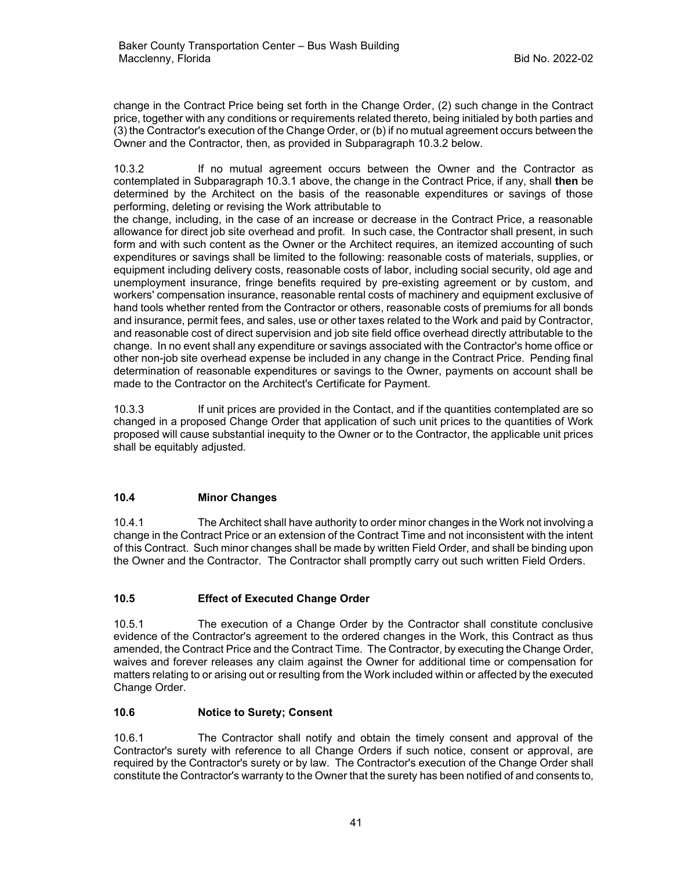change in the Contract Price being set forth in the Change Order, (2) such change in the Contract price, together with any conditions or requirements related thereto, being initialed by both parties and (3) the Contractor's execution of the Change Order, or (b) if no mutual agreement occurs between the Owner and the Contractor, then, as provided in Subparagraph 10.3.2 below.

10.3.2 If no mutual agreement occurs between the Owner and the Contractor as contemplated in Subparagraph 10.3.1 above, the change in the Contract Price, if any, shall **then** be determined by the Architect on the basis of the reasonable expenditures or savings of those performing, deleting or revising the Work attributable to

the change, including, in the case of an increase or decrease in the Contract Price, a reasonable allowance for direct job site overhead and profit. In such case, the Contractor shall present, in such form and with such content as the Owner or the Architect requires, an itemized accounting of such expenditures or savings shall be limited to the following: reasonable costs of materials, supplies, or equipment including delivery costs, reasonable costs of labor, including social security, old age and unemployment insurance, fringe benefits required by pre-existing agreement or by custom, and workers' compensation insurance, reasonable rental costs of machinery and equipment exclusive of hand tools whether rented from the Contractor or others, reasonable costs of premiums for all bonds and insurance, permit fees, and sales, use or other taxes related to the Work and paid by Contractor, and reasonable cost of direct supervision and job site field office overhead directly attributable to the change. In no event shall any expenditure or savings associated with the Contractor's home office or other non-job site overhead expense be included in any change in the Contract Price. Pending final determination of reasonable expenditures or savings to the Owner, payments on account shall be made to the Contractor on the Architect's Certificate for Payment.

10.3.3 If unit prices are provided in the Contact, and if the quantities contemplated are so changed in a proposed Change Order that application of such unit prices to the quantities of Work proposed will cause substantial inequity to the Owner or to the Contractor, the applicable unit prices shall be equitably adjusted.

# **10.4 Minor Changes**

10.4.1 The Architect shall have authority to order minor changes in the Work not involving a change in the Contract Price or an extension of the Contract Time and not inconsistent with the intent of this Contract. Such minor changes shall be made by written Field Order, and shall be binding upon the Owner and the Contractor. The Contractor shall promptly carry out such written Field Orders.

# **10.5 Effect of Executed Change Order**

10.5.1 The execution of a Change Order by the Contractor shall constitute conclusive evidence of the Contractor's agreement to the ordered changes in the Work, this Contract as thus amended, the Contract Price and the Contract Time. The Contractor, by executing the Change Order, waives and forever releases any claim against the Owner for additional time or compensation for matters relating to or arising out or resulting from the Work included within or affected by the executed Change Order.

# **10.6 Notice to Surety; Consent**

10.6.1 The Contractor shall notify and obtain the timely consent and approval of the Contractor's surety with reference to all Change Orders if such notice, consent or approval, are required by the Contractor's surety or by law. The Contractor's execution of the Change Order shall constitute the Contractor's warranty to the Owner that the surety has been notified of and consents to,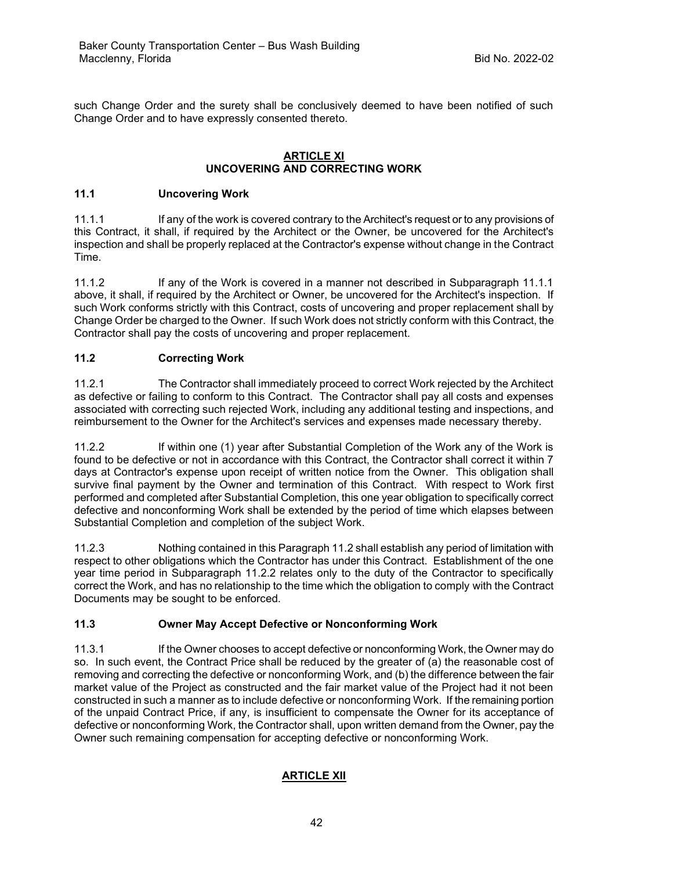such Change Order and the surety shall be conclusively deemed to have been notified of such Change Order and to have expressly consented thereto.

#### **ARTICLE XI UNCOVERING AND CORRECTING WORK**

# **11.1 Uncovering Work**

11.1.1 If any of the work is covered contrary to the Architect's request or to any provisions of this Contract, it shall, if required by the Architect or the Owner, be uncovered for the Architect's inspection and shall be properly replaced at the Contractor's expense without change in the Contract Time.

11.1.2 If any of the Work is covered in a manner not described in Subparagraph 11.1.1 above, it shall, if required by the Architect or Owner, be uncovered for the Architect's inspection. If such Work conforms strictly with this Contract, costs of uncovering and proper replacement shall by Change Order be charged to the Owner. If such Work does not strictly conform with this Contract, the Contractor shall pay the costs of uncovering and proper replacement.

# **11.2 Correcting Work**

11.2.1 The Contractor shall immediately proceed to correct Work rejected by the Architect as defective or failing to conform to this Contract. The Contractor shall pay all costs and expenses associated with correcting such rejected Work, including any additional testing and inspections, and reimbursement to the Owner for the Architect's services and expenses made necessary thereby.

11.2.2 If within one (1) year after Substantial Completion of the Work any of the Work is found to be defective or not in accordance with this Contract, the Contractor shall correct it within 7 days at Contractor's expense upon receipt of written notice from the Owner. This obligation shall survive final payment by the Owner and termination of this Contract. With respect to Work first performed and completed after Substantial Completion, this one year obligation to specifically correct defective and nonconforming Work shall be extended by the period of time which elapses between Substantial Completion and completion of the subject Work.

11.2.3 Nothing contained in this Paragraph 11.2 shall establish any period of limitation with respect to other obligations which the Contractor has under this Contract. Establishment of the one year time period in Subparagraph 11.2.2 relates only to the duty of the Contractor to specifically correct the Work, and has no relationship to the time which the obligation to comply with the Contract Documents may be sought to be enforced.

# **11.3 Owner May Accept Defective or Nonconforming Work**

11.3.1 If the Owner chooses to accept defective or nonconforming Work, the Owner may do so. In such event, the Contract Price shall be reduced by the greater of (a) the reasonable cost of removing and correcting the defective or nonconforming Work, and (b) the difference between the fair market value of the Project as constructed and the fair market value of the Project had it not been constructed in such a manner as to include defective or nonconforming Work. If the remaining portion of the unpaid Contract Price, if any, is insufficient to compensate the Owner for its acceptance of defective or nonconforming Work, the Contractor shall, upon written demand from the Owner, pay the Owner such remaining compensation for accepting defective or nonconforming Work.

# **ARTICLE XII**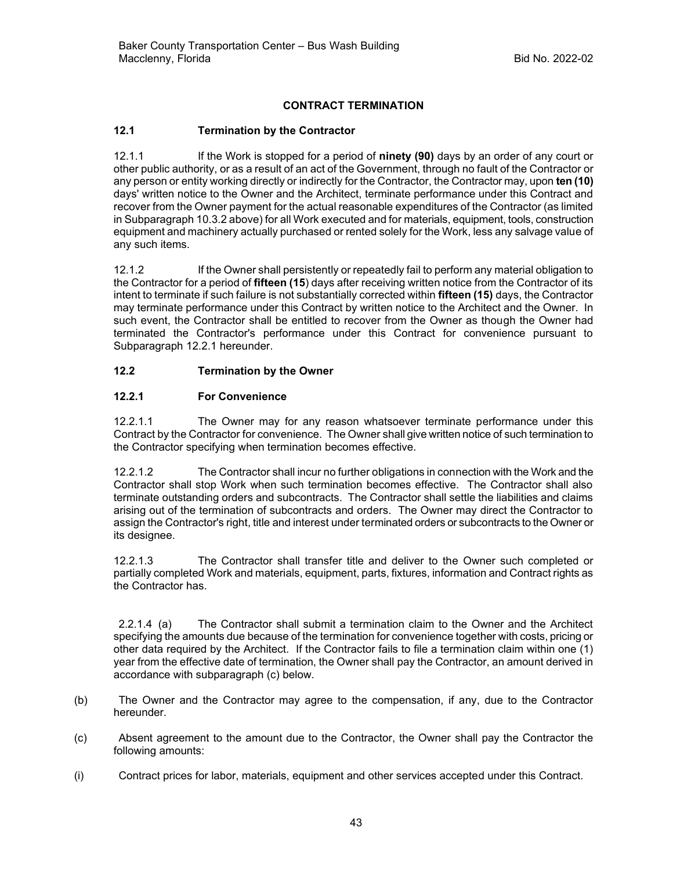# **CONTRACT TERMINATION**

# **12.1 Termination by the Contractor**

12.1.1 If the Work is stopped for a period of **ninety (90)** days by an order of any court or other public authority, or as a result of an act of the Government, through no fault of the Contractor or any person or entity working directly or indirectly for the Contractor, the Contractor may, upon **ten (10)** days' written notice to the Owner and the Architect, terminate performance under this Contract and recover from the Owner payment for the actual reasonable expenditures of the Contractor (as limited in Subparagraph 10.3.2 above) for all Work executed and for materials, equipment, tools, construction equipment and machinery actually purchased or rented solely for the Work, less any salvage value of any such items.

12.1.2 If the Owner shall persistently or repeatedly fail to perform any material obligation to the Contractor for a period of **fifteen (15**) days after receiving written notice from the Contractor of its intent to terminate if such failure is not substantially corrected within **fifteen (15)** days, the Contractor may terminate performance under this Contract by written notice to the Architect and the Owner. In such event, the Contractor shall be entitled to recover from the Owner as though the Owner had terminated the Contractor's performance under this Contract for convenience pursuant to Subparagraph 12.2.1 hereunder.

# **12.2 Termination by the Owner**

# **12.2.1 For Convenience**

12.2.1.1 The Owner may for any reason whatsoever terminate performance under this Contract by the Contractor for convenience. The Owner shall give written notice of such termination to the Contractor specifying when termination becomes effective.

12.2.1.2 The Contractor shall incur no further obligations in connection with the Work and the Contractor shall stop Work when such termination becomes effective. The Contractor shall also terminate outstanding orders and subcontracts. The Contractor shall settle the liabilities and claims arising out of the termination of subcontracts and orders. The Owner may direct the Contractor to assign the Contractor's right, title and interest under terminated orders or subcontracts to the Owner or its designee.

12.2.1.3 The Contractor shall transfer title and deliver to the Owner such completed or partially completed Work and materials, equipment, parts, fixtures, information and Contract rights as the Contractor has.

1 2.2.1.4 (a) The Contractor shall submit a termination claim to the Owner and the Architect specifying the amounts due because of the termination for convenience together with costs, pricing or other data required by the Architect. If the Contractor fails to file a termination claim within one (1) year from the effective date of termination, the Owner shall pay the Contractor, an amount derived in accordance with subparagraph (c) below.

- (b) The Owner and the Contractor may agree to the compensation, if any, due to the Contractor hereunder.
- (c) Absent agreement to the amount due to the Contractor, the Owner shall pay the Contractor the following amounts:
- (i) Contract prices for labor, materials, equipment and other services accepted under this Contract.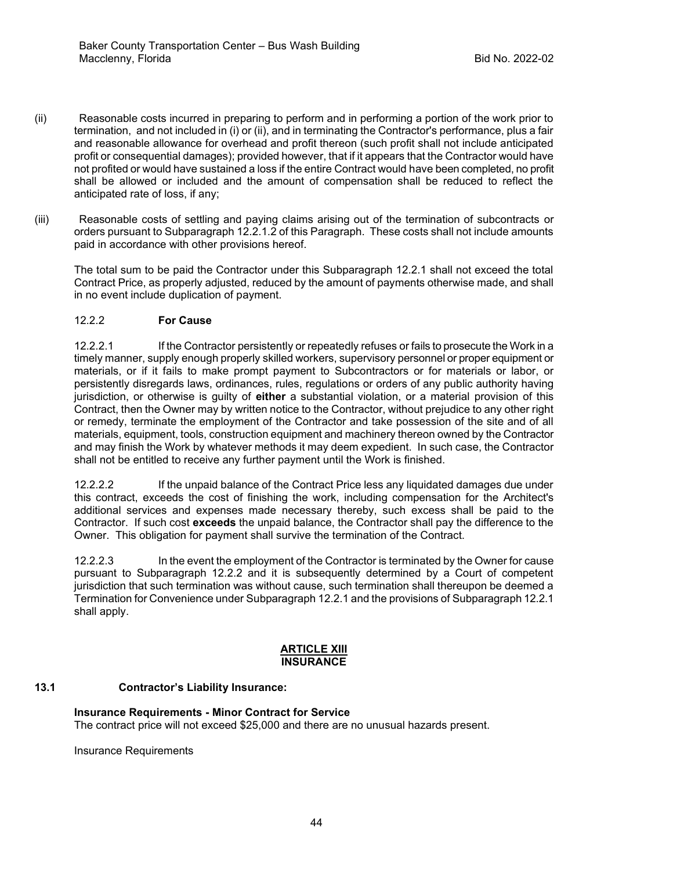- (ii) Reasonable costs incurred in preparing to perform and in performing a portion of the work prior to termination, and not included in (i) or (ii), and in terminating the Contractor's performance, plus a fair and reasonable allowance for overhead and profit thereon (such profit shall not include anticipated profit or consequential damages); provided however, that if it appears that the Contractor would have not profited or would have sustained a loss if the entire Contract would have been completed, no profit shall be allowed or included and the amount of compensation shall be reduced to reflect the anticipated rate of loss, if any;
- (iii) Reasonable costs of settling and paying claims arising out of the termination of subcontracts or orders pursuant to Subparagraph 12.2.1.2 of this Paragraph. These costs shall not include amounts paid in accordance with other provisions hereof.

The total sum to be paid the Contractor under this Subparagraph 12.2.1 shall not exceed the total Contract Price, as properly adjusted, reduced by the amount of payments otherwise made, and shall in no event include duplication of payment.

### 12.2.2 **For Cause**

12.2.2.1 If the Contractor persistently or repeatedly refuses or fails to prosecute the Work in a timely manner, supply enough properly skilled workers, supervisory personnel or proper equipment or materials, or if it fails to make prompt payment to Subcontractors or for materials or labor, or persistently disregards laws, ordinances, rules, regulations or orders of any public authority having jurisdiction, or otherwise is guilty of **either** a substantial violation, or a material provision of this Contract, then the Owner may by written notice to the Contractor, without prejudice to any other right or remedy, terminate the employment of the Contractor and take possession of the site and of all materials, equipment, tools, construction equipment and machinery thereon owned by the Contractor and may finish the Work by whatever methods it may deem expedient. In such case, the Contractor shall not be entitled to receive any further payment until the Work is finished.

12.2.2.2 If the unpaid balance of the Contract Price less any liquidated damages due under this contract, exceeds the cost of finishing the work, including compensation for the Architect's additional services and expenses made necessary thereby, such excess shall be paid to the Contractor. If such cost **exceeds** the unpaid balance, the Contractor shall pay the difference to the Owner. This obligation for payment shall survive the termination of the Contract.

12.2.2.3 In the event the employment of the Contractor is terminated by the Owner for cause pursuant to Subparagraph 12.2.2 and it is subsequently determined by a Court of competent jurisdiction that such termination was without cause, such termination shall thereupon be deemed a Termination for Convenience under Subparagraph 12.2.1 and the provisions of Subparagraph 12.2.1 shall apply.

#### **ARTICLE XIII INSURANCE**

#### **13.1 Contractor's Liability Insurance:**

**Insurance Requirements - Minor Contract for Service** The contract price will not exceed \$25,000 and there are no unusual hazards present.

Insurance Requirements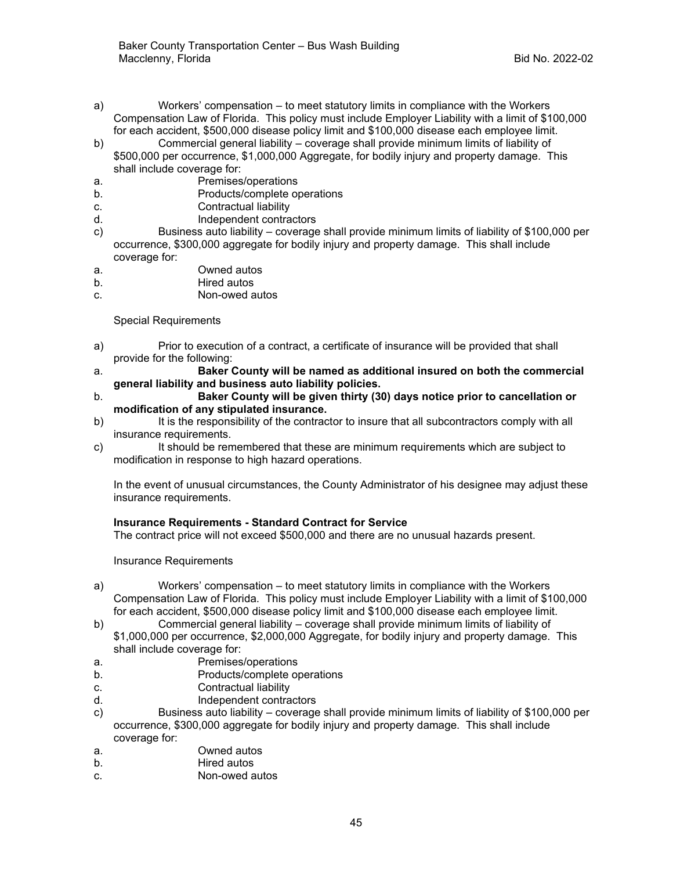- a) Workers' compensation to meet statutory limits in compliance with the Workers Compensation Law of Florida. This policy must include Employer Liability with a limit of \$100,000 for each accident, \$500,000 disease policy limit and \$100,000 disease each employee limit.
- b) Commercial general liability coverage shall provide minimum limits of liability of \$500,000 per occurrence, \$1,000,000 Aggregate, for bodily injury and property damage. This shall include coverage for:
- a. Premises/operations
- b. Products/complete operations
- c. Contractual liability
- d. Independent contractors
- c) Business auto liability coverage shall provide minimum limits of liability of \$100,000 per occurrence, \$300,000 aggregate for bodily injury and property damage. This shall include coverage for:
- a. Owned autos
- b. Hired autos
- c. Non-owed autos

#### Special Requirements

- a) Prior to execution of a contract, a certificate of insurance will be provided that shall provide for the following:
- a. **Baker County will be named as additional insured on both the commercial general liability and business auto liability policies.**
- b. **Baker County will be given thirty (30) days notice prior to cancellation or modification of any stipulated insurance.**
- b) It is the responsibility of the contractor to insure that all subcontractors comply with all insurance requirements.
- c) It should be remembered that these are minimum requirements which are subject to modification in response to high hazard operations.

In the event of unusual circumstances, the County Administrator of his designee may adjust these insurance requirements.

#### **Insurance Requirements - Standard Contract for Service**

The contract price will not exceed \$500,000 and there are no unusual hazards present.

Insurance Requirements

- a) Workers' compensation to meet statutory limits in compliance with the Workers Compensation Law of Florida. This policy must include Employer Liability with a limit of \$100,000 for each accident, \$500,000 disease policy limit and \$100,000 disease each employee limit.
- b) Commercial general liability coverage shall provide minimum limits of liability of \$1,000,000 per occurrence, \$2,000,000 Aggregate, for bodily injury and property damage. This shall include coverage for:
- a. Premises/operations
- b. Products/complete operations
- c. Contractual liability
- d. Independent contractors
- c) Business auto liability coverage shall provide minimum limits of liability of \$100,000 per occurrence, \$300,000 aggregate for bodily injury and property damage. This shall include coverage for:
- a. Owned autos
- b. Hired autos
- c. Non-owed autos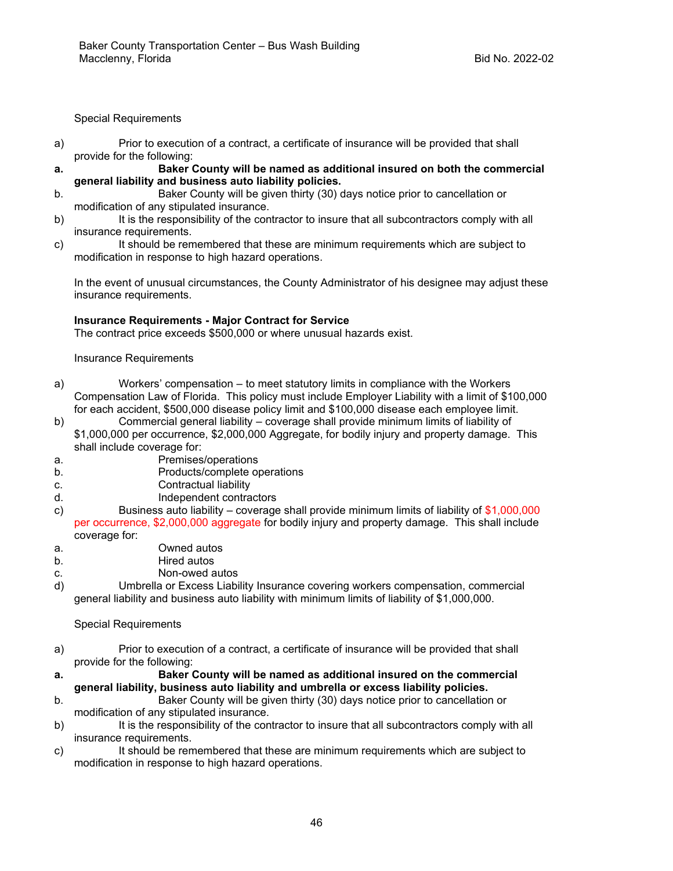Special Requirements

- a) Prior to execution of a contract, a certificate of insurance will be provided that shall provide for the following:
- **a. Baker County will be named as additional insured on both the commercial general liability and business auto liability policies.**
- b. Baker County will be given thirty (30) days notice prior to cancellation or modification of any stipulated insurance.
- b) It is the responsibility of the contractor to insure that all subcontractors comply with all insurance requirements.
- c) It should be remembered that these are minimum requirements which are subject to modification in response to high hazard operations.

In the event of unusual circumstances, the County Administrator of his designee may adjust these insurance requirements.

# **Insurance Requirements - Major Contract for Service**

The contract price exceeds \$500,000 or where unusual hazards exist.

Insurance Requirements

- a) Workers' compensation to meet statutory limits in compliance with the Workers Compensation Law of Florida. This policy must include Employer Liability with a limit of \$100,000 for each accident, \$500,000 disease policy limit and \$100,000 disease each employee limit.
- b) Commercial general liability coverage shall provide minimum limits of liability of \$1,000,000 per occurrence, \$2,000,000 Aggregate, for bodily injury and property damage. This shall include coverage for:
- a. Premises/operations
- b. Products/complete operations
- c. Contractual liability
- d. Independent contractors
- c) Business auto liability coverage shall provide minimum limits of liability of  $$1,000,000$ per occurrence, \$2,000,000 aggregate for bodily injury and property damage. This shall include coverage for:
- a. Owned autos
- b. Hired autos
- c. Non-owed autos
- d) Umbrella or Excess Liability Insurance covering workers compensation, commercial general liability and business auto liability with minimum limits of liability of \$1,000,000.

# Special Requirements

a) Prior to execution of a contract, a certificate of insurance will be provided that shall provide for the following:

#### **a. Baker County will be named as additional insured on the commercial general liability, business auto liability and umbrella or excess liability policies.**

- b. Baker County will be given thirty (30) days notice prior to cancellation or modification of any stipulated insurance.
- b) It is the responsibility of the contractor to insure that all subcontractors comply with all insurance requirements.
- c) It should be remembered that these are minimum requirements which are subject to modification in response to high hazard operations.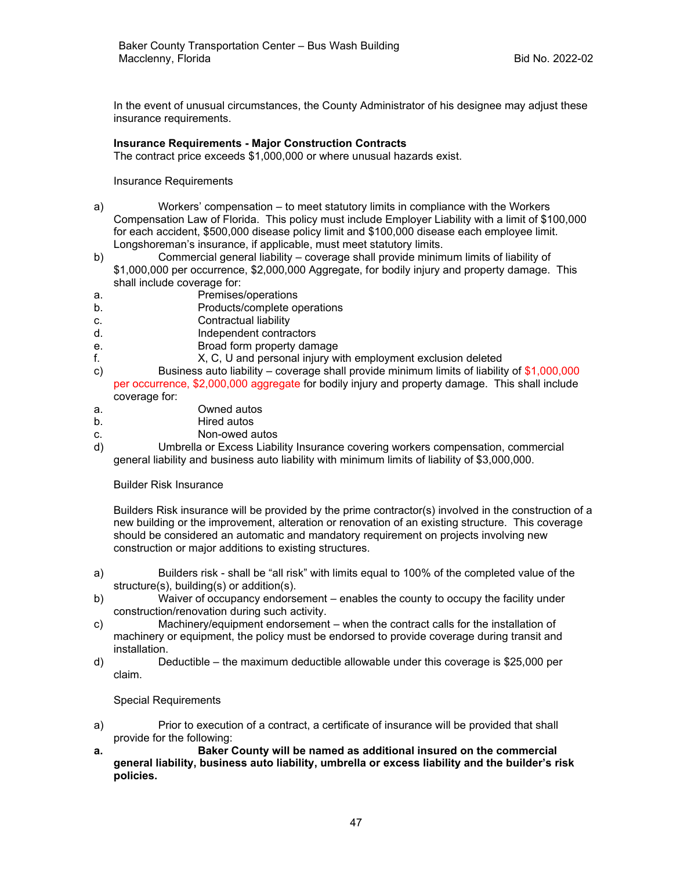In the event of unusual circumstances, the County Administrator of his designee may adjust these insurance requirements.

### **Insurance Requirements - Major Construction Contracts**

The contract price exceeds \$1,000,000 or where unusual hazards exist.

Insurance Requirements

- a) Workers' compensation to meet statutory limits in compliance with the Workers Compensation Law of Florida. This policy must include Employer Liability with a limit of \$100,000 for each accident, \$500,000 disease policy limit and \$100,000 disease each employee limit. Longshoreman's insurance, if applicable, must meet statutory limits.
- b) Commercial general liability coverage shall provide minimum limits of liability of \$1,000,000 per occurrence, \$2,000,000 Aggregate, for bodily injury and property damage. This shall include coverage for:
- a. Premises/operations
- b. Products/complete operations
- c. Contractual liability
- d. Independent contractors
- e. Broad form property damage
- f. X, C, U and personal injury with employment exclusion deleted
- c) Business auto liability coverage shall provide minimum limits of liability of \$1,000,000 per occurrence, \$2,000,000 aggregate for bodily injury and property damage. This shall include coverage for:
- a. Owned autos
- b. Hired autos
- c. Non-owed autos
- d) Umbrella or Excess Liability Insurance covering workers compensation, commercial general liability and business auto liability with minimum limits of liability of \$3,000,000.

#### Builder Risk Insurance

Builders Risk insurance will be provided by the prime contractor(s) involved in the construction of a new building or the improvement, alteration or renovation of an existing structure. This coverage should be considered an automatic and mandatory requirement on projects involving new construction or major additions to existing structures.

- a) Builders risk shall be "all risk" with limits equal to 100% of the completed value of the structure(s), building(s) or addition(s).
- b) Waiver of occupancy endorsement enables the county to occupy the facility under construction/renovation during such activity.
- c) Machinery/equipment endorsement when the contract calls for the installation of machinery or equipment, the policy must be endorsed to provide coverage during transit and installation.
- d) Deductible the maximum deductible allowable under this coverage is \$25,000 per claim.

#### Special Requirements

- a) Prior to execution of a contract, a certificate of insurance will be provided that shall provide for the following:
- **a. Baker County will be named as additional insured on the commercial general liability, business auto liability, umbrella or excess liability and the builder's risk policies.**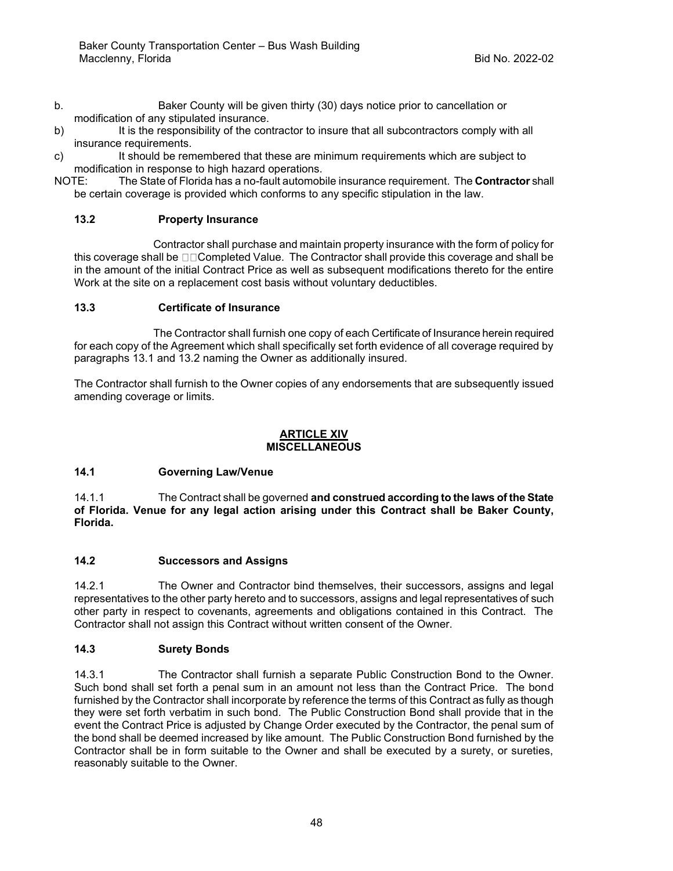- b. Baker County will be given thirty (30) days notice prior to cancellation or modification of any stipulated insurance.
- b) It is the responsibility of the contractor to insure that all subcontractors comply with all insurance requirements.
- c) It should be remembered that these are minimum requirements which are subject to modification in response to high hazard operations.
- NOTE: The State of Florida has a no-fault automobile insurance requirement. The **Contractor** shall be certain coverage is provided which conforms to any specific stipulation in the law.

# **13.2 Property Insurance**

Contractor shall purchase and maintain property insurance with the form of policy for this coverage shall be  $\square \square$ Completed Value. The Contractor shall provide this coverage and shall be in the amount of the initial Contract Price as well as subsequent modifications thereto for the entire Work at the site on a replacement cost basis without voluntary deductibles.

# **13.3 Certificate of Insurance**

The Contractor shall furnish one copy of each Certificate of Insurance herein required for each copy of the Agreement which shall specifically set forth evidence of all coverage required by paragraphs 13.1 and 13.2 naming the Owner as additionally insured.

The Contractor shall furnish to the Owner copies of any endorsements that are subsequently issued amending coverage or limits.

#### **ARTICLE XIV MISCELLANEOUS**

# **14.1 Governing Law/Venue**

14.1.1 The Contract shall be governed **and construed according to the laws of the State of Florida. Venue for any legal action arising under this Contract shall be Baker County, Florida.**

# **14.2 Successors and Assigns**

14.2.1 The Owner and Contractor bind themselves, their successors, assigns and legal representatives to the other party hereto and to successors, assigns and legal representatives of such other party in respect to covenants, agreements and obligations contained in this Contract. The Contractor shall not assign this Contract without written consent of the Owner.

# **14.3 Surety Bonds**

14.3.1 The Contractor shall furnish a separate Public Construction Bond to the Owner. Such bond shall set forth a penal sum in an amount not less than the Contract Price. The bond furnished by the Contractor shall incorporate by reference the terms of this Contract as fully as though they were set forth verbatim in such bond. The Public Construction Bond shall provide that in the event the Contract Price is adjusted by Change Order executed by the Contractor, the penal sum of the bond shall be deemed increased by like amount. The Public Construction Bond furnished by the Contractor shall be in form suitable to the Owner and shall be executed by a surety, or sureties, reasonably suitable to the Owner.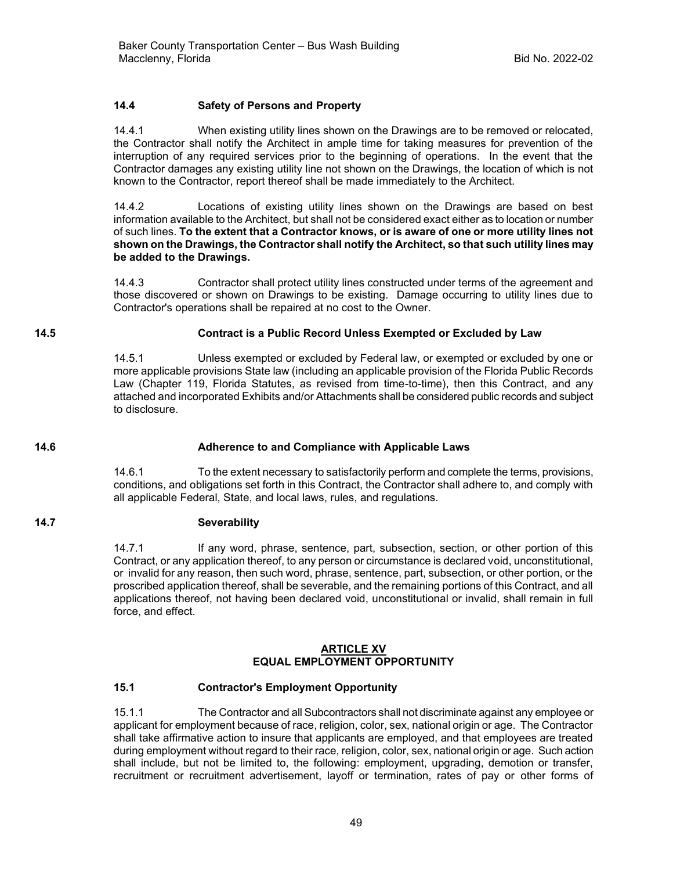# **14.4 Safety of Persons and Property**

14.4.1 When existing utility lines shown on the Drawings are to be removed or relocated, the Contractor shall notify the Architect in ample time for taking measures for prevention of the interruption of any required services prior to the beginning of operations. In the event that the Contractor damages any existing utility line not shown on the Drawings, the location of which is not known to the Contractor, report thereof shall be made immediately to the Architect.

14.4.2 Locations of existing utility lines shown on the Drawings are based on best information available to the Architect, but shall not be considered exact either as to location or number of such lines. **To the extent that a Contractor knows, or is aware of one or more utility lines not shown on the Drawings, the Contractor shall notify the Architect, so that such utility lines may be added to the Drawings.**

14.4.3 Contractor shall protect utility lines constructed under terms of the agreement and those discovered or shown on Drawings to be existing. Damage occurring to utility lines due to Contractor's operations shall be repaired at no cost to the Owner.

### **14.5 Contract is a Public Record Unless Exempted or Excluded by Law**

14.5.1 Unless exempted or excluded by Federal law, or exempted or excluded by one or more applicable provisions State law (including an applicable provision of the Florida Public Records Law (Chapter 119, Florida Statutes, as revised from time-to-time), then this Contract, and any attached and incorporated Exhibits and/or Attachments shall be considered public records and subject to disclosure.

#### **14.6 Adherence to and Compliance with Applicable Laws**

14.6.1 To the extent necessary to satisfactorily perform and complete the terms, provisions, conditions, and obligations set forth in this Contract, the Contractor shall adhere to, and comply with all applicable Federal, State, and local laws, rules, and regulations.

#### **14.7 Severability**

14.7.1 If any word, phrase, sentence, part, subsection, section, or other portion of this Contract, or any application thereof, to any person or circumstance is declared void, unconstitutional, or invalid for any reason, then such word, phrase, sentence, part, subsection, or other portion, or the proscribed application thereof, shall be severable, and the remaining portions of this Contract, and all applications thereof, not having been declared void, unconstitutional or invalid, shall remain in full force, and effect.

#### **ARTICLE XV EQUAL EMPLOYMENT OPPORTUNITY**

# **15.1 Contractor's Employment Opportunity**

15.1.1 The Contractor and all Subcontractors shall not discriminate against any employee or applicant for employment because of race, religion, color, sex, national origin or age. The Contractor shall take affirmative action to insure that applicants are employed, and that employees are treated during employment without regard to their race, religion, color, sex, national origin or age. Such action shall include, but not be limited to, the following: employment, upgrading, demotion or transfer, recruitment or recruitment advertisement, layoff or termination, rates of pay or other forms of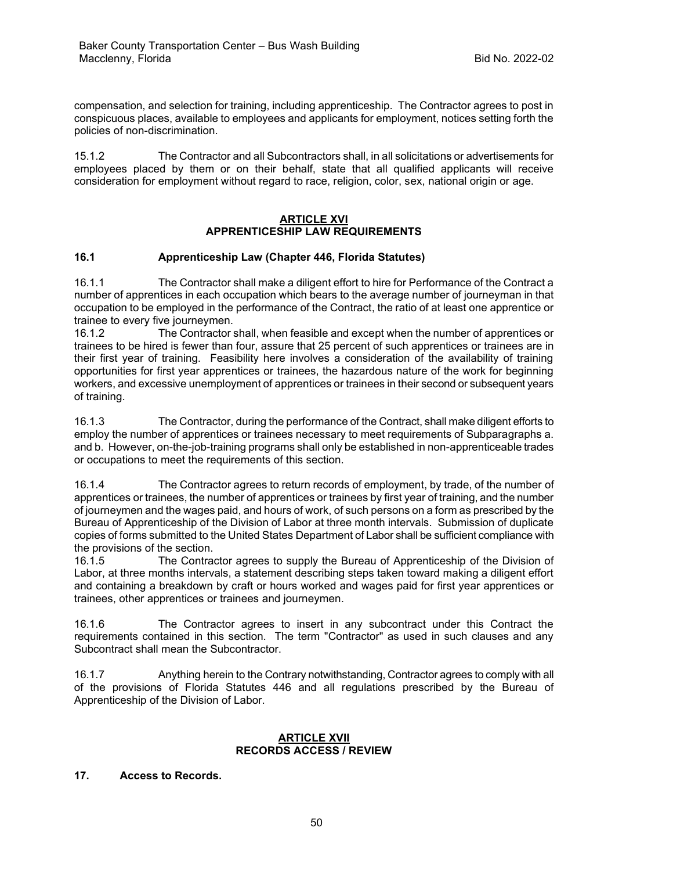compensation, and selection for training, including apprenticeship. The Contractor agrees to post in conspicuous places, available to employees and applicants for employment, notices setting forth the policies of non-discrimination.

15.1.2 The Contractor and all Subcontractors shall, in all solicitations or advertisements for employees placed by them or on their behalf, state that all qualified applicants will receive consideration for employment without regard to race, religion, color, sex, national origin or age.

#### **ARTICLE XVI APPRENTICESHIP LAW REQUIREMENTS**

# **16.1 Apprenticeship Law (Chapter 446, Florida Statutes)**

16.1.1 The Contractor shall make a diligent effort to hire for Performance of the Contract a number of apprentices in each occupation which bears to the average number of journeyman in that occupation to be employed in the performance of the Contract, the ratio of at least one apprentice or trainee to every five journeymen.

16.1.2 The Contractor shall, when feasible and except when the number of apprentices or trainees to be hired is fewer than four, assure that 25 percent of such apprentices or trainees are in their first year of training. Feasibility here involves a consideration of the availability of training opportunities for first year apprentices or trainees, the hazardous nature of the work for beginning workers, and excessive unemployment of apprentices or trainees in their second or subsequent years of training.

16.1.3 The Contractor, during the performance of the Contract, shall make diligent efforts to employ the number of apprentices or trainees necessary to meet requirements of Subparagraphs a. and b. However, on-the-job-training programs shall only be established in non-apprenticeable trades or occupations to meet the requirements of this section.

16.1.4 The Contractor agrees to return records of employment, by trade, of the number of apprentices or trainees, the number of apprentices or trainees by first year of training, and the number of journeymen and the wages paid, and hours of work, of such persons on a form as prescribed by the Bureau of Apprenticeship of the Division of Labor at three month intervals. Submission of duplicate copies of forms submitted to the United States Department of Labor shall be sufficient compliance with the provisions of the section.

16.1.5 The Contractor agrees to supply the Bureau of Apprenticeship of the Division of Labor, at three months intervals, a statement describing steps taken toward making a diligent effort and containing a breakdown by craft or hours worked and wages paid for first year apprentices or trainees, other apprentices or trainees and journeymen.

16.1.6 The Contractor agrees to insert in any subcontract under this Contract the requirements contained in this section. The term "Contractor" as used in such clauses and any Subcontract shall mean the Subcontractor.

16.1.7 Anything herein to the Contrary notwithstanding, Contractor agrees to comply with all of the provisions of Florida Statutes 446 and all regulations prescribed by the Bureau of Apprenticeship of the Division of Labor.

### **ARTICLE XVII RECORDS ACCESS / REVIEW**

#### **17. Access to Records.**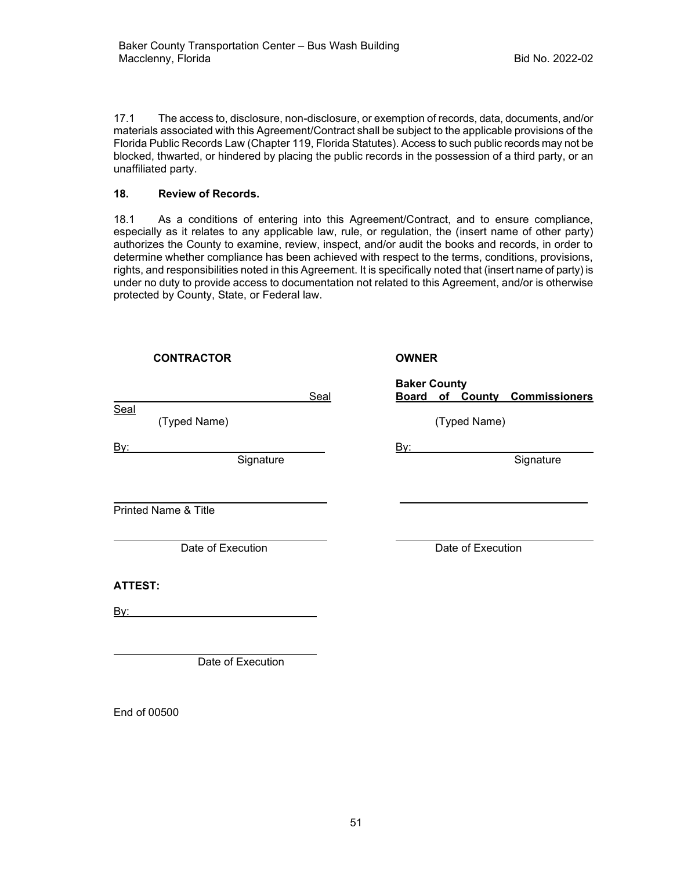17.1 The access to, disclosure, non-disclosure, or exemption of records, data, documents, and/or materials associated with this Agreement/Contract shall be subject to the applicable provisions of the Florida Public Records Law (Chapter 119, Florida Statutes). Access to such public records may not be blocked, thwarted, or hindered by placing the public records in the possession of a third party, or an unaffiliated party.

# **18. Review of Records.**

18.1 As a conditions of entering into this Agreement/Contract, and to ensure compliance, especially as it relates to any applicable law, rule, or regulation, the (insert name of other party) authorizes the County to examine, review, inspect, and/or audit the books and records, in order to determine whether compliance has been achieved with respect to the terms, conditions, provisions, rights, and responsibilities noted in this Agreement. It is specifically noted that (insert name of party) is under no duty to provide access to documentation not related to this Agreement, and/or is otherwise protected by County, State, or Federal law.

| <b>CONTRACTOR</b><br><b>OWNER</b> |      |                     |                   |                                      |
|-----------------------------------|------|---------------------|-------------------|--------------------------------------|
|                                   | Seal | <b>Baker County</b> |                   | <b>Board of County Commissioners</b> |
| Seal<br>(Typed Name)              |      |                     | (Typed Name)      |                                      |
| <u>By:</u><br>Signature           |      | <u>By:</u>          |                   | Signature                            |
| <b>Printed Name &amp; Title</b>   |      |                     |                   |                                      |
| Date of Execution                 |      |                     | Date of Execution |                                      |
| <b>ATTEST:</b>                    |      |                     |                   |                                      |
| <u>By:</u>                        |      |                     |                   |                                      |
| Date of Execution                 |      |                     |                   |                                      |

End of 00500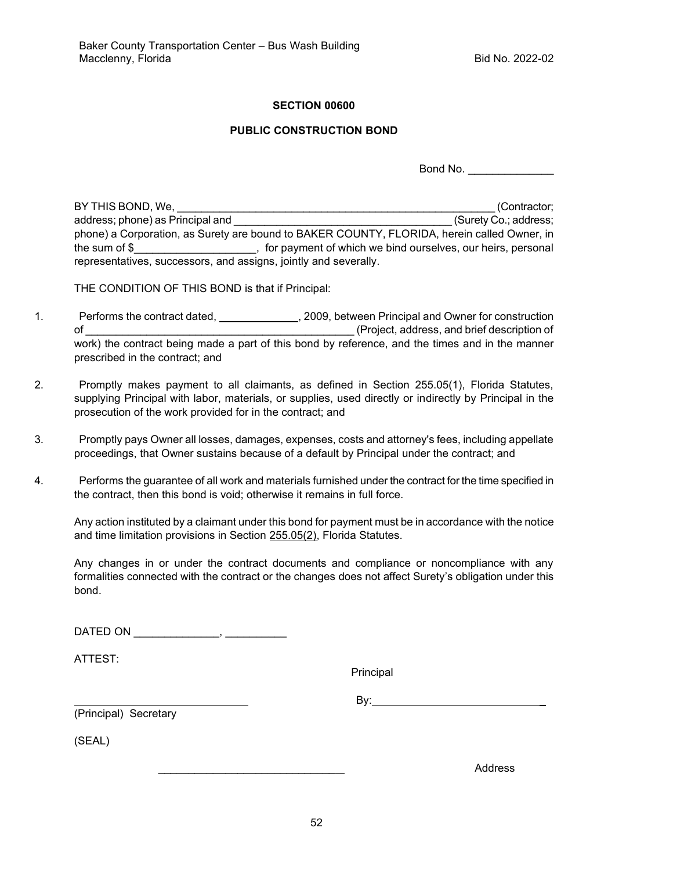# **SECTION 00600**

### **PUBLIC CONSTRUCTION BOND**

Bond No.

BY THIS BOND, We, the contractor of the contractor of the contractor; the contractor of the contractor; the contractor of the contractor; the contractor; the contractor; the contractor; the contractor; the contractor; the address; phone) as Principal and \_\_\_\_\_\_\_\_\_\_\_\_\_\_\_\_\_\_\_\_\_\_\_\_\_\_\_\_\_\_\_\_\_\_\_\_ (Surety Co.; address; phone) a Corporation, as Surety are bound to BAKER COUNTY, FLORIDA, herein called Owner, in the sum of \$\_\_\_\_\_\_\_\_\_\_\_\_\_\_\_\_\_\_\_, for payment of which we bind ourselves, our heirs, personal representatives, successors, and assigns, jointly and severally.

THE CONDITION OF THIS BOND is that if Principal:

- 1. Performs the contract dated, 1. 2009, between Principal and Owner for construction of \_\_\_\_\_\_\_\_\_\_\_\_\_\_\_\_\_\_\_\_\_\_\_\_\_\_\_\_\_\_\_\_\_\_\_\_\_\_\_\_\_\_\_\_ (Project, address, and brief description of work) the contract being made a part of this bond by reference, and the times and in the manner prescribed in the contract; and
- 2. Promptly makes payment to all claimants, as defined in Section 255.05(1), Florida Statutes, supplying Principal with labor, materials, or supplies, used directly or indirectly by Principal in the prosecution of the work provided for in the contract; and
- 3. Promptly pays Owner all losses, damages, expenses, costs and attorney's fees, including appellate proceedings, that Owner sustains because of a default by Principal under the contract; and
- 4. Performs the guarantee of all work and materials furnished under the contract for the time specified in the contract, then this bond is void; otherwise it remains in full force.

Any action instituted by a claimant under this bond for payment must be in accordance with the notice and time limitation provisions in Section 255.05(2), Florida Statutes.

Any changes in or under the contract documents and compliance or noncompliance with any formalities connected with the contract or the changes does not affect Surety's obligation under this bond.

DATED ON \_\_\_\_\_\_\_\_\_\_\_\_\_\_, \_\_\_\_\_\_\_\_\_\_

ATTEST:

Principal

(Principal) Secretary

By: \_

(SEAL)

\_\_\_\_\_\_\_\_\_\_\_\_\_\_\_\_\_\_\_\_\_\_\_\_\_\_\_\_\_ Address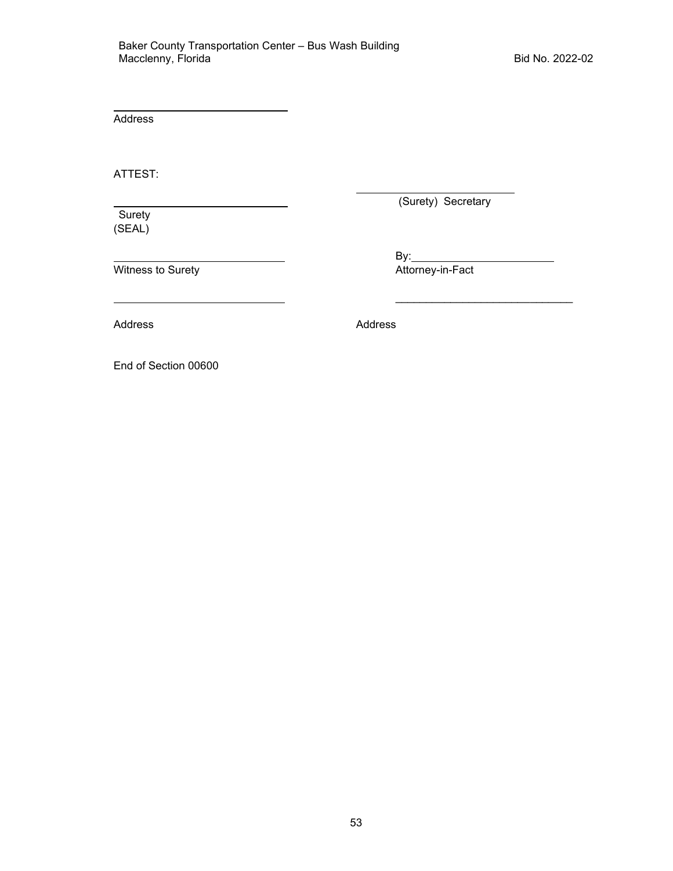Address

ATTEST:

Surety (SEAL) (Surety) Secretary

Witness to Surety **Attorney-in-Fact** 

<u>By: the contract of the contract of the contract of the contract of the contract of the contract of the contract of the contract of the contract of the contract of the contract of the contract of the contract of the contr</u>

Address Address Address

 $\overline{\phantom{a}}$  , and the contract of the contract of the contract of the contract of the contract of the contract of the contract of the contract of the contract of the contract of the contract of the contract of the contrac

End of Section 00600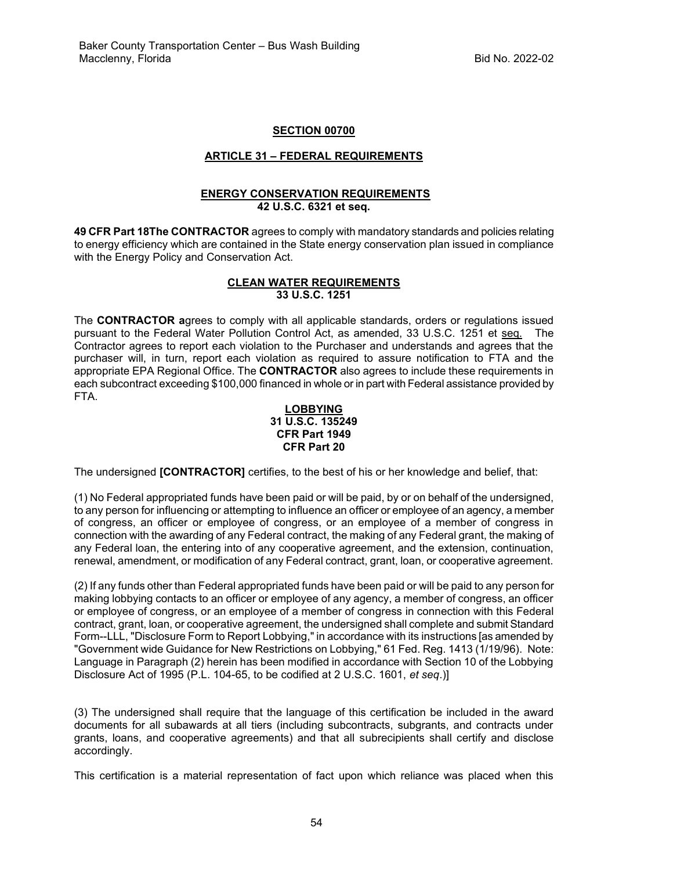# **SECTION 00700**

# **ARTICLE 31 – FEDERAL REQUIREMENTS**

#### **ENERGY CONSERVATION REQUIREMENTS 42 U.S.C. 6321 et seq.**

**49 CFR Part 18The CONTRACTOR** agrees to comply with mandatory standards and policies relating to energy efficiency which are contained in the State energy conservation plan issued in compliance with the Energy Policy and Conservation Act.

### **CLEAN WATER REQUIREMENTS 33 U.S.C. 1251**

The **CONTRACTOR a**grees to comply with all applicable standards, orders or regulations issued pursuant to the Federal Water Pollution Control Act, as amended, 33 U.S.C. 1251 et seq. The Contractor agrees to report each violation to the Purchaser and understands and agrees that the purchaser will, in turn, report each violation as required to assure notification to FTA and the appropriate EPA Regional Office. The **CONTRACTOR** also agrees to include these requirements in each subcontract exceeding \$100,000 financed in whole or in part with Federal assistance provided by FTA.

#### **LOBBYING 31 U.S.C. 135249 CFR Part 1949 CFR Part 20**

The undersigned **[CONTRACTOR]** certifies, to the best of his or her knowledge and belief, that:

(1) No Federal appropriated funds have been paid or will be paid, by or on behalf of the undersigned, to any person for influencing or attempting to influence an officer or employee of an agency, a member of congress, an officer or employee of congress, or an employee of a member of congress in connection with the awarding of any Federal contract, the making of any Federal grant, the making of any Federal loan, the entering into of any cooperative agreement, and the extension, continuation, renewal, amendment, or modification of any Federal contract, grant, loan, or cooperative agreement.

(2) If any funds other than Federal appropriated funds have been paid or will be paid to any person for making lobbying contacts to an officer or employee of any agency, a member of congress, an officer or employee of congress, or an employee of a member of congress in connection with this Federal contract, grant, loan, or cooperative agreement, the undersigned shall complete and submit Standard Form--LLL, "Disclosure Form to Report Lobbying," in accordance with its instructions [as amended by "Government wide Guidance for New Restrictions on Lobbying," 61 Fed. Reg. 1413 (1/19/96). Note: Language in Paragraph (2) herein has been modified in accordance with Section 10 of the Lobbying Disclosure Act of 1995 (P.L. 104-65, to be codified at 2 U.S.C. 1601, *et seq*.)]

(3) The undersigned shall require that the language of this certification be included in the award documents for all subawards at all tiers (including subcontracts, subgrants, and contracts under grants, loans, and cooperative agreements) and that all subrecipients shall certify and disclose accordingly.

This certification is a material representation of fact upon which reliance was placed when this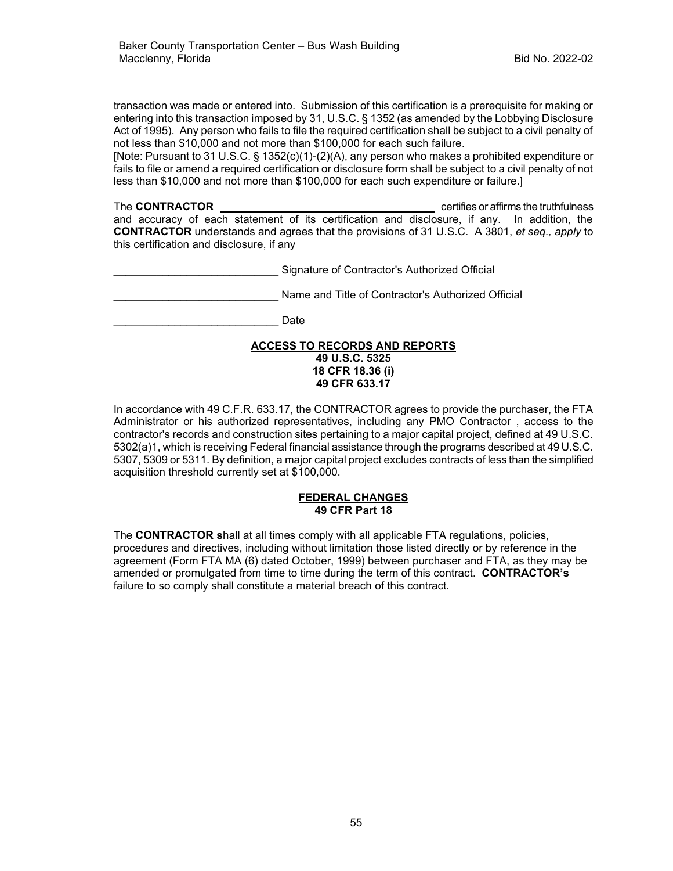transaction was made or entered into. Submission of this certification is a prerequisite for making or entering into this transaction imposed by 31, U.S.C. § 1352 (as amended by the Lobbying Disclosure Act of 1995). Any person who fails to file the required certification shall be subject to a civil penalty of not less than \$10,000 and not more than \$100,000 for each such failure.

[Note: Pursuant to 31 U.S.C. § 1352(c)(1)-(2)(A), any person who makes a prohibited expenditure or fails to file or amend a required certification or disclosure form shall be subject to a civil penalty of not less than \$10,000 and not more than \$100,000 for each such expenditure or failure.]

The **CONTRACTOR** certifies or affirms the truthfulness and accuracy of each statement of its certification and disclosure, if any. In addition, the **CONTRACTOR** understands and agrees that the provisions of 31 U.S.C. A 3801, *et seq., apply* to this certification and disclosure, if any

| Signature of Contractor's Authorized Official |  |
|-----------------------------------------------|--|
|                                               |  |

Name and Title of Contractor's Authorized Official

Date

#### **ACCESS TO RECORDS AND REPORTS 49 U.S.C. 5325 18 CFR 18.36 (i) 49 CFR 633.17**

In accordance with 49 C.F.R. 633.17, the CONTRACTOR agrees to provide the purchaser, the FTA Administrator or his authorized representatives, including any PMO Contractor , access to the contractor's records and construction sites pertaining to a major capital project, defined at 49 U.S.C. 5302(a)1, which is receiving Federal financial assistance through the programs described at 49 U.S.C. 5307, 5309 or 5311. By definition, a major capital project excludes contracts of less than the simplified acquisition threshold currently set at \$100,000.

#### **FEDERAL CHANGES 49 CFR Part 18**

The **CONTRACTOR s**hall at all times comply with all applicable FTA regulations, policies, procedures and directives, including without limitation those listed directly or by reference in the agreement (Form FTA MA (6) dated October, 1999) between purchaser and FTA, as they may be amended or promulgated from time to time during the term of this contract. **CONTRACTOR's**  failure to so comply shall constitute a material breach of this contract.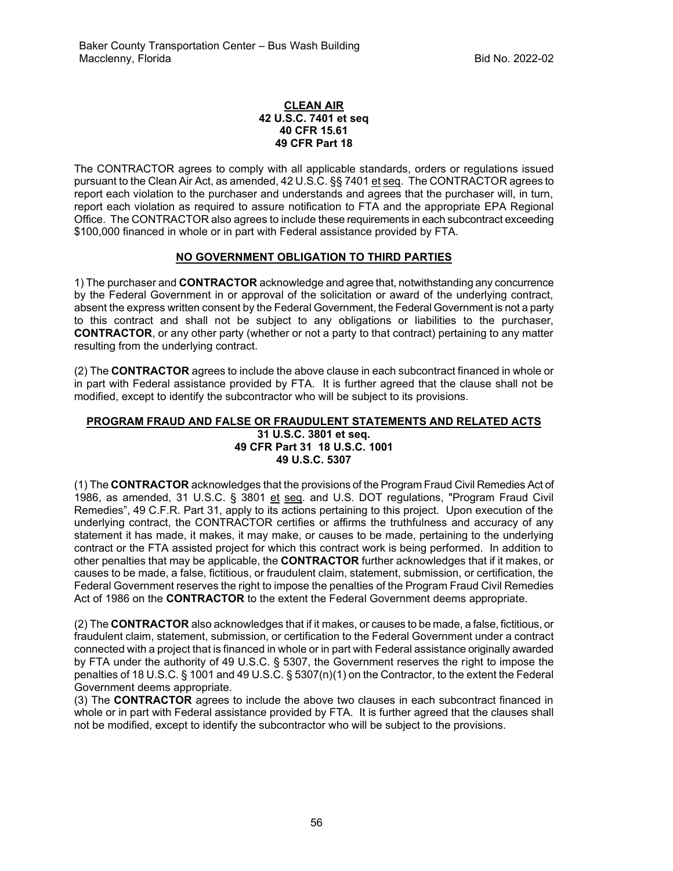#### **CLEAN AIR 42 U.S.C. 7401 et seq 40 CFR 15.61 49 CFR Part 18**

The CONTRACTOR agrees to comply with all applicable standards, orders or regulations issued pursuant to the Clean Air Act, as amended, 42 U.S.C. §§ 7401 et seq. The CONTRACTOR agrees to report each violation to the purchaser and understands and agrees that the purchaser will, in turn, report each violation as required to assure notification to FTA and the appropriate EPA Regional Office. The CONTRACTOR also agrees to include these requirements in each subcontract exceeding \$100,000 financed in whole or in part with Federal assistance provided by FTA.

# **NO GOVERNMENT OBLIGATION TO THIRD PARTIES**

1) The purchaser and **CONTRACTOR** acknowledge and agree that, notwithstanding any concurrence by the Federal Government in or approval of the solicitation or award of the underlying contract, absent the express written consent by the Federal Government, the Federal Government is not a party to this contract and shall not be subject to any obligations or liabilities to the purchaser, **CONTRACTOR**, or any other party (whether or not a party to that contract) pertaining to any matter resulting from the underlying contract.

(2) The **CONTRACTOR** agrees to include the above clause in each subcontract financed in whole or in part with Federal assistance provided by FTA. It is further agreed that the clause shall not be modified, except to identify the subcontractor who will be subject to its provisions.

#### **PROGRAM FRAUD AND FALSE OR FRAUDULENT STATEMENTS AND RELATED ACTS 31 U.S.C. 3801 et seq. 49 CFR Part 31 18 U.S.C. 1001 49 U.S.C. 5307**

(1) The **CONTRACTOR** acknowledges that the provisions of the Program Fraud Civil Remedies Act of 1986, as amended, 31 U.S.C. § 3801 et seq. and U.S. DOT regulations, "Program Fraud Civil Remedies", 49 C.F.R. Part 31, apply to its actions pertaining to this project. Upon execution of the underlying contract, the CONTRACTOR certifies or affirms the truthfulness and accuracy of any statement it has made, it makes, it may make, or causes to be made, pertaining to the underlying contract or the FTA assisted project for which this contract work is being performed. In addition to other penalties that may be applicable, the **CONTRACTOR** further acknowledges that if it makes, or causes to be made, a false, fictitious, or fraudulent claim, statement, submission, or certification, the Federal Government reserves the right to impose the penalties of the Program Fraud Civil Remedies Act of 1986 on the **CONTRACTOR** to the extent the Federal Government deems appropriate.

(2) The **CONTRACTOR** also acknowledges that if it makes, or causes to be made, a false, fictitious, or fraudulent claim, statement, submission, or certification to the Federal Government under a contract connected with a project that is financed in whole or in part with Federal assistance originally awarded by FTA under the authority of 49 U.S.C. § 5307, the Government reserves the right to impose the penalties of 18 U.S.C. § 1001 and 49 U.S.C. § 5307(n)(1) on the Contractor, to the extent the Federal Government deems appropriate.

(3) The **CONTRACTOR** agrees to include the above two clauses in each subcontract financed in whole or in part with Federal assistance provided by FTA. It is further agreed that the clauses shall not be modified, except to identify the subcontractor who will be subject to the provisions.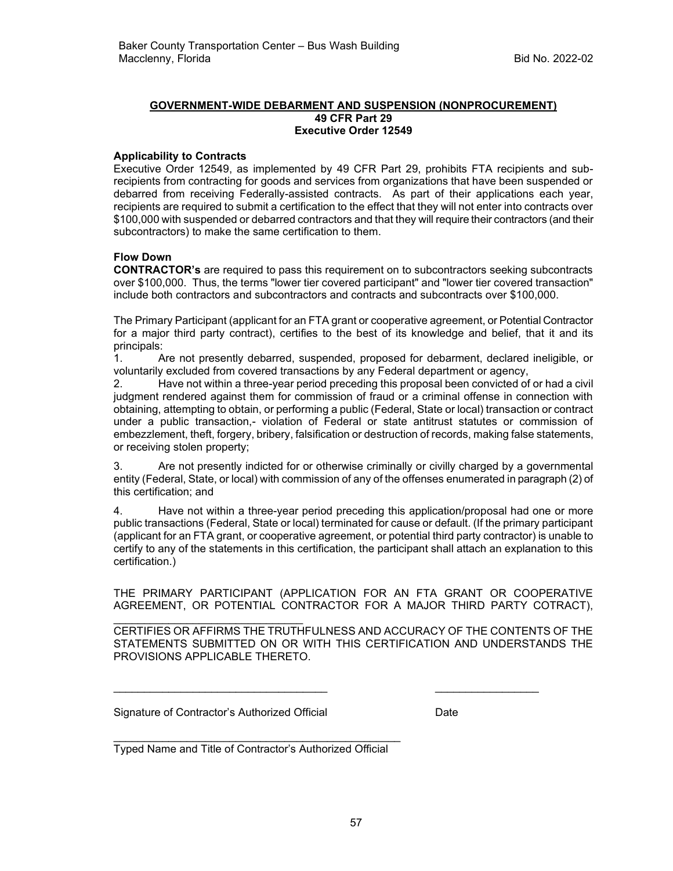#### **GOVERNMENT-WIDE DEBARMENT AND SUSPENSION (NONPROCUREMENT) 49 CFR Part 29 Executive Order 12549**

#### **Applicability to Contracts**

Executive Order 12549, as implemented by 49 CFR Part 29, prohibits FTA recipients and subrecipients from contracting for goods and services from organizations that have been suspended or debarred from receiving Federally-assisted contracts. As part of their applications each year, recipients are required to submit a certification to the effect that they will not enter into contracts over \$100,000 with suspended or debarred contractors and that they will require their contractors (and their subcontractors) to make the same certification to them.

### **Flow Down**

**CONTRACTOR's** are required to pass this requirement on to subcontractors seeking subcontracts over \$100,000. Thus, the terms "lower tier covered participant" and "lower tier covered transaction" include both contractors and subcontractors and contracts and subcontracts over \$100,000.

The Primary Participant (applicant for an FTA grant or cooperative agreement, or Potential Contractor for a major third party contract), certifies to the best of its knowledge and belief, that it and its principals:

1. Are not presently debarred, suspended, proposed for debarment, declared ineligible, or voluntarily excluded from covered transactions by any Federal department or agency,

2. Have not within a three-year period preceding this proposal been convicted of or had a civil judgment rendered against them for commission of fraud or a criminal offense in connection with obtaining, attempting to obtain, or performing a public (Federal, State or local) transaction or contract under a public transaction,- violation of Federal or state antitrust statutes or commission of embezzlement, theft, forgery, bribery, falsification or destruction of records, making false statements, or receiving stolen property;

3. Are not presently indicted for or otherwise criminally or civilly charged by a governmental entity (Federal, State, or local) with commission of any of the offenses enumerated in paragraph (2) of this certification; and

4. Have not within a three-year period preceding this application/proposal had one or more public transactions (Federal, State or local) terminated for cause or default. (If the primary participant (applicant for an FTA grant, or cooperative agreement, or potential third party contractor) is unable to certify to any of the statements in this certification, the participant shall attach an explanation to this certification.)

THE PRIMARY PARTICIPANT (APPLICATION FOR AN FTA GRANT OR COOPERATIVE AGREEMENT, OR POTENTIAL CONTRACTOR FOR A MAJOR THIRD PARTY COTRACT),

CERTIFIES OR AFFIRMS THE TRUTHFULNESS AND ACCURACY OF THE CONTENTS OF THE STATEMENTS SUBMITTED ON OR WITH THIS CERTIFICATION AND UNDERSTANDS THE PROVISIONS APPLICABLE THERETO.

Signature of Contractor's Authorized Official Date

\_\_\_\_\_\_\_\_\_\_\_\_\_\_\_\_\_\_\_\_\_\_\_\_\_\_\_\_\_\_\_

\_\_\_\_\_\_\_\_\_\_\_\_\_\_\_\_\_\_\_\_\_\_\_\_\_\_\_\_\_\_\_\_\_\_\_\_\_\_\_\_\_\_\_\_\_\_\_ Typed Name and Title of Contractor's Authorized Official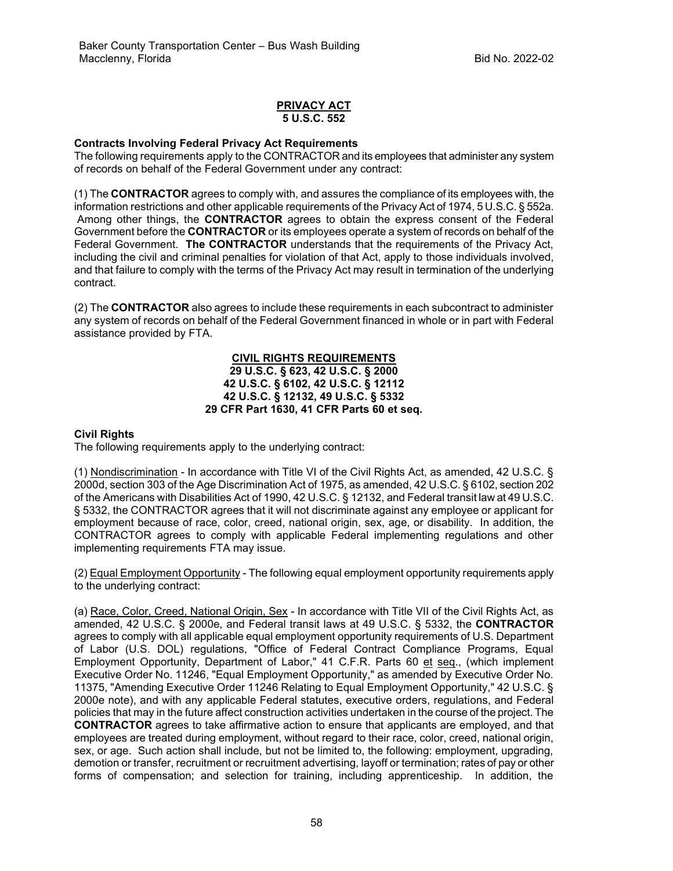#### **PRIVACY ACT 5 U.S.C. 552**

### **Contracts Involving Federal Privacy Act Requirements**

The following requirements apply to the CONTRACTOR and its employees that administer any system of records on behalf of the Federal Government under any contract:

(1) The **CONTRACTOR** agrees to comply with, and assures the compliance of its employees with, the information restrictions and other applicable requirements of the Privacy Act of 1974, 5 U.S.C. § 552a. Among other things, the **CONTRACTOR** agrees to obtain the express consent of the Federal Government before the **CONTRACTOR** or its employees operate a system of records on behalf of the Federal Government. **The CONTRACTOR** understands that the requirements of the Privacy Act, including the civil and criminal penalties for violation of that Act, apply to those individuals involved, and that failure to comply with the terms of the Privacy Act may result in termination of the underlying contract.

(2) The **CONTRACTOR** also agrees to include these requirements in each subcontract to administer any system of records on behalf of the Federal Government financed in whole or in part with Federal assistance provided by FTA.

#### **CIVIL RIGHTS REQUIREMENTS 29 U.S.C. § 623, 42 U.S.C. § 2000 42 U.S.C. § 6102, 42 U.S.C. § 12112 42 U.S.C. § 12132, 49 U.S.C. § 5332 29 CFR Part 1630, 41 CFR Parts 60 et seq.**

#### **Civil Rights**

The following requirements apply to the underlying contract:

(1) Nondiscrimination - In accordance with Title VI of the Civil Rights Act, as amended, 42 U.S.C. § 2000d, section 303 of the Age Discrimination Act of 1975, as amended, 42 U.S.C. § 6102, section 202 of the Americans with Disabilities Act of 1990, 42 U.S.C. § 12132, and Federal transit law at 49 U.S.C. § 5332, the CONTRACTOR agrees that it will not discriminate against any employee or applicant for employment because of race, color, creed, national origin, sex, age, or disability. In addition, the CONTRACTOR agrees to comply with applicable Federal implementing regulations and other implementing requirements FTA may issue.

(2) Equal Employment Opportunity - The following equal employment opportunity requirements apply to the underlying contract:

(a) Race, Color, Creed, National Origin, Sex - In accordance with Title VII of the Civil Rights Act, as amended, 42 U.S.C. § 2000e, and Federal transit laws at 49 U.S.C. § 5332, the **CONTRACTOR** agrees to comply with all applicable equal employment opportunity requirements of U.S. Department of Labor (U.S. DOL) regulations, "Office of Federal Contract Compliance Programs, Equal Employment Opportunity, Department of Labor," 41 C.F.R. Parts 60 et seq., (which implement Executive Order No. 11246, "Equal Employment Opportunity," as amended by Executive Order No. 11375, "Amending Executive Order 11246 Relating to Equal Employment Opportunity," 42 U.S.C. § 2000e note), and with any applicable Federal statutes, executive orders, regulations, and Federal policies that may in the future affect construction activities undertaken in the course of the project. The **CONTRACTOR** agrees to take affirmative action to ensure that applicants are employed, and that employees are treated during employment, without regard to their race, color, creed, national origin, sex, or age. Such action shall include, but not be limited to, the following: employment, upgrading, demotion or transfer, recruitment or recruitment advertising, layoff or termination; rates of pay or other forms of compensation; and selection for training, including apprenticeship. In addition, the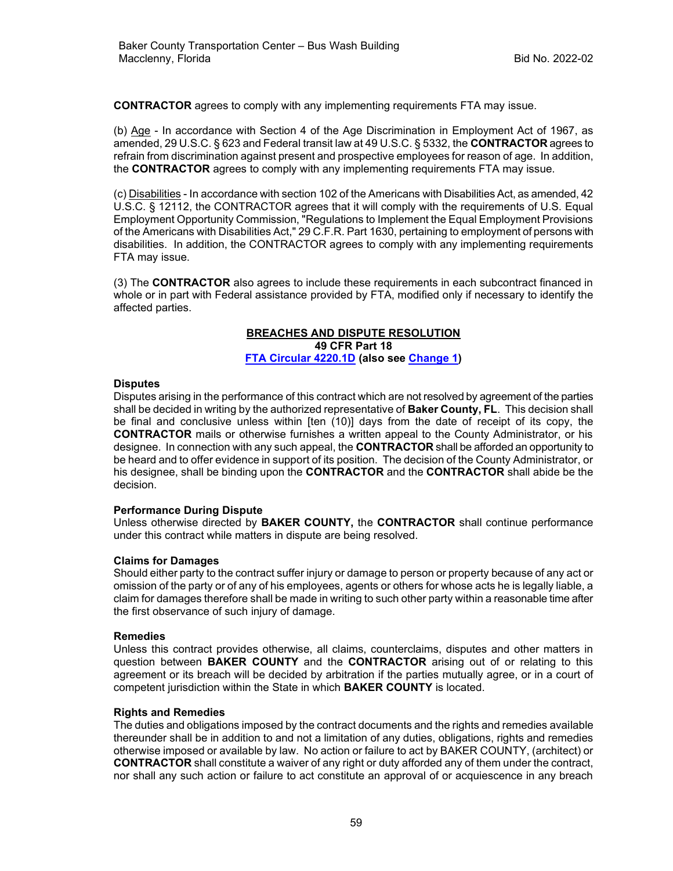**CONTRACTOR** agrees to comply with any implementing requirements FTA may issue.

(b) Age - In accordance with Section 4 of the Age Discrimination in Employment Act of 1967, as amended, 29 U.S.C. § 623 and Federal transit law at 49 U.S.C. § 5332, the **CONTRACTOR** agrees to refrain from discrimination against present and prospective employees for reason of age. In addition, the **CONTRACTOR** agrees to comply with any implementing requirements FTA may issue.

(c) Disabilities - In accordance with section 102 of the Americans with Disabilities Act, as amended, 42 U.S.C. § 12112, the CONTRACTOR agrees that it will comply with the requirements of U.S. Equal Employment Opportunity Commission, "Regulations to Implement the Equal Employment Provisions of the Americans with Disabilities Act," 29 C.F.R. Part 1630, pertaining to employment of persons with disabilities. In addition, the CONTRACTOR agrees to comply with any implementing requirements FTA may issue.

(3) The **CONTRACTOR** also agrees to include these requirements in each subcontract financed in whole or in part with Federal assistance provided by FTA, modified only if necessary to identify the affected parties.

#### **BREACHES AND DISPUTE RESOLUTION 49 CFR Part 18**

**[FTA Circular 4220.1D](http://www.fta.dot.gov/library/policy/tpcr.html) (also see [Change 1\)](http://www.fta.dot.gov/library/policy/tpcrpc.htm)**

### **Disputes**

Disputes arising in the performance of this contract which are not resolved by agreement of the parties shall be decided in writing by the authorized representative of **Baker County, FL**. This decision shall be final and conclusive unless within [ten (10)] days from the date of receipt of its copy, the **CONTRACTOR** mails or otherwise furnishes a written appeal to the County Administrator, or his designee. In connection with any such appeal, the **CONTRACTOR** shall be afforded an opportunity to be heard and to offer evidence in support of its position. The decision of the County Administrator, or his designee, shall be binding upon the **CONTRACTOR** and the **CONTRACTOR** shall abide be the decision.

#### **Performance During Dispute**

Unless otherwise directed by **BAKER COUNTY,** the **CONTRACTOR** shall continue performance under this contract while matters in dispute are being resolved.

#### **Claims for Damages**

Should either party to the contract suffer injury or damage to person or property because of any act or omission of the party or of any of his employees, agents or others for whose acts he is legally liable, a claim for damages therefore shall be made in writing to such other party within a reasonable time after the first observance of such injury of damage.

#### **Remedies**

Unless this contract provides otherwise, all claims, counterclaims, disputes and other matters in question between **BAKER COUNTY** and the **CONTRACTOR** arising out of or relating to this agreement or its breach will be decided by arbitration if the parties mutually agree, or in a court of competent jurisdiction within the State in which **BAKER COUNTY** is located.

#### **Rights and Remedies**

The duties and obligations imposed by the contract documents and the rights and remedies available thereunder shall be in addition to and not a limitation of any duties, obligations, rights and remedies otherwise imposed or available by law. No action or failure to act by BAKER COUNTY, (architect) or **CONTRACTOR** shall constitute a waiver of any right or duty afforded any of them under the contract, nor shall any such action or failure to act constitute an approval of or acquiescence in any breach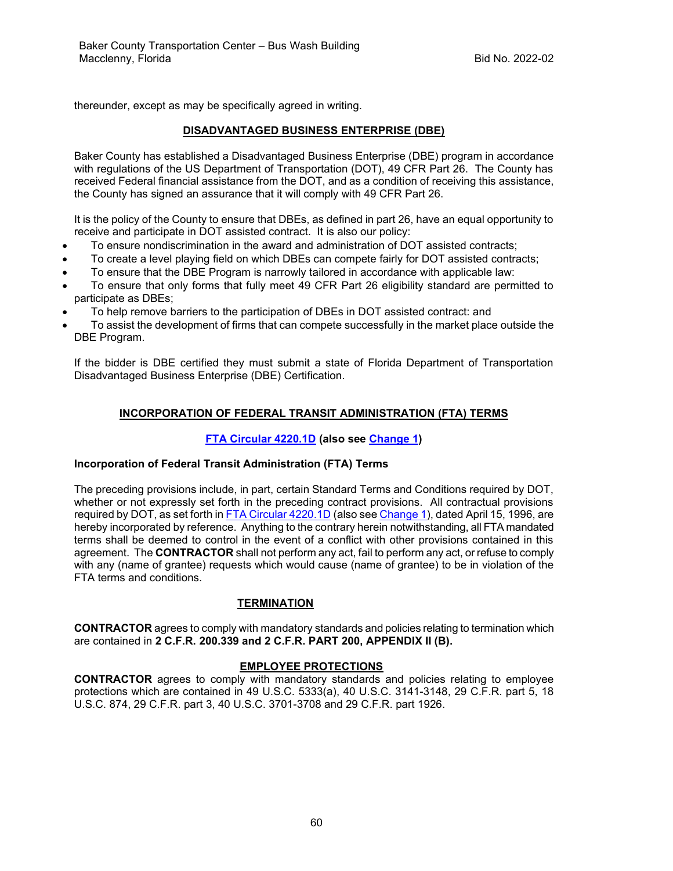thereunder, except as may be specifically agreed in writing.

# **DISADVANTAGED BUSINESS ENTERPRISE (DBE)**

Baker County has established a Disadvantaged Business Enterprise (DBE) program in accordance with regulations of the US Department of Transportation (DOT), 49 CFR Part 26. The County has received Federal financial assistance from the DOT, and as a condition of receiving this assistance, the County has signed an assurance that it will comply with 49 CFR Part 26.

It is the policy of the County to ensure that DBEs, as defined in part 26, have an equal opportunity to receive and participate in DOT assisted contract. It is also our policy:

- To ensure nondiscrimination in the award and administration of DOT assisted contracts;
- To create a level playing field on which DBEs can compete fairly for DOT assisted contracts;
- To ensure that the DBE Program is narrowly tailored in accordance with applicable law:
- To ensure that only forms that fully meet 49 CFR Part 26 eligibility standard are permitted to participate as DBEs;
- To help remove barriers to the participation of DBEs in DOT assisted contract: and
- To assist the development of firms that can compete successfully in the market place outside the DBE Program.

If the bidder is DBE certified they must submit a state of Florida Department of Transportation Disadvantaged Business Enterprise (DBE) Certification.

# **INCORPORATION OF FEDERAL TRANSIT ADMINISTRATION (FTA) TERMS**

# **[FTA Circular 4220.1D](http://www.fta.dot.gov/library/policy/tpcr.html) (also see [Change 1\)](http://www.fta.dot.gov/library/policy/tpcrpc.htm)**

#### **Incorporation of Federal Transit Administration (FTA) Terms**

The preceding provisions include, in part, certain Standard Terms and Conditions required by DOT, whether or not expressly set forth in the preceding contract provisions. All contractual provisions required by DOT, as set forth i[n FTA Circular 4220.1D](http://www.fta.dot.gov/library/policy/tpcr.html) (also se[e Change 1\)](http://www.fta.dot.gov/library/policy/tpcrpc.htm), dated April 15, 1996, are hereby incorporated by reference. Anything to the contrary herein notwithstanding, all FTA mandated terms shall be deemed to control in the event of a conflict with other provisions contained in this agreement. The **CONTRACTOR** shall not perform any act, fail to perform any act, or refuse to comply with any (name of grantee) requests which would cause (name of grantee) to be in violation of the FTA terms and conditions.

# **TERMINATION**

**CONTRACTOR** agrees to comply with mandatory standards and policies relating to termination which are contained in **2 C.F.R. 200.339 and 2 C.F.R. PART 200, APPENDIX II (B).**

#### **EMPLOYEE PROTECTIONS**

**CONTRACTOR** agrees to comply with mandatory standards and policies relating to employee protections which are contained in 49 U.S.C. 5333(a), 40 U.S.C. 3141-3148, 29 C.F.R. part 5, 18 U.S.C. 874, 29 C.F.R. part 3, 40 U.S.C. 3701-3708 and 29 C.F.R. part 1926.